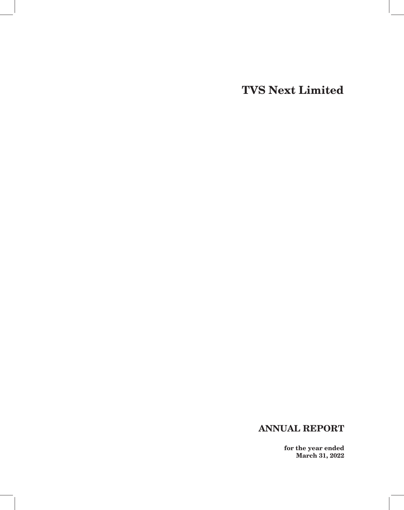# **ANNUAL REPORT**

**for the year ended March 31, 2022**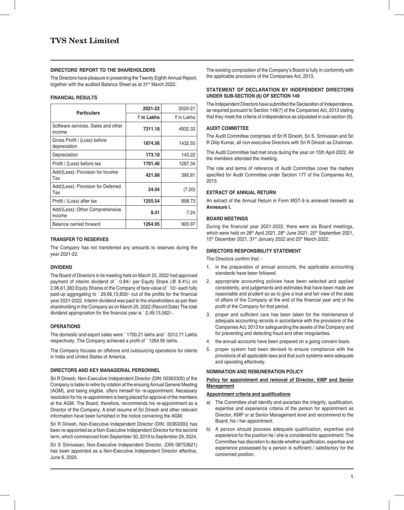### **DIRECTORS' REPORT TO THE SHAREHOLDERS**

The Directors have pleasure in presenting the Twenty Eighth Annual Report, together with the audited Balance Sheet as at 31<sup>st</sup> March 2022.

#### **FINANCIAL RESULTS**

| <b>Particulars</b>                           | 2021-22    | 2020-21    |
|----------------------------------------------|------------|------------|
|                                              | ₹ in Lakhs | ₹ in Lakhs |
| Software services, Sales and other<br>income | 7311.18    | 4932.33    |
| Gross Profit / (Loss) before<br>depreciation | 1874.56    | 1432.55    |
| Depreciation                                 | 173.10     | 145.22     |
| Profit / (Loss) before tax                   | 1701.46    | 1287.34    |
| Add/(Less): Provision for Income<br>Tax      | 421.88     | 395.81     |
| Add/(Less): Provision for Deferred<br>Tax    | 24.04      | (7.20)     |
| Profit / (Loss) after tax                    | 1255.54    | 898.73     |
| Add/(Less): Other Comprehensive<br>income    | 9.41       | 7.24       |
| Balance carried forward                      | 1264.95    | 905.97     |

### **TRANSFER TO RESERVES**

The Company has not transferred any amounts to reserves during the year 2021-22.

## **DIVIDEND**

The Board of Directors in its meeting held on March 25, 2022 had approved payment of interim dividend of ` 0.84/- per Equity Share (@ 8.4%) on 2,96,61,383 Equity Shares of the Company of face value of ` 10/- each fully paid-up aggregating to ` 29,66,13,830/- out of the profits for the financial year 2021-2022. Interim dividend was paid to the shareholders as per their shareholding in the Company as on March 25, 2022 (Record Date) The total dividend appropriation for the financial year is ` 2,49,15,562/-.

#### **OPERATIONS**

The domestic and export sales were ` 1700.21 lakhs and ` 5312.71 Lakhs respectively. The Company achieved a profit of `1264.95 lakhs.

The Company focuses on offshore and outsourcing operations for clients in India and United States of America.

#### **DIRECTORS AND KEY MANAGERIAL PERSONNEL**

Sri R Dinesh, Non-Executive Independent Director (DIN: 00363300) of the Company is liable to retire by rotation at the ensuing Annual General Meeting (AGM), and being eligible, offers himself for re-appointment. Necessary resolution for his re-appointment is being placed for approval of the members at the AGM. The Board, therefore, recommends his re-appointment as a Director of the Company. A brief resume of Sri Dinesh and other relevant information have been furnished in the notice convening the AGM.

Sri R Dinesh, Non-Executive Independent Director (DIN: 00363300) has been re-appointed as a Non-Executive Independent Director for the second term, which commenced from September 30, 2019 to September 29, 2024.

Sri S Srinivasan, Non-Executive Independent Director, (DIN 08753621) has been appointed as a Non-Executive Independent Director effective, June 6, 2020.

The existing composition of the Company's Board is fully in conformity with the applicable provisions of the Companies Act, 2013.

## **STATEMENT OF DECLARATION BY INDEPENDENT DIRECTORS UNDER SUB-SECTION (6) OF SECTION 149**

The Independent Directors have submitted the Declaration of Independence, as required pursuant to Section 149(7) of the Companies Act, 2013 stating that they meet the criteria of independence as stipulated in sub-section (6).

## **AUDIT COMMITTEE**

The Audit Committee comprises of Sri R Dinesh, Sri S. Srinivasan and Sri R Dilip Kumar, all non-executive Directors with Sri R Dinesh as Chairman.

The Audit Committee had met once during the year on 15th April 2022. All the members attended the meeting.

The role and terms of reference of Audit Committee cover the matters specified for Audit Committee under Section 177 of the Companies Act, 2013.

# **EXTRACT OF ANNUAL RETURN**

An extract of the Annual Return in Form MGT-9 is annexed herewith as **Annexure I.**

# **BOARD MEETINGS**

During the financial year 2021-2022, there were six Board meetings, which were held on 28<sup>th</sup> April 2021, 28<sup>th</sup> June 2021, 20<sup>th</sup> September 2021, 15<sup>th</sup> December 2021, 31<sup>st</sup> January 2022 and 25<sup>th</sup> March 2022.

#### **DIRECTORS RESPONSIBILITY STATEMENT**

The Directors confirm that: -

- 1. in the preparation of annual accounts, the applicable accounting standards have been followed.
- 2. appropriate accounting policies have been selected and applied consistently, and judgements and estimates that have been made are reasonable and prudent so as to give a true and fair view of the state of affairs of the Company at the end of the financial year and of the profit of the Company for that period.
- 3. proper and sufficient care has been taken for the maintenance of adequate accounting records in accordance with the provisions of the Companies Act, 2013 for safeguarding the assets of the Company and for preventing and detecting fraud and other irregularities.
- 4. the annual accounts have been prepared on a going concern basis.
- 5. proper system had been devised to ensure compliance with the provisions of all applicable laws and that such systems were adequate and operating effectively.

#### **NOMINATION AND REMUNERATION POLICY**

### **Policy for appointment and removal of Director, KMP and Senior Management**

## **Appointment criteria and qualifications**

- a) The Committee shall identify and ascertain the integrity, qualification, expertise and experience criteria of the person for appointment as Director, KMP or at Senior Management level and recommend to the Board, his / her appointment.
- b) A person should possess adequate qualification, expertise and experience for the position he / she is considered for appointment. The Committee has discretion to decide whether qualification, expertise and experience possessed by a person is sufficient / satisfactory for the concerned position.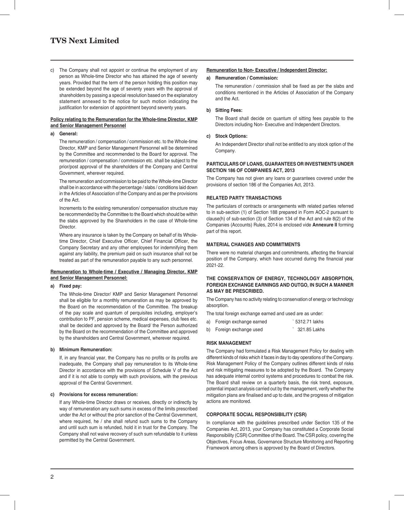c) The Company shall not appoint or continue the employment of any person as Whole-time Director who has attained the age of seventy years. Provided that the term of the person holding this position may be extended beyond the age of seventy years with the approval of shareholders by passing a special resolution based on the explanatory statement annexed to the notice for such motion indicating the justification for extension of appointment beyond seventy years.

#### **Policy relating to the Remuneration for the Whole-time Director, KMP and Senior Management Personnel**

#### **a) General:**

 The remuneration / compensation / commission etc. to the Whole-time Director, KMP and Senior Management Personnel will be determined by the Committee and recommended to the Board for approval. The remuneration / compensation / commission etc. shall be subject to the prior/post approval of the shareholders of the Company and Central Government, wherever required.

 The remuneration and commission to be paid to the Whole-time Director shall be in accordance with the percentage / slabs / conditions laid down in the Articles of Association of the Company and as per the provisions of the Act.

 Increments to the existing remuneration/ compensation structure may be recommended by the Committee to the Board which should be within the slabs approved by the Shareholders in the case of Whole-time **Director** 

 Where any insurance is taken by the Company on behalf of its Wholetime Director, Chief Executive Officer, Chief Financial Officer, the Company Secretary and any other employees for indemnifying them against any liability, the premium paid on such insurance shall not be treated as part of the remuneration payable to any such personnel.

# **Remuneration to Whole-time / Executive / Managing Director, KMP and Senior Management Personnel:**

# **a) Fixed pay:**

 The Whole-time Director/ KMP and Senior Management Personnel shall be eligible for a monthly remuneration as may be approved by the Board on the recommendation of the Committee. The breakup of the pay scale and quantum of perquisites including, employer's contribution to PF, pension scheme, medical expenses, club fees etc. shall be decided and approved by the Board/ the Person authorized by the Board on the recommendation of the Committee and approved by the shareholders and Central Government, wherever required.

#### **b) Minimum Remuneration:**

If, in any financial year, the Company has no profits or its profits are inadequate, the Company shall pay remuneration to its Whole-time Director in accordance with the provisions of Schedule V of the Act and if it is not able to comply with such provisions, with the previous approval of the Central Government.

#### **c) Provisions for excess remuneration:**

 If any Whole-time Director draws or receives, directly or indirectly by way of remuneration any such sums in excess of the limits prescribed under the Act or without the prior sanction of the Central Government, where required, he / she shall refund such sums to the Company and until such sum is refunded, hold it in trust for the Company. The Company shall not waive recovery of such sum refundable to it unless permitted by the Central Government.

# **Remuneration to Non- Executive / Independent Director:**

#### **a) Remuneration / Commission:**

The remuneration / commission shall be fixed as per the slabs and conditions mentioned in the Articles of Association of the Company and the Act.

#### **b) Sitting Fees:**

 The Board shall decide on quantum of sitting fees payable to the Directors including Non- Executive and Independent Directors.

#### **c) Stock Options:**

 An Independent Director shall not be entitled to any stock option of the Company.

#### **PARTICULARS OF LOANS, GUARANTEES OR INVESTMENTS UNDER SECTION 186 OF COMPANIES ACT, 2013**

The Company has not given any loans or guarantees covered under the provisions of section 186 of the Companies Act, 2013.

#### **RELATED PARTY TRANSACTIONS**

The particulars of contracts or arrangements with related parties referred to in sub-section (1) of Section 188 prepared in Form AOC-2 pursuant to clause(h) of sub-section (3) of Section 134 of the Act and rule 8(2) of the Companies (Accounts) Rules, 2014 is enclosed vide **Annexure II** forming part of this report.

#### **MATERIAL CHANGES AND COMMITMENTS**

There were no material changes and commitments, affecting the financial position of the Company, which have occurred during the financial year 2021-22.

## **THE CONSERVATION OF ENERGY, TECHNOLOGY ABSORPTION, FOREIGN EXCHANGE EARNINGS AND OUTGO, IN SUCH A MANNER AS MAY BE PRESCRIBED.**

The Company has no activity relating to conservation of energy or technology absorption.

The total foreign exchange earned and used are as under:

|    | a) Foreign exchange earned | 5312.71 lakhs |
|----|----------------------------|---------------|
| b) | Foreign exchange used      | 321.85 Lakhs  |

#### **RISK MANAGEMENT**

The Company had formulated a Risk Management Policy for dealing with different kinds of risks which it faces in day to day operations of the Company. Risk Management Policy of the Company outlines different kinds of risks and risk mitigating measures to be adopted by the Board. The Company has adequate internal control systems and procedures to combat the risk. The Board shall review on a quarterly basis, the risk trend, exposure, potential impact analysis carried out by the management, verify whether the mitigation plans are finalised and up to date, and the progress of mitigation actions are monitored.

#### **CORPORATE SOCIAL RESPONSIBILITY (CSR)**

In compliance with the guidelines prescribed under Section 135 of the Companies Act, 2013, your Company has constituted a Corporate Social Responsibility (CSR) Committee of the Board. The CSR policy, covering the Objectives, Focus Areas, Governance Structure Monitoring and Reporting Framework among others is approved by the Board of Directors.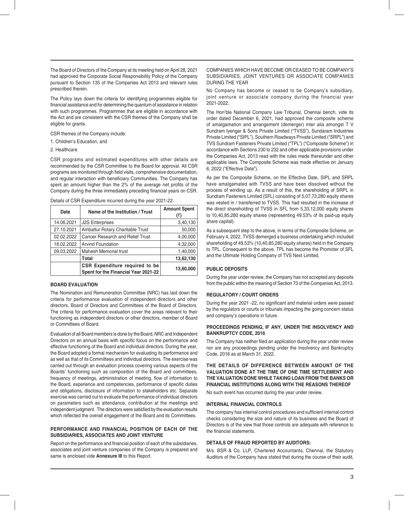The Board of Directors of the Company at its meeting held on April 28, 2021 had approved the Corporate Social Responsibility Policy of the Company pursuant to Section 135 of the Companies Act 2013 and relevant rules prescribed therein.

The Policy lays down the criteria for identifying programmes eligible for financial assistance and for determining the quantum of assistance in relation with such programmes. Programmes that are eligible in accordance with the Act and are consistent with the CSR themes of the Company shall be eligible for grants.

CSR themes of the Company include:

1. Children's Education, and

2. Healthcare

CSR programs and estimated expenditures with other details are recommended by the CSR Committee to the Board for approval. All CSR programs are monitored through field visits, comprehensive documentation, and regular interaction with beneficiary Communities. The Company has spent an amount higher than the 2% of the average net profits of the Company during the three immediately preceding financial years on CSR.

Details of CSR Expenditure incurred during the year 2021-22:

| Date       | Name of the Institution / Trust                                        | <b>Amount Spent</b><br>(₹) |
|------------|------------------------------------------------------------------------|----------------------------|
| 14.06.2021 | <b>J2S Enterprises</b>                                                 | 3,40,130                   |
| 27.10.2021 | Ambattur Rotary Charitable Trust                                       | 50,000                     |
| 02.02.2022 | Cancer Research and Relief Trust                                       | 4,00,000                   |
| 18.02.2022 | <b>Arvind Foundation</b>                                               | 4,32,000                   |
| 09.03.2022 | Mahesh Memorial trust                                                  | 1,40,000                   |
|            | Total                                                                  | 13,62,130                  |
|            | CSR Expenditure required to be<br>Spent for the Financial Year 2021-22 | 13,60,000                  |

## **BOARD EVALUATION**

The Nomination and Remuneration Committee (NRC) has laid down the criteria for performance evaluation of independent directors and other directors, Board of Directors and Committees of the Board of Directors. The criteria for performance evaluation cover the areas relevant to their functioning as independent directors or other directors, member of Board or Committees of Board.

Evaluation of all Board members is done by the Board, NRC and Independent Directors on an annual basis with specific focus on the performance and effective functioning of the Board and individual directors. During the year, the Board adopted a formal mechanism for evaluating its performance and as well as that of its Committees and individual directors. The exercise was carried out through an evaluation process covering various aspects of the Boards' functioning such as composition of the Board and committees, frequency of meetings, administration of meeting, flow of information to the Board, experience and competencies, performance of specific duties and obligations, disclosure of information to stakeholders etc. Separate exercise was carried out to evaluate the performance of individual directors on parameters such as attendance, contribution at the meetings and independent judgment. The directors were satisfied by the evaluation results which reflected the overall engagement of the Board and its Committees.

# **PERFORMANCE AND FINANCIAL POSITION OF EACH OF THE SUBSIDIARIES, ASSOCIATES AND JOINT VENTURE**

Report on the performance and financial position of each of the subsidiaries, associates and joint venture companies of the Company is prepared and same is enclosed vide **Annexure III** to this Report.

### COMPANIES WHICH HAVE BECOME OR CEASED TO BE COMPANY'S SUBSIDIARIES, JOINT VENTURES OR ASSOCIATE COMPANIES DURING THE YEAR

No Company has become or ceased to be Company's subsidiary, joint venture or associate company during the financial year 2021-2022.

The Hon'ble National Company Law Tribunal, Chennai bench, vide its order dated December 6, 2021, had approved the composite scheme of amalgamation and arrangement (demerger) inter alia amongst T V Sundram Iyengar & Sons Private Limited ("TVSS"), Sundaram Industries Private Limited ("SIPL"), Southern Roadways Private Limited ("SRPL") and TVS Sundram Fasteners Private Limited ("TPL") ("Composite Scheme") in accordance with Sections 230 to 232 and other applicable provisions under the Companies Act, 2013 read with the rules made thereunder and other applicable laws. The Composite Scheme was made effective on January 6, 2022 ("Effective Date").

As per the Composite Scheme, on the Effective Date, SIPL and SRPL have amalgamated with TVSS and have been dissolved without the process of winding up. As a result of this, the shareholding of SRPL in Sundram Fasteners Limited (SFL) consisting of 5,07,73,280 equity shares was vested in / transferred to TVSS. This had resulted in the increase of the direct shareholding of TVSS in SFL from 5,33,12,000 equity shares to 10,40,85,280 equity shares (representing 49.53% of its paid-up equity share capital).

As a subsequent step to the above, in terms of the Composite Scheme, on February 4, 2022, TVSS demerged a business undertaking which included shareholding of 49.53% (10,40,85,280 equity shares) held in the Company to TPL. Consequent to the above, TPL has become the Promoter of SFL and the Ultimate Holding Company of TVS Next Limited.

#### **PUBLIC DEPOSITS**

During the year under review, the Company has not accepted any deposits from the public within the meaning of Section 73 of the Companies Act, 2013.

#### **REGULATORY / COURT ORDERS**

During the year 2021 -22, no significant and material orders were passed by the regulators or courts or tribunals impacting the going concern status and company's operations in future.

# **PROCEEDINGS PENDING, IF ANY, UNDER THE INSOLVENCY AND BANKRUPTCY CODE, 2016**

The Company has neither filed an application during the year under review nor are any proceedings pending under the Insolvency and Bankruptcy Code, 2016 as at March 31, 2022.

**THE DETAILS OF DIFFERENCE BETWEEN AMOUNT OF THE VALUATION DONE AT THE TIME OF ONE TIME SETTLEMENT AND THE VALUATION DONE WHILE TAKING LOAN FROM THE BANKS OR FINANCIAL INSTITUTIONS ALONG WITH THE REASONS THEREOF**

No such event has occurred during the year under review.

#### **INTERNAL FINANCIAL CONTROLS**

The company has internal control procedures and sufficient internal control checks considering the size and nature of its business and the Board of Directors is of the view that those controls are adequate with reference to the financial statements.

## **DETAILS OF FRAUD REPORTED BY AUDITORS:**

M/s. BSR & Co. LLP, Chartered Accountants, Chennai, the Statutory Auditors of the Company have stated that during the course of their audit,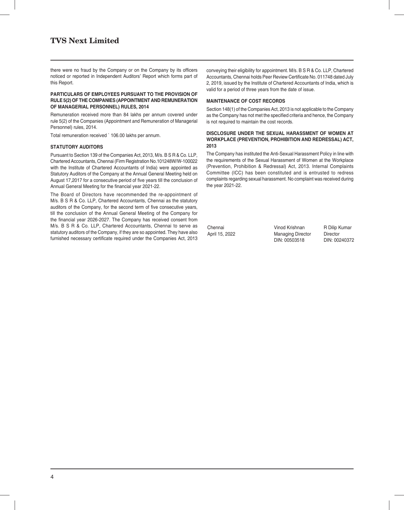there were no fraud by the Company or on the Company by its officers noticed or reported in Independent Auditors' Report which forms part of this Report.

# **PARTICULARS OF EMPLOYEES PURSUANT TO THE PROVISION OF RULE 5(2) OF THE COMPANIES (APPOINTMENT AND REMUNERATION OF MANAGERIAL PERSONNEL) RULES, 2014**

Remuneration received more than 84 lakhs per annum covered under rule 5(2) of the Companies (Appointment and Remuneration of Managerial Personnel) rules, 2014.

Total remuneration received ` 106.00 lakhs per annum.

#### **STATUTORY AUDITORS**

Pursuant to Section 139 of the Companies Act, 2013, M/s. B S R & Co. LLP, Chartered Accountants, Chennai (Firm Registration No.101248W/W-100022 with the Institute of Chartered Accountants of India) were appointed as Statutory Auditors of the Company at the Annual General Meeting held on August 17,2017 for a consecutive period of five years till the conclusion of Annual General Meeting for the financial year 2021-22.

The Board of Directors have recommended the re-appointment of M/s. B S R & Co. LLP, Chartered Accountants, Chennai as the statutory auditors of the Company, for the second term of five consecutive years, till the conclusion of the Annual General Meeting of the Company for the financial year 2026-2027. The Company has received consent from M/s. B S R & Co. LLP, Chartered Accountants, Chennai to serve as statutory auditors of the Company, if they are so appointed. They have also furnished necessary certificate required under the Companies Act, 2013 conveying their eligibility for appointment. M/s. B S R & Co. LLP, Chartered Accountants, Chennai holds Peer Review Certificate No. 011748 dated July 2, 2019, issued by the Institute of Chartered Accountants of India, which is valid for a period of three years from the date of issue.

#### **MAINTENANCE OF COST RECORDS**

Section 148(1) of the Companies Act, 2013 is not applicable to the Company as the Company has not met the specified criteria and hence, the Company is not required to maintain the cost records.

## **DISCLOSURE UNDER THE SEXUAL HARASSMENT OF WOMEN AT WORKPLACE (PREVENTION, PROHIBITION AND REDRESSAL) ACT, 2013**

The Company has instituted the Anti-Sexual Harassment Policy in line with the requirements of the Sexual Harassment of Women at the Workplace (Prevention, Prohibition & Redressal) Act, 2013. Internal Complaints Committee (ICC) has been constituted and is entrusted to redress complaints regarding sexual harassment. No complaint was received during the year 2021-22.

April 15, 2022 Managing Director Director<br>DIN: 00503518 DIN: 00240372 DIN: 00503518

Chennai Vinod Krishnan R Dilip Kumar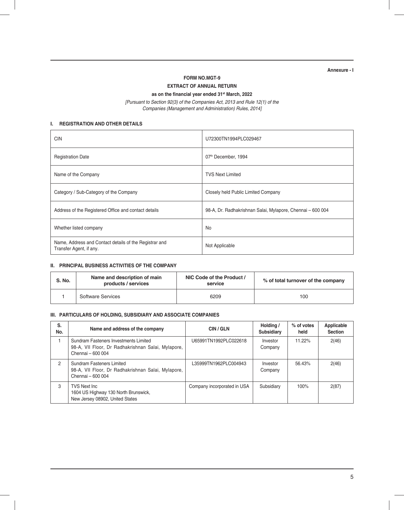**Annexure - I**

# **FORM NO.MGT-9**

# **EXTRACT OF ANNUAL RETURN**

# as on the financial year ended 31<sup>st</sup> March, 2022

*[Pursuant to Section 92(3) of the Companies Act, 2013 and Rule 12(1) of the Companies (Management and Administration) Rules, 2014]*

# **I. REGISTRATION AND OTHER DETAILS**

| <b>CIN</b>                                                                        | U72300TN1994PLC029467                                      |
|-----------------------------------------------------------------------------------|------------------------------------------------------------|
| <b>Registration Date</b>                                                          | 07th December, 1994                                        |
| Name of the Company                                                               | <b>TVS Next Limited</b>                                    |
| Category / Sub-Category of the Company                                            | Closely held Public Limited Company                        |
| Address of the Registered Office and contact details                              | 98-A, Dr. Radhakrishnan Salai, Mylapore, Chennai - 600 004 |
| Whether listed company                                                            | No                                                         |
| Name, Address and Contact details of the Registrar and<br>Transfer Agent, if any. | Not Applicable                                             |

# **II. PRINCIPAL BUSINESS ACTIVITIES OF THE COMPANY**

| <b>S. No.</b> | Name and description of main<br>products / services | NIC Code of the Product /<br>service | % of total turnover of the company |  |
|---------------|-----------------------------------------------------|--------------------------------------|------------------------------------|--|
|               | <b>Software Services</b>                            | 6209                                 | 100                                |  |

# **III. PARTICULARS OF HOLDING, SUBSIDIARY AND ASSOCIATE COMPANIES**

| S.<br>No.     | Name and address of the company                                                                                  | CIN/GLN                     | Holding /<br>Subsidiary | % of votes<br>held | Applicable<br><b>Section</b> |
|---------------|------------------------------------------------------------------------------------------------------------------|-----------------------------|-------------------------|--------------------|------------------------------|
|               | Sundram Fasteners Investments Limited<br>98-A, VII Floor, Dr Radhakrishnan Salai, Mylapore,<br>Chennai - 600 004 | U65991TN1992PLC022618       | Investor<br>Company     | $11.22\%$          | 2(46)                        |
| $\mathcal{P}$ | Sundram Fasteners Limited<br>98-A, VII Floor, Dr Radhakrishnan Salai, Mylapore,<br>Chennai - 600 004             | L35999TN1962PLC004943       | Investor<br>Company     | 56.43%             | 2(46)                        |
| 3             | TVS Next Inc<br>1604 US Highway 130 North Brunswick,<br>New Jersey 08902, United States                          | Company incorporated in USA | Subsidiary              | 100%               | 2(87)                        |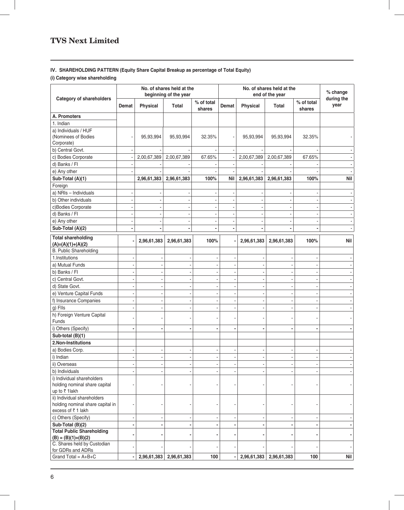# **IV. SHAREHOLDING PATTERN (Equity Share Capital Breakup as percentage of Total Equity)**

**(i) Category wise shareholding**

|                                                      |                          |                          | No. of shares held at the<br>beginning of the year |                      | No. of shares held at the<br>end of the year |                          |                |                      | % change                 |
|------------------------------------------------------|--------------------------|--------------------------|----------------------------------------------------|----------------------|----------------------------------------------|--------------------------|----------------|----------------------|--------------------------|
| <b>Category of shareholders</b>                      | Demat                    | Physical                 | Total                                              | % of total<br>shares | Demat                                        | Physical                 | Total          | % of total<br>shares | during the<br>year       |
| A. Promoters                                         |                          |                          |                                                    |                      |                                              |                          |                |                      |                          |
| 1. Indian                                            |                          |                          |                                                    |                      |                                              |                          |                |                      |                          |
| a) Individuals / HUF                                 |                          |                          |                                                    |                      |                                              |                          |                |                      |                          |
| (Nominees of Bodies                                  |                          | 95,93,994                | 95,93,994                                          | 32.35%               |                                              | 95,93,994                | 95,93,994      | 32.35%               |                          |
| Corporate)                                           |                          |                          |                                                    |                      |                                              |                          |                |                      |                          |
| b) Central Govt.                                     |                          |                          |                                                    |                      |                                              |                          |                |                      |                          |
| c) Bodies Corporate                                  |                          | 2,00,67,389              | 2,00,67,389                                        | 67.65%               |                                              | 2,00,67,389              | 2,00,67,389    | 67.65%               |                          |
| d) Banks / Fl                                        | $\overline{\phantom{a}}$ |                          |                                                    |                      |                                              |                          |                |                      | $\overline{\phantom{a}}$ |
| e) Any other                                         | $\overline{\phantom{a}}$ |                          |                                                    |                      |                                              |                          |                |                      |                          |
| Sub-Total (A)(1)                                     |                          | 2,96,61,383              | 2,96,61,383                                        | 100%                 | Nil I                                        | 2,96,61,383              | 2,96,61,383    | 100%                 | Nil                      |
| Foreign                                              |                          |                          |                                                    |                      |                                              |                          |                |                      |                          |
| a) NRIs - Individuals                                |                          |                          |                                                    |                      |                                              |                          |                |                      |                          |
| b) Other individuals                                 | $\overline{\phantom{a}}$ |                          |                                                    |                      |                                              |                          |                |                      | $\overline{\phantom{a}}$ |
| c)Bodies Corporate                                   | $\overline{\phantom{a}}$ |                          |                                                    |                      |                                              |                          |                |                      |                          |
| d) Banks / Fl                                        | $\overline{a}$           |                          | ÷,                                                 |                      |                                              | ä,                       |                |                      | $\blacksquare$           |
| e) Any other                                         | ÷,                       | $\overline{a}$           | $\overline{a}$                                     |                      |                                              | ÷,                       |                |                      |                          |
| Sub-Total (A)(2)                                     | $\overline{\phantom{a}}$ | $\overline{\phantom{a}}$ | $\blacksquare$                                     |                      | $\overline{\phantom{a}}$                     | $\overline{\phantom{a}}$ | ٠              |                      | $\blacksquare$           |
| <b>Total shareholding</b>                            |                          |                          |                                                    |                      |                                              |                          |                |                      |                          |
| $(A)=(A)(1)+(A)(2)$                                  | $\overline{\phantom{a}}$ | 2,96,61,383              | 2,96,61,383                                        | 100%                 | $\overline{a}$                               | 2,96,61,383              | 2,96,61,383    | 100%                 | <b>Nil</b>               |
| <b>B. Public Shareholding</b>                        |                          |                          |                                                    |                      |                                              |                          |                |                      |                          |
| 1.Institutions                                       | $\overline{\phantom{m}}$ |                          | $\overline{a}$                                     |                      |                                              |                          |                |                      |                          |
| a) Mutual Funds                                      | $\overline{a}$           |                          |                                                    |                      |                                              | ÷                        |                |                      |                          |
| b) Banks / Fl                                        | $\ddot{\phantom{0}}$     |                          | ÷,                                                 |                      | ÷,                                           | ÷,                       | $\overline{a}$ |                      |                          |
| c) Central Govt.                                     | $\blacksquare$           |                          | $\overline{a}$                                     |                      | $\blacksquare$                               | $\blacksquare$           | $\blacksquare$ |                      |                          |
| d) State Govt.                                       | $\overline{\phantom{a}}$ |                          | ÷,                                                 |                      |                                              | ÷,                       | ä,             |                      |                          |
| e) Venture Capital Funds                             | $\overline{\phantom{a}}$ |                          | ÷,                                                 |                      |                                              | $\overline{a}$           |                |                      |                          |
| f) Insurance Companies                               | $\overline{a}$           |                          | ÷,                                                 |                      |                                              | $\overline{a}$           | ÷,             |                      |                          |
| g) Flls                                              | $\frac{1}{2}$            |                          | ÷,                                                 |                      |                                              | $\overline{a}$           |                |                      |                          |
| h) Foreign Venture Capital                           |                          |                          |                                                    |                      |                                              |                          |                |                      |                          |
| Funds                                                | $\overline{\phantom{a}}$ |                          |                                                    |                      |                                              |                          |                |                      |                          |
| i) Others (Specify)                                  | $\overline{a}$           |                          | $\overline{a}$                                     |                      | $\blacksquare$                               | $\overline{a}$           | $\blacksquare$ |                      |                          |
| Sub-total (B)(1)                                     |                          |                          |                                                    |                      |                                              |                          |                |                      |                          |
| 2.Non-Institutions                                   |                          |                          |                                                    |                      |                                              |                          |                |                      |                          |
| a) Bodies Corp.                                      | $\overline{a}$           |                          | ÷                                                  |                      |                                              |                          |                |                      |                          |
| i) Indian                                            | ÷,                       |                          | ä,                                                 |                      | ä,                                           | ÷,                       | ä,             |                      |                          |
| ii) Overseas                                         |                          |                          |                                                    |                      |                                              |                          |                |                      |                          |
| b) Individuals                                       |                          |                          |                                                    |                      |                                              |                          |                |                      |                          |
| i) Individual shareholders                           |                          |                          |                                                    |                      |                                              |                          |                |                      |                          |
| holding nominal share capital                        |                          |                          |                                                    |                      |                                              |                          |                |                      |                          |
| up to ₹ 1lakh                                        |                          |                          |                                                    |                      |                                              |                          |                |                      |                          |
| ii) Individual shareholders                          |                          |                          |                                                    |                      |                                              |                          |                |                      |                          |
| holding nominal share capital in                     |                          |                          |                                                    |                      |                                              |                          |                |                      |                          |
| excess of ₹1 lakh                                    |                          |                          |                                                    |                      |                                              |                          |                |                      |                          |
| c) Others (Specify)                                  | -                        |                          |                                                    |                      |                                              |                          |                |                      |                          |
| Sub-Total (B)(2)                                     | ٠                        |                          |                                                    |                      |                                              | $\overline{a}$           |                |                      |                          |
| <b>Total Public Shareholding</b>                     | $\overline{\phantom{a}}$ |                          |                                                    |                      |                                              |                          |                |                      |                          |
| $(B) = (B)(1)+(B)(2)$<br>C. Shares held by Custodian |                          |                          |                                                    |                      |                                              |                          |                |                      |                          |
| for GDRs and ADRs                                    |                          |                          |                                                    |                      |                                              |                          |                |                      |                          |
| Grand Total = $A + B + C$                            | ÷                        | 2,96,61,383              | 2,96,61,383                                        | 100                  |                                              | 2,96,61,383              | 2,96,61,383    | 100                  | Nil                      |
|                                                      |                          |                          |                                                    |                      |                                              |                          |                |                      |                          |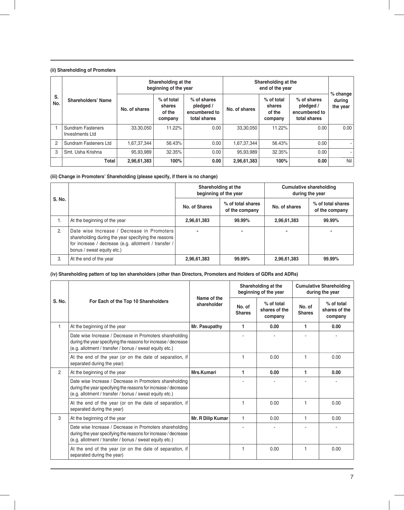# **(ii) Shareholding of Promoters**

|                | Shareholding at the<br>beginning of the year |               |                                           | Shareholding at the<br>end of the year                    |               |                                           |                                                           |                                  |
|----------------|----------------------------------------------|---------------|-------------------------------------------|-----------------------------------------------------------|---------------|-------------------------------------------|-----------------------------------------------------------|----------------------------------|
| S.<br>No.      | Shareholders' Name                           | No. of shares | % of total<br>shares<br>of the<br>company | % of shares<br>pledged /<br>encumbered to<br>total shares | No. of shares | % of total<br>shares<br>of the<br>company | % of shares<br>pledged /<br>encumbered to<br>total shares | $%$ change<br>during<br>the year |
|                | <b>Sundram Fasteners</b><br>Investments Ltd  | 33,30,050     | 11.22%                                    | 0.00                                                      | 33,30,050     | 11.22%                                    | 0.00                                                      | 0.00                             |
| $\overline{2}$ | Sundram Fasteners Ltd                        | 1,67,37,344   | 56.43%                                    | 0.00                                                      | 1,67,37,344   | 56.43%                                    | 0.00                                                      |                                  |
| 3              | Smt. Usha Krishna                            | 95,93,989     | 32.35%                                    | 0.00                                                      | 95,93,989     | 32.35%                                    | 0.00                                                      |                                  |
|                | Total                                        | 2,96,61,383   | 100%                                      | 0.00                                                      | 2,96,61,383   | 100%                                      | 0.00                                                      | Nil                              |

# **(iii) Change in Promoters' Shareholding (please specify, if there is no change)**

| <b>S. No.</b> |                                                                                                                                                                                         |               | Shareholding at the<br>beginning of the year | Cumulative shareholding<br>during the year |                                     |  |
|---------------|-----------------------------------------------------------------------------------------------------------------------------------------------------------------------------------------|---------------|----------------------------------------------|--------------------------------------------|-------------------------------------|--|
|               |                                                                                                                                                                                         | No. of Shares | % of total shares<br>of the company          | No. of shares                              | % of total shares<br>of the company |  |
|               | At the beginning of the year                                                                                                                                                            | 2,96,61,383   | 99.99%                                       | 2,96,61,383                                | 99.99%                              |  |
| 2.            | Date wise Increase / Decrease in Promoters<br>shareholding during the year specifying the reasons<br>for increase / decrease (e.g. allotment / transfer /<br>bonus / sweat equity etc.) |               |                                              |                                            |                                     |  |
| 3.            | At the end of the year                                                                                                                                                                  | 2,96,61,383   | 99.99%                                       | 2,96,61,383                                | 99.99%                              |  |

# **(iv) Shareholding pattern of top ten shareholders (other than Directors, Promoters and Holders of GDRs and ADRs)**

|                |                                                                                                                                                                                      | Name of the       |                         | Shareholding at the<br>beginning of the year | <b>Cumulative Shareholding</b><br>during the year |                                        |
|----------------|--------------------------------------------------------------------------------------------------------------------------------------------------------------------------------------|-------------------|-------------------------|----------------------------------------------|---------------------------------------------------|----------------------------------------|
| S. No.         | For Each of the Top 10 Shareholders                                                                                                                                                  | shareholder       | No. of<br><b>Shares</b> | % of total<br>shares of the<br>company       | No. of<br><b>Shares</b>                           | % of total<br>shares of the<br>company |
| 1              | At the beginning of the year                                                                                                                                                         | Mr. Pasupathy     | 1                       | 0.00                                         | 1                                                 | 0.00                                   |
|                | Date wise Increase / Decrease in Promoters shareholding<br>during the year specifying the reasons for increase / decrease<br>(e.g. allotment / transfer / bonus / sweat equity etc.) |                   |                         |                                              |                                                   |                                        |
|                | At the end of the year (or on the date of separation, if<br>separated during the year)                                                                                               |                   | 1                       | 0.00                                         | 1                                                 | 0.00                                   |
| $\overline{2}$ | At the beginning of the year                                                                                                                                                         | Mrs.Kumari        | 1                       | 0.00                                         | 1                                                 | 0.00                                   |
|                | Date wise Increase / Decrease in Promoters shareholding<br>during the year specifying the reasons for increase / decrease<br>(e.g. allotment / transfer / bonus / sweat equity etc.) |                   |                         |                                              |                                                   |                                        |
|                | At the end of the year (or on the date of separation, if<br>separated during the year)                                                                                               |                   | 1                       | 0.00                                         | $\overline{1}$                                    | 0.00                                   |
| 3              | At the beginning of the year                                                                                                                                                         | Mr. R Dilip Kumar | 1                       | 0.00                                         | 1                                                 | 0.00                                   |
|                | Date wise Increase / Decrease in Promoters shareholding<br>during the year specifying the reasons for increase / decrease<br>(e.g. allotment / transfer / bonus / sweat equity etc.) |                   |                         |                                              |                                                   |                                        |
|                | At the end of the year (or on the date of separation, if<br>separated during the year)                                                                                               |                   | 1                       | 0.00                                         |                                                   | 0.00                                   |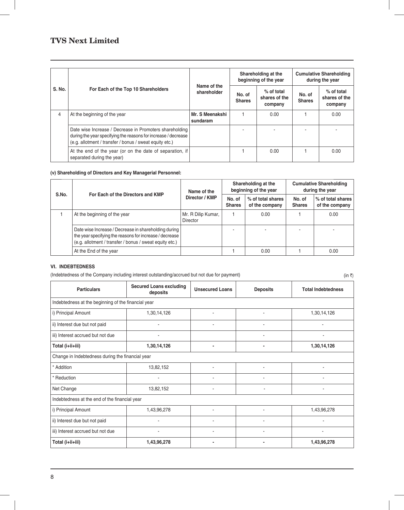| S. No. | For Each of the Top 10 Shareholders                                                                                                                                                  | Name of the<br>shareholder  |                         | Shareholding at the<br>beginning of the year | <b>Cumulative Shareholding</b><br>during the year |                                          |
|--------|--------------------------------------------------------------------------------------------------------------------------------------------------------------------------------------|-----------------------------|-------------------------|----------------------------------------------|---------------------------------------------------|------------------------------------------|
|        |                                                                                                                                                                                      |                             | No. of<br><b>Shares</b> | % of total<br>shares of the<br>company       | No. of<br><b>Shares</b>                           | $%$ of total<br>shares of the<br>company |
| 4      | At the beginning of the year                                                                                                                                                         | Mr. S Meenakshi<br>sundaram |                         | 0.00                                         |                                                   | 0.00                                     |
|        | Date wise Increase / Decrease in Promoters shareholding<br>during the year specifying the reasons for increase / decrease<br>(e.g. allotment / transfer / bonus / sweat equity etc.) |                             |                         |                                              |                                                   |                                          |
|        | At the end of the year (or on the date of separation, if<br>separated during the year)                                                                                               |                             |                         | 0.00                                         |                                                   | 0.00                                     |

# **(v) Shareholding of Directors and Key Managerial Personnel:**

| S.No. | For Each of the Directors and KMP                                                                                                                                          | Name of the                           |                         | Shareholding at the<br>beginning of the year | <b>Cumulative Shareholding</b><br>during the year |                                     |
|-------|----------------------------------------------------------------------------------------------------------------------------------------------------------------------------|---------------------------------------|-------------------------|----------------------------------------------|---------------------------------------------------|-------------------------------------|
|       |                                                                                                                                                                            | Director / KMP                        | No. of<br><b>Shares</b> | % of total shares<br>of the company          | No. of<br><b>Shares</b>                           | % of total shares<br>of the company |
|       | At the beginning of the year                                                                                                                                               | Mr. R Dilip Kumar,<br><b>Director</b> |                         | 0.00                                         |                                                   | 0.00                                |
|       | Date wise Increase / Decrease in shareholding during<br>the year specifying the reasons for increase / decrease<br>(e.g. allotment / transfer / bonus / sweat equity etc.) |                                       |                         |                                              |                                                   |                                     |
|       | At the End of the year                                                                                                                                                     |                                       |                         | 0.00                                         |                                                   | 0.00                                |

# **VI. INDEBTEDNESS**

(Indebtedness of the Company including interest outstanding/accrued but not due for payment)

(in  $\bar{z}$ )

| <b>Particulars</b>                                  | <b>Secured Loans excluding</b><br>deposits       | <b>Unsecured Loans</b> | <b>Deposits</b> | <b>Total Indebtedness</b> |  |  |  |
|-----------------------------------------------------|--------------------------------------------------|------------------------|-----------------|---------------------------|--|--|--|
| Indebtedness at the beginning of the financial year |                                                  |                        |                 |                           |  |  |  |
| i) Principal Amount                                 | 1,30,14,126                                      | ٠                      | ٠               | 1,30,14,126               |  |  |  |
| ii) Interest due but not paid                       |                                                  | $\overline{a}$         |                 |                           |  |  |  |
| iii) Interest accrued but not due                   | ٠                                                |                        | ٠               | ٠                         |  |  |  |
| Total (i+ii+iii)                                    | 1,30,14,126                                      | $\blacksquare$         | $\blacksquare$  | 1,30,14,126               |  |  |  |
|                                                     | Change in Indebtedness during the financial year |                        |                 |                           |  |  |  |
| * Addition                                          | 13,82,152                                        |                        |                 |                           |  |  |  |
| * Reduction                                         |                                                  |                        |                 |                           |  |  |  |
| Net Change                                          | 13,82,152                                        | ٠                      | ٠               | $\blacksquare$            |  |  |  |
| Indebtedness at the end of the financial year       |                                                  |                        |                 |                           |  |  |  |
| i) Principal Amount                                 | 1,43,96,278                                      |                        |                 | 1,43,96,278               |  |  |  |
| ii) Interest due but not paid                       |                                                  | ٠                      | ٠               |                           |  |  |  |
| iii) Interest accrued but not due                   |                                                  |                        |                 |                           |  |  |  |
| Total (i+ii+iii)                                    | 1,43,96,278                                      |                        |                 | 1,43,96,278               |  |  |  |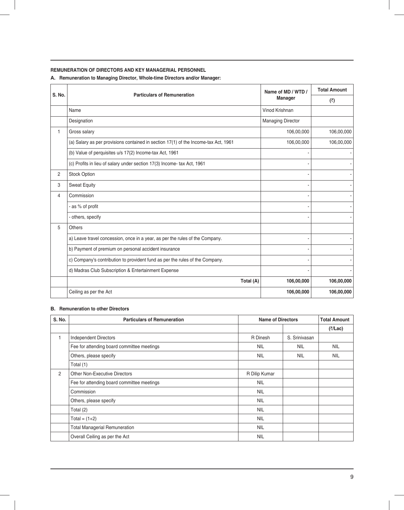# **REMUNERATION OF DIRECTORS AND KEY MANAGERIAL PERSONNEL**

**A. Remuneration to Managing Director, Whole-time Directors and/or Manager:**

| S. No. | <b>Particulars of Remuneration</b>                                                  | Name of MD / WTD /       | <b>Total Amount</b> |
|--------|-------------------------------------------------------------------------------------|--------------------------|---------------------|
|        |                                                                                     | <b>Manager</b>           | (₹)                 |
|        | Name                                                                                | Vinod Krishnan           |                     |
|        | Designation                                                                         | <b>Managing Director</b> |                     |
| 1      | Gross salary                                                                        | 106,00,000               | 106,00,000          |
|        | (a) Salary as per provisions contained in section 17(1) of the Income-tax Act, 1961 | 106,00,000               | 106,00,000          |
|        | (b) Value of perquisites u/s 17(2) Income-tax Act, 1961                             |                          |                     |
|        | (c) Profits in lieu of salary under section 17(3) Income- tax Act, 1961             |                          |                     |
| 2      | <b>Stock Option</b>                                                                 |                          |                     |
| 3      | <b>Sweat Equity</b>                                                                 |                          |                     |
| 4      | Commission                                                                          |                          |                     |
|        | - as % of profit                                                                    |                          |                     |
|        | - others, specify                                                                   |                          |                     |
| 5      | Others                                                                              |                          |                     |
|        | a) Leave travel concession, once in a year, as per the rules of the Company.        |                          |                     |
|        | b) Payment of premium on personal accident insurance                                |                          |                     |
|        | c) Company's contribution to provident fund as per the rules of the Company.        |                          |                     |
|        | d) Madras Club Subscription & Entertainment Expense                                 |                          |                     |
|        | Total (A)                                                                           | 106,00,000               | 106,00,000          |
|        | Ceiling as per the Act                                                              | 106,00,000               | 106,00,000          |

# **B. Remuneration to other Directors**

| S. No. | <b>Particulars of Remuneration</b>         |               | <b>Name of Directors</b> |            |
|--------|--------------------------------------------|---------------|--------------------------|------------|
|        |                                            |               |                          | (7/Lac)    |
| 1      | <b>Independent Directors</b>               | R Dinesh      | S. Srinivasan            |            |
|        | Fee for attending board committee meetings | <b>NIL</b>    | <b>NIL</b>               | <b>NIL</b> |
|        | Others, please specify                     | <b>NIL</b>    | <b>NIL</b>               | <b>NIL</b> |
|        | Total (1)                                  |               |                          |            |
| 2      | <b>Other Non-Executive Directors</b>       | R Dilip Kumar |                          |            |
|        | Fee for attending board committee meetings | <b>NIL</b>    |                          |            |
|        | Commission                                 | <b>NIL</b>    |                          |            |
|        | Others, please specify                     | <b>NIL</b>    |                          |            |
|        | Total (2)                                  | <b>NIL</b>    |                          |            |
|        | Total = $(1+2)$                            | <b>NIL</b>    |                          |            |
|        | <b>Total Managerial Remuneration</b>       | <b>NIL</b>    |                          |            |
|        | Overall Ceiling as per the Act             | <b>NIL</b>    |                          |            |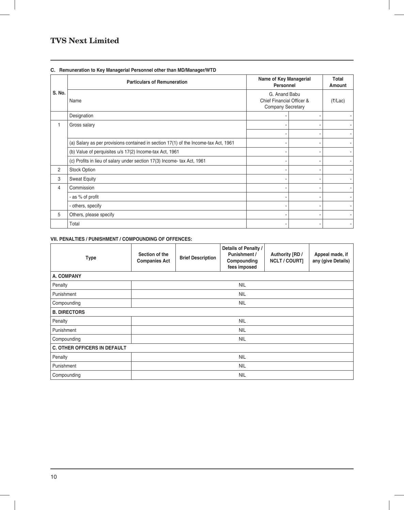|        | <b>Particulars of Remuneration</b>                                                  | Name of Key Managerial<br>Personnel                             | Total<br>Amount |  |
|--------|-------------------------------------------------------------------------------------|-----------------------------------------------------------------|-----------------|--|
| S. No. | Name                                                                                | G. Anand Babu<br>Chief Financial Officer &<br>Company Secretary | (7/Lac)         |  |
|        | Designation                                                                         |                                                                 |                 |  |
|        | Gross salary                                                                        |                                                                 |                 |  |
|        |                                                                                     |                                                                 |                 |  |
|        | (a) Salary as per provisions contained in section 17(1) of the Income-tax Act, 1961 |                                                                 |                 |  |
|        | (b) Value of perquisites u/s 17(2) Income-tax Act, 1961                             |                                                                 |                 |  |
|        | (c) Profits in lieu of salary under section 17(3) Income- tax Act, 1961             |                                                                 |                 |  |
| 2      | <b>Stock Option</b>                                                                 |                                                                 |                 |  |
| 3      | <b>Sweat Equity</b>                                                                 |                                                                 |                 |  |
| 4      | Commission                                                                          |                                                                 |                 |  |
|        | - as % of profit                                                                    |                                                                 |                 |  |
|        | - others, specify                                                                   |                                                                 |                 |  |
| 5      | Others, please specify                                                              |                                                                 |                 |  |
|        | Total                                                                               |                                                                 |                 |  |

# **C. Remuneration to Key Managerial Personnel other than MD/Manager/WTD**

# **VII. PENALTIES / PUNISHMENT / COMPOUNDING OF OFFENCES:**

| <b>Type</b>                         | Section of the<br><b>Companies Act</b> | <b>Brief Description</b> | Details of Penalty /<br>Punishment /<br>Compounding<br>fees imposed | Authority [RD /<br><b>NCLT/COURT]</b> | Appeal made, if<br>any (give Details) |  |
|-------------------------------------|----------------------------------------|--------------------------|---------------------------------------------------------------------|---------------------------------------|---------------------------------------|--|
| <b>A. COMPANY</b>                   |                                        |                          |                                                                     |                                       |                                       |  |
| Penalty                             | <b>NIL</b>                             |                          |                                                                     |                                       |                                       |  |
| Punishment                          |                                        | <b>NIL</b>               |                                                                     |                                       |                                       |  |
| Compounding                         |                                        |                          | <b>NIL</b>                                                          |                                       |                                       |  |
| <b>B. DIRECTORS</b>                 |                                        |                          |                                                                     |                                       |                                       |  |
| Penalty                             |                                        |                          | <b>NIL</b>                                                          |                                       |                                       |  |
| Punishment                          |                                        |                          | <b>NIL</b>                                                          |                                       |                                       |  |
| Compounding                         |                                        |                          | <b>NIL</b>                                                          |                                       |                                       |  |
| <b>C. OTHER OFFICERS IN DEFAULT</b> |                                        |                          |                                                                     |                                       |                                       |  |
| Penalty                             | <b>NIL</b>                             |                          |                                                                     |                                       |                                       |  |
| Punishment                          | <b>NIL</b>                             |                          |                                                                     |                                       |                                       |  |
| Compounding                         |                                        |                          | <b>NIL</b>                                                          |                                       |                                       |  |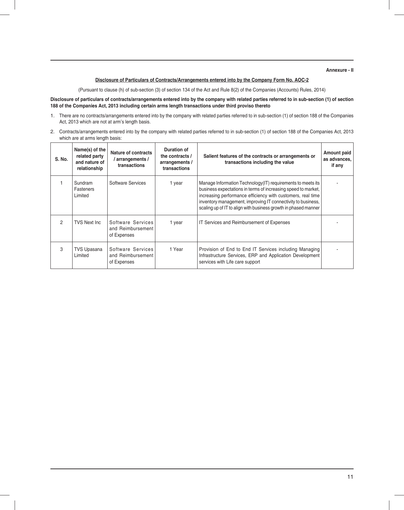**Annexure - II**

# **Disclosure of Particulars of Contracts/Arrangements entered into by the Company Form No. AOC-2**

(Pursuant to clause (h) of sub-section (3) of section 134 of the Act and Rule 8(2) of the Companies (Accounts) Rules, 2014)

**Disclosure of particulars of contracts/arrangements entered into by the company with related parties referred to in sub-section (1) of section 188 of the Companies Act, 2013 including certain arms length transactions under third proviso thereto**

- 1. There are no contracts/arrangements entered into by the company with related parties referred to in sub-section (1) of section 188 of the Companies Act, 2013 which are not at arm's length basis.
- 2. Contracts/arrangements entered into by the company with related parties referred to in sub-section (1) of section 188 of the Companies Act, 2013 which are at arms length basis:

| S. No.        | Name(s) of the<br>related party<br>and nature of<br>relationship | Nature of contracts<br>/ arrangements /<br>transactions | Duration of<br>the contracts /<br>arrangements /<br>transactions | Salient features of the contracts or arrangements or<br>transactions including the value                                                                                                                                                                                                                                        | Amount paid<br>as advances,<br>if any |
|---------------|------------------------------------------------------------------|---------------------------------------------------------|------------------------------------------------------------------|---------------------------------------------------------------------------------------------------------------------------------------------------------------------------------------------------------------------------------------------------------------------------------------------------------------------------------|---------------------------------------|
|               | Sundram<br>Fasteners<br>Limited                                  | Software Services                                       | 1 year                                                           | Manage Information Technology (IT) requirements to meets its<br>business expectations in terms of increasing speed to market,<br>increasing performance efficiency with customers, real time<br>inventory management, improving IT connectivity to business,<br>scaling up of IT to align with business growth in phased manner |                                       |
| $\mathcal{P}$ | TVS Next Inc                                                     | Software Services<br>and Reimbursement<br>of Expenses   | 1 year                                                           | IT Services and Reimbursement of Expenses                                                                                                                                                                                                                                                                                       |                                       |
| 3             | <b>TVS Upasana</b><br>Limited                                    | Software Services<br>and Reimbursement<br>of Expenses   | 1 Year                                                           | Provision of End to End IT Services including Managing<br>Infrastructure Services, ERP and Application Development<br>services with Life care support                                                                                                                                                                           |                                       |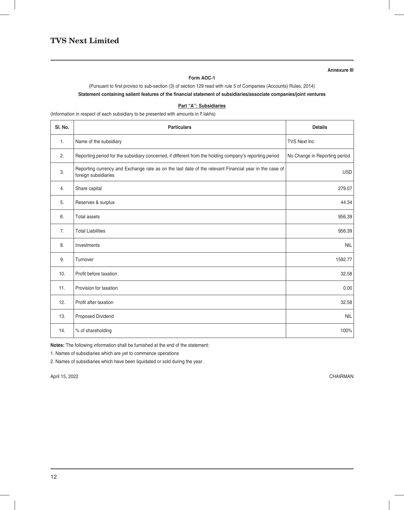# **Annexure III**

# **Form AOC-1**

(Pursuant to first proviso to sub-section (3) of section 129 read with rule 5 of Companies (Accounts) Rules, 2014)

# Statement containing salient features of the financial statement of subsidiaries/associate companies/joint ventures

# **Part "A": Subsidiaries**

(Information in respect of each subsidiary to be presented with amounts in  $\bar{\tau}$  lakhs)

| SI. No. | <b>Particulars</b>                                                                                                             | <b>Details</b>                |
|---------|--------------------------------------------------------------------------------------------------------------------------------|-------------------------------|
| 1.      | Name of the subsidiary                                                                                                         | TVS Next Inc                  |
| 2.      | Reporting period for the subsidiary concerned, if different from the holding company's reporting period                        | No Change in Reporting period |
| 3.      | Reporting currency and Exchange rate as on the last date of the relevant Financial year in the case of<br>foreign subsidiaries | <b>USD</b>                    |
| 4.      | Share capital                                                                                                                  | 279.07                        |
| 5.      | Reserves & surplus                                                                                                             | 44.34                         |
| 6.      | Total assets                                                                                                                   | 956.39                        |
| 7.      | <b>Total Liabilities</b>                                                                                                       | 956.39                        |
| 8.      | Investments                                                                                                                    | <b>NIL</b>                    |
| 9.      | Turnover                                                                                                                       | 1592.77                       |
| 10.     | Profit before taxation                                                                                                         | 32.58                         |
| 11.     | Provision for taxation                                                                                                         | 0.00                          |
| 12.     | Profit after taxation                                                                                                          | 32.58                         |
| 13.     | Proposed Dividend                                                                                                              | <b>NIL</b>                    |
| 14.     | % of shareholding                                                                                                              | 100%                          |

**Notes:** The following information shall be furnished at the end of the statement:

1. Names of subsidiaries which are yet to commence operations

2. Names of subsidiaries which have been liquidated or sold during the year.

April 15, 2022 CHAIRMAN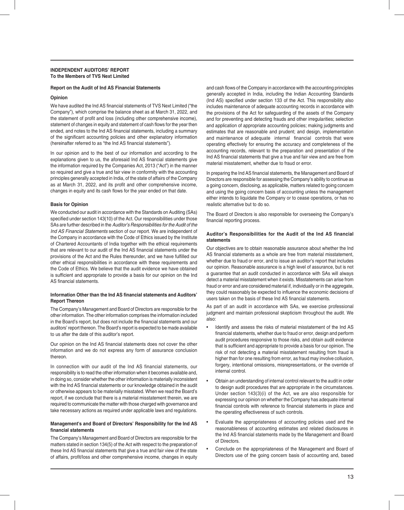#### **INDEPENDENT AUDITORS' REPORT To the Members of TVS Next Limited**

#### **Report on the Audit of Ind AS Financial Statements**

#### **Opinion**

We have audited the Ind AS financial statements of TVS Next Limited ("the Company"), which comprise the balance sheet as at March 31, 2022, and the statement of profit and loss (including other comprehensive income), statement of changes in equity and statement of cash flows for the year then ended, and notes to the Ind AS financial statements, including a summary of the significant accounting policies and other explanatory information (hereinafter referred to as "the Ind AS financial statements").

In our opinion and to the best of our information and according to the explanations given to us, the aforesaid Ind AS financial statements give the information required by the Companies Act, 2013 ("Act") in the manner so required and give a true and fair view in conformity with the accounting principles generally accepted in India, of the state of affairs of the Company as at March 31, 2022, and its profit and other comprehensive income, changes in equity and its cash flows for the year ended on that date.

#### **Basis for Opinion**

We conducted our audit in accordance with the Standards on Auditing (SAs) specified under section 143(10) of the Act. Our responsibilities under those SAs are further described in the *Auditor's Responsibilities for the Audit of the Ind AS Financial Statements* section of our report. We are independent of the Company in accordance with the Code of Ethics issued by the Institute of Chartered Accountants of India together with the ethical requirements that are relevant to our audit of the Ind AS financial statements under the provisions of the Act and the Rules thereunder, and we have fulfilled our other ethical responsibilities in accordance with these requirements and the Code of Ethics. We believe that the audit evidence we have obtained is sufficient and appropriate to provide a basis for our opinion on the Ind AS financial statements.

## **Information Other than the Ind AS financial statements and Auditors' Report Thereon**

The Company's Management and Board of Directors are responsible for the other information. The other information comprises the information included in the Board's report, but does not include the financial statements and our auditors' report thereon. The Board's report is expected to be made available to us after the date of this auditor's report.

Our opinion on the Ind AS financial statements does not cover the other information and we do not express any form of assurance conclusion thereon.

In connection with our audit of the Ind AS financial statements, our responsibility is to read the other information when it becomes available and, in doing so, consider whether the other information is materially inconsistent with the Ind AS financial statements or our knowledge obtained in the audit or otherwise appears to be materially misstated. When we read the Board's report, if we conclude that there is a material misstatement therein, we are required to communicate the matter with those charged with governance and take necessary actions as required under applicable laws and regulations.

#### **Management's and Board of Directors' Responsibility for the Ind AS fi nancial statements**

The Company's Management and Board of Directors are responsible for the matters stated in section 134(5) of the Act with respect to the preparation of these Ind AS financial statements that give a true and fair view of the state of affairs, profit/loss and other comprehensive income, changes in equity and cash flows of the Company in accordance with the accounting principles generally accepted in India, including the Indian Accounting Standards (Ind AS) specified under section 133 of the Act. This responsibility also includes maintenance of adequate accounting records in accordance with the provisions of the Act for safeguarding of the assets of the Company and for preventing and detecting frauds and other irregularities; selection and application of appropriate accounting policies; making judgments and estimates that are reasonable and prudent; and design, implementation and maintenance of adequate internal financial controls that were operating effectively for ensuring the accuracy and completeness of the accounting records, relevant to the preparation and presentation of the Ind AS financial statements that give a true and fair view and are free from material misstatement, whether due to fraud or error.

In preparing the Ind AS financial statements, the Management and Board of Directors are responsible for assessing the Company's ability to continue as a going concern, disclosing, as applicable, matters related to going concern and using the going concern basis of accounting unless the management either intends to liquidate the Company or to cease operations, or has no realistic alternative but to do so.

The Board of Directors is also responsible for overseeing the Company's financial reporting process.

#### **Auditor's Responsibilities for the Audit of the Ind AS financial statements**

Our objectives are to obtain reasonable assurance about whether the Ind AS financial statements as a whole are free from material misstatement, whether due to fraud or error, and to issue an auditor's report that includes our opinion. Reasonable assurance is a high level of assurance, but is not a guarantee that an audit conducted in accordance with SAs will always detect a material misstatement when it exists. Misstatements can arise from fraud or error and are considered material if, individually or in the aggregate, they could reasonably be expected to influence the economic decisions of users taken on the basis of these Ind AS financial statements.

As part of an audit in accordance with SAs, we exercise professional judgment and maintain professional skepticism throughout the audit. We also:

- Identify and assess the risks of material misstatement of the Ind AS financial statements, whether due to fraud or error, design and perform audit procedures responsive to those risks, and obtain audit evidence that is sufficient and appropriate to provide a basis for our opinion. The risk of not detecting a material misstatement resulting from fraud is higher than for one resulting from error, as fraud may involve collusion, forgery, intentional omissions, misrepresentations, or the override of internal control.
- Obtain an understanding of internal control relevant to the audit in order to design audit procedures that are appropriate in the circumstances. Under section 143(3)(i) of the Act, we are also responsible for expressing our opinion on whether the Company has adequate internal financial controls with reference to financial statements in place and the operating effectiveness of such controls.
- Evaluate the appropriateness of accounting policies used and the reasonableness of accounting estimates and related disclosures in the Ind AS financial statements made by the Management and Board of Directors.
- Conclude on the appropriateness of the Management and Board of Directors use of the going concern basis of accounting and, based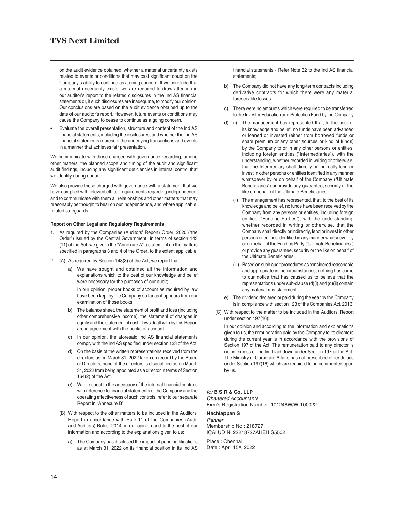on the audit evidence obtained, whether a material uncertainty exists related to events or conditions that may cast significant doubt on the Company's ability to continue as a going concern. If we conclude that a material uncertainty exists, we are required to draw attention in our auditor's report to the related disclosures in the Ind AS financial statements or, if such disclosures are inadequate, to modify our opinion. Our conclusions are based on the audit evidence obtained up to the date of our auditor's report. However, future events or conditions may cause the Company to cease to continue as a going concern.

• Evaluate the overall presentation, structure and content of the Ind AS financial statements, including the disclosures, and whether the Ind AS financial statements represent the underlying transactions and events in a manner that achieves fair presentation.

We communicate with those charged with governance regarding, among other matters, the planned scope and timing of the audit and significant audit findings, including any significant deficiencies in internal control that we identify during our audit.

We also provide those charged with governance with a statement that we have complied with relevant ethical requirements regarding independence, and to communicate with them all relationships and other matters that may reasonably be thought to bear on our independence, and where applicable, related safeguards.

#### **Report on Other Legal and Regulatory Requirements**

- 1. As required by the Companies (Auditors' Report) Order, 2020 ("the Order") issued by the Central Government in terms of section 143 (11) of the Act, we give in the "Annexure A" a statement on the matters specified in paragraphs 3 and 4 of the Order, to the extent applicable.
- 2. (A) As required by Section 143(3) of the Act, we report that:
	- a) We have sought and obtained all the information and explanations which to the best of our knowledge and belief were necessary for the purposes of our audit;

 In our opinion, proper books of account as required by law have been kept by the Company so far as it appears from our examination of those books;

- b) The balance sheet, the statement of profit and loss (including other comprehensive income), the statement of changes in equity and the statement of cash flows dealt with by this Report are in agreement with the books of account.
- c) In our opinion, the aforesaid Ind AS financial statements comply with the Ind AS specified under section 133 of the Act.
- d) On the basis of the written representations received from the directors as on March 31, 2022 taken on record by the Board of Directors, none of the directors is disqualified as on March 31, 2022 from being appointed as a director in terms of Section 164(2) of the Act.
- e) With respect to the adequacy of the internal financial controls with reference to financial statements of the Company and the operating effectiveness of such controls, refer to our separate Report in "Annexure B".
- (B) With respect to the other matters to be included in the Auditors' Report in accordance with Rule 11 of the Companies (Audit and Auditors) Rules, 2014, in our opinion and to the best of our information and according to the explanations given to us:
	- a) The Company has disclosed the impact of pending litigations as at March 31, 2022 on its financial position in its Ind AS

financial statements - Refer Note 32 to the Ind AS financial statements;

- b) The Company did not have any long-term contracts including derivative contracts for which there were any material foreseeable losses.
- c) There were no amounts which were required to be transferred to the Investor Education and Protection Fund by the Company
- d) (i) The management has represented that, to the best of its knowledge and belief, no funds have been advanced or loaned or invested (either from borrowed funds or share premium or any other sources or kind of funds) by the Company to or in any other persons or entities, including foreign entities ("Intermediaries"), with the understanding, whether recorded in writing or otherwise, that the Intermediary shall directly or indirectly lend or invest in other persons or entities identified in any manner whatsoever by or on behalf of the Company ("Ultimate Beneficiaries") or provide any quarantee, security or the like on behalf of the Ultimate Beneficiaries;
	- (ii) The management has represented, that, to the best of its knowledge and belief, no funds have been received by the Company from any persons or entities, including foreign entities ("Funding Parties"), with the understanding, whether recorded in writing or otherwise, that the Company shall directly or indirectly, lend or invest in other persons or entities identified in any manner whatsoever by or on behalf of the Funding Party ("Ultimate Beneficiaries") or provide any guarantee, security or the like on behalf of the Ultimate Beneficiaries;
	- (iii) Based on such audit procedures as considered reasonable and appropriate in the circumstances, nothing has come to our notice that has caused us to believe that the representations under sub-clause (d)(i) and (d)(ii) contain any material mis-statement.
- e) The dividend declared or paid during the year by the Company is in compliance with section 123 of the Companies Act, 2013.
- (C) With respect to the matter to be included in the Auditors' Report under section 197(16):

 In our opinion and according to the information and explanations given to us, the remuneration paid by the Company to its directors during the current year is in accordance with the provisions of Section 197 of the Act. The remuneration paid to any director is not in excess of the limit laid down under Section 197 of the Act. The Ministry of Corporate Affairs has not prescribed other details under Section 197(16) which are required to be commented upon by us.

# *for* **B S R & Co. LLP**

*Chartered Accountants* Firm's Registration Number: 101248W/W-100022

# **Nachiappan S**

*Partner* Membership No.: 218727 ICAI UDIN: 22218727AHEHIS5502

Place : Chennai Date: April 15<sup>th</sup>, 2022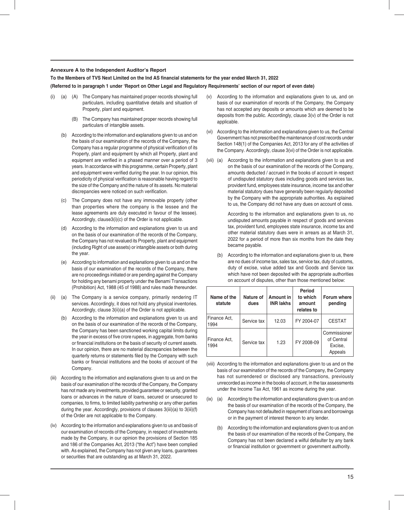#### **Annexure A to the Independent Auditor's Report**

# To the Members of TVS Next Limited on the Ind AS financial statements for the year ended March 31, 2022

# **(Referred to in paragraph 1 under 'Report on Other Legal and Regulatory Requirements' section of our report of even date)**

- (a) (A) The Company has maintained proper records showing full particulars, including quantitative details and situation of Property, plant and equipment.
	- (B) The Company has maintained proper records showing full particulars of intangible assets.
	- (b) According to the information and explanations given to us and on the basis of our examination of the records of the Company, the Company has a regular programme of physical verification of its Property, plant and equipment by which all Property, plant and equipment are verified in a phased manner over a period of 3 years. In accordance with this programme, certain Property, plant and equipment were verified during the year. In our opinion, this periodicity of physical verification is reasonable having regard to the size of the Company and the nature of its assets. No material discrepancies were noticed on such verification.
	- (c) The Company does not have any immovable property (other than properties where the company is the lessee and the lease agreements are duly executed in favour of the lessee). Accordingly, clause3(i)(c) of the Order is not applicable.
	- (d) According to the information and explanations given to us and on the basis of our examination of the records of the Company, the Company has not revalued its Property, plant and equipment (including Right of use assets) or intangible assets or both during the year.
	- (e) According to information and explanations given to us and on the basis of our examination of the records of the Company, there are no proceedings initiated or are pending against the Company for holding any benami property under the Benami Transactions (Prohibition) Act, 1988 (45 of 1988) and rules made thereunder.
- (ii) (a) The Company is a service company, primarily rendering IT services. Accordingly, it does not hold any physical inventories. Accordingly, clause 3(ii)(a) of the Order is not applicable.
	- (b) According to the information and explanations given to us and on the basis of our examination of the records of the Company, the Company has been sanctioned working capital limits during the year in excess of five crore rupees, in aggregate, from banks or financial institutions on the basis of security of current assets. In our opinion, there are no material discrepancies between the quarterly returns or statements filed by the Company with such banks or financial institutions and the books of account of the Company.
- (iii) According to the information and explanations given to us and on the basis of our examination of the records of the Company, the Company has not made any investments, provided guarantee or security, granted loans or advances in the nature of loans, secured or unsecured to companies, to firms, to limited liability partnership or any other parties during the year. Accordingly, provisions of clauses 3(iii)(a) to 3(iii)(f) of the Order are not applicable to the Company.
- (iv) According to the information and explanations given to us and basis of our examination of records of the Company, in respect of investments made by the Company, in our opinion the provisions of Section 185 and 186 of the Companies Act, 2013 ("the Act") have been complied with. As explained, the Company has not given any loans, guarantees or securities that are outstanding as at March 31, 2022.
- (v) According to the information and explanations given to us, and on basis of our examination of records of the Company, the Company has not accepted any deposits or amounts which are deemed to be deposits from the public. Accordingly, clause 3(v) of the Order is not applicable.
- (vi) According to the information and explanations given to us, the Central Government has not prescribed the maintenance of cost records under Section 148(1) of the Companies Act, 2013 for any of the activities of the Company. Accordingly, clause 3(vi) of the Order is not applicable.
- (vii) (a) According to the information and explanations given to us and on the basis of our examination of the records of the Company, amounts deducted / accrued in the books of account in respect of undisputed statutory dues including goods and services tax, provident fund, employees state insurance, income tax and other material statutory dues have generally been regularly deposited by the Company with the appropriate authorities. As explained to us, the Company did not have any dues on account of cess.

 According to the information and explanations given to us, no undisputed amounts payable in respect of goods and services tax, provident fund, employees state insurance, income tax and other material statutory dues were in arrears as at March 31, 2022 for a period of more than six months from the date they became payable.

 (b) According to the information and explanations given to us, there are no dues of income tax, sales tax, service tax, duty of customs, duty of excise, value added tax and Goods and Service tax which have not been deposited with the appropriate authorities on account of disputes, other than those mentioned below:

| Name of the<br>statute | Nature of<br>dues | Amount in<br><b>INR lakhs</b> | Period<br>to which<br>amount<br>relates to | Forum where<br>pending                           |
|------------------------|-------------------|-------------------------------|--------------------------------------------|--------------------------------------------------|
| Finance Act,<br>1994   | Service tax       | 12.03                         | FY 2004-07                                 | <b>CESTAT</b>                                    |
| Finance Act,<br>1994   | Service tax       | 1.23                          | FY 2008-09                                 | Commissioner<br>of Central<br>Excise,<br>Appeals |

- (viii) According to the information and explanations given to us and on the basis of our examination of the records of the Company, the Company has not surrendered or disclosed any transactions, previously unrecorded as income in the books of account, in the tax assessments under the Income Tax Act, 1961 as income during the year.
- (ix) (a) According to the information and explanations given to us and on the basis of our examination of the records of the Company, the Company has not defaulted in repayment of loans and borrowings or in the payment of interest thereon to any lender.
	- (b) According to the information and explanations given to us and on the basis of our examination of the records of the Company, the Company has not been declared a wilful defaulter by any bank or financial institution or government or government authority.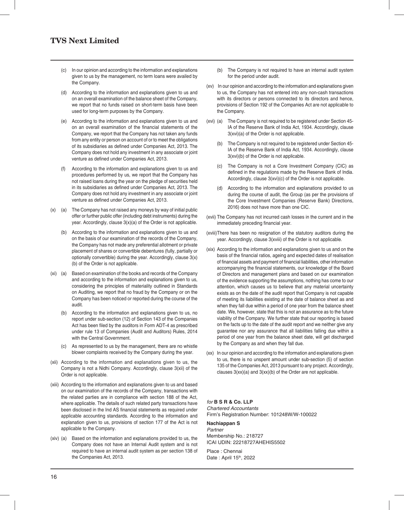- (c) In our opinion and according to the information and explanations given to us by the management, no term loans were availed by the Company.
- (d) According to the information and explanations given to us and on an overall examination of the balance sheet of the Company, we report that no funds raised on short-term basis have been used for long-term purposes by the Company.
- (e) According to the information and explanations given to us and on an overall examination of the financial statements of the Company, we report that the Company has not taken any funds from any entity or person on account of or to meet the obligations of its subsidiaries as defined under Companies Act, 2013. The Company does not hold any investment in any associate or joint venture as defined under Companies Act, 2013.
- (f) According to the information and explanations given to us and procedures performed by us, we report that the Company has not raised loans during the year on the pledge of securities held in its subsidiaries as defined under Companies Act, 2013. The Company does not hold any investment in any associate or joint venture as defined under Companies Act, 2013.
- (x) (a) The Company has not raised any moneys by way of initial public offer or further public offer (including debt instruments) during the year. Accordingly, clause 3(x)(a) of the Order is not applicable.
	- (b) According to the information and explanations given to us and on the basis of our examination of the records of the Company, the Company has not made any preferential allotment or private placement of shares or convertible debentures (fully, partially or optionally convertible) during the year. Accordingly, clause 3(x) (b) of the Order is not applicable.
- (xi) (a) Based on examination of the books and records of the Company and according to the information and explanations given to us, considering the principles of materiality outlined in Standards on Auditing, we report that no fraud by the Company or on the Company has been noticed or reported during the course of the audit.
	- (b) According to the information and explanations given to us, no report under sub-section (12) of Section 143 of the Companies Act has been filed by the auditors in Form ADT-4 as prescribed under rule 13 of Companies (Audit and Auditors) Rules, 2014 with the Central Government.
	- (c) As represented to us by the management, there are no whistle blower complaints received by the Company during the year.
- (xii) According to the information and explanations given to us, the Company is not a Nidhi Company. Accordingly, clause 3(xii) of the Order is not applicable.
- (xiii) According to the information and explanations given to us and based on our examination of the records of the Company, transactions with the related parties are in compliance with section 188 of the Act, where applicable. The details of such related party transactions have been disclosed in the Ind AS financial statements as required under applicable accounting standards. According to the information and explanation given to us, provisions of section 177 of the Act is not applicable to the Company.
- (xiv) (a) Based on the information and explanations provided to us, the Company does not have an Internal Audit system and is not required to have an internal audit system as per section 138 of the Companies Act, 2013.
- (b) The Company is not required to have an internal audit system for the period under audit.
- (xv) In our opinion and according to the information and explanations given to us, the Company has not entered into any non-cash transactions with its directors or persons connected to its directors and hence. provisions of Section 192 of the Companies Act are not applicable to the Company.
- (xvi) (a) The Company is not required to be registered under Section 45- IA of the Reserve Bank of India Act, 1934. Accordingly, clause 3(xvi)(a) of the Order is not applicable.
	- (b) The Company is not required to be registered under Section 45- IA of the Reserve Bank of India Act, 1934. Accordingly, clause 3(xvi)(b) of the Order is not applicable.
	- (c) The Company is not a Core Investment Company (CIC) as defined in the regulations made by the Reserve Bank of India. Accordingly, clause 3(xvi)(c) of the Order is not applicable.
	- (d) According to the information and explanations provided to us during the course of audit, the Group (as per the provisions of the Core Investment Companies (Reserve Bank) Directions, 2016) does not have more than one CIC.
- (xvii) The Company has not incurred cash losses in the current and in the immediately preceding financial year.
- (xviii) There has been no resignation of the statutory auditors during the year. Accordingly, clause 3(xviii) of the Order is not applicable.
- (xix) According to the information and explanations given to us and on the basis of the financial ratios, ageing and expected dates of realisation of financial assets and payment of financial liabilities, other information accompanying the financial statements, our knowledge of the Board of Directors and management plans and based on our examination of the evidence supporting the assumptions, nothing has come to our attention, which causes us to believe that any material uncertainty exists as on the date of the audit report that Company is not capable of meeting its liabilities existing at the date of balance sheet as and when they fall due within a period of one year from the balance sheet date. We, however, state that this is not an assurance as to the future viability of the Company. We further state that our reporting is based on the facts up to the date of the audit report and we neither give any guarantee nor any assurance that all liabilities falling due within a period of one year from the balance sheet date, will get discharged by the Company as and when they fall due.
- (xx) In our opinion and according to the information and explanations given to us, there is no unspent amount under sub-section (5) of section 135 of the Companies Act, 2013 pursuant to any project. Accordingly, clauses 3(xx)(a) and 3(xx)(b) of the Order are not applicable.

# *for* **B S R & Co. LLP**

*Chartered Accountants* Firm's Registration Number: 101248W/W-100022

# **Nachiappan S**

*Partner* Membership No.: 218727 ICAI UDIN: 22218727AHEHIS5502

Place : Chennai Date: April 15<sup>th</sup>, 2022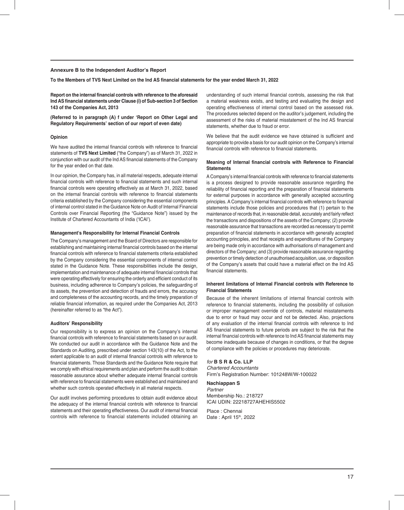#### **Annexure B to the Independent Auditor's Report**

To the Members of TVS Next Limited on the Ind AS financial statements for the year ended March 31, 2022

Report on the internal financial controls with reference to the aforesaid Ind AS financial statements under Clause (i) of Sub-section 3 of Section **143 of the Companies Act, 2013**

**(Referred to in paragraph (A) f under 'Report on Other Legal and Regulatory Requirements' section of our report of even date)**

#### **Opinion**

We have audited the internal financial controls with reference to financial statements of **TVS Next Limited** ("the Company") as of March 31, 2022 in conjunction with our audit of the Ind AS financial statements of the Company for the year ended on that date.

In our opinion, the Company has, in all material respects, adequate internal financial controls with reference to financial statements and such internal financial controls were operating effectively as at March 31, 2022, based on the internal financial controls with reference to financial statements criteria established by the Company considering the essential components of internal control stated in the Guidance Note on Audit of Internal Financial Controls over Financial Reporting (the "Guidance Note") issued by the Institute of Chartered Accountants of India ('ICAI').

#### **Management's Responsibility for Internal Financial Controls**

The Company's management and the Board of Directors are responsible for establishing and maintaining internal financial controls based on the internal financial controls with reference to financial statements criteria established by the Company considering the essential components of internal control stated in the Guidance Note. These responsibilities include the design, implementation and maintenance of adequate internal financial controls that were operating effectively for ensuring the orderly and efficient conduct of its business, including adherence to Company's policies, the safeguarding of its assets, the prevention and detection of frauds and errors, the accuracy and completeness of the accounting records, and the timely preparation of reliable financial information, as required under the Companies Act, 2013 (hereinafter referred to as "the Act").

#### **Auditors' Responsibility**

Our responsibility is to express an opinion on the Company's internal financial controls with reference to financial statements based on our audit. We conducted our audit in accordance with the Guidance Note and the Standards on Auditing, prescribed under section 143(10) of the Act, to the extent applicable to an audit of internal financial controls with reference to financial statements. Those Standards and the Guidance Note require that we comply with ethical requirements and plan and perform the audit to obtain reasonable assurance about whether adequate internal financial controls with reference to financial statements were established and maintained and whether such controls operated effectively in all material respects.

Our audit involves performing procedures to obtain audit evidence about the adequacy of the internal financial controls with reference to financial statements and their operating effectiveness. Our audit of internal financial controls with reference to financial statements included obtaining an understanding of such internal financial controls, assessing the risk that a material weakness exists, and testing and evaluating the design and operating effectiveness of internal control based on the assessed risk. The procedures selected depend on the auditor's judgement, including the assessment of the risks of material misstatement of the Ind AS financial statements, whether due to fraud or error.

We believe that the audit evidence we have obtained is sufficient and appropriate to provide a basis for our audit opinion on the Company's internal financial controls with reference to financial statements.

### **Meaning of Internal financial controls with Reference to Financial Statements**

A Company's internal financial controls with reference to financial statements is a process designed to provide reasonable assurance regarding the reliability of financial reporting and the preparation of financial statements for external purposes in accordance with generally accepted accounting principles. A Company's internal financial controls with reference to financial statements include those policies and procedures that (1) pertain to the maintenance of records that, in reasonable detail, accurately and fairly reflect the transactions and dispositions of the assets of the Company; (2) provide reasonable assurance that transactions are recorded as necessary to permit preparation of financial statements in accordance with generally accepted accounting principles, and that receipts and expenditures of the Company are being made only in accordance with authorisations of management and directors of the Company; and (3) provide reasonable assurance regarding prevention or timely detection of unauthorised acquisition, use, or disposition of the Company's assets that could have a material effect on the Ind AS financial statements.

#### **Inherent limitations of Internal Financial controls with Reference to Financial Statements**

Because of the inherent limitations of internal financial controls with reference to financial statements, including the possibility of collusion or improper management override of controls, material misstatements due to error or fraud may occur and not be detected. Also, projections of any evaluation of the internal financial controls with reference to Ind AS financial statements to future periods are subject to the risk that the internal financial controls with reference to Ind AS financial statements may become inadequate because of changes in conditions, or that the degree of compliance with the policies or procedures may deteriorate.

#### *for* **B S R & Co. LLP** *Chartered Accountants* Firm's Registration Number: 101248W/W-100022

#### **Nachiappan S**

*Partner* Membership No.: 218727 ICAI UDIN: 22218727AHEHIS5502

Place : Chennai Date: April 15th, 2022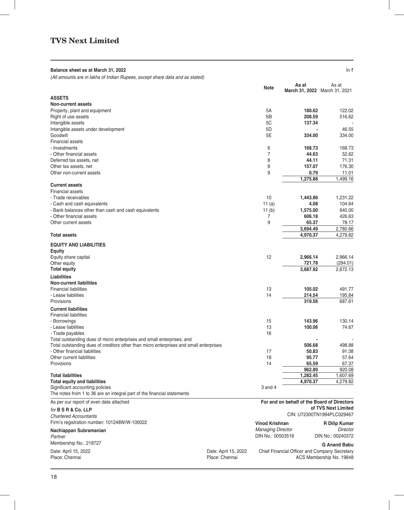# **Balance sheet as at March 31, 2022** In  $\bar{z}$

*(All amounts are in lakhs of Indian Rupees, except share data and as stated)*

|                                                                                        |                      | <b>Note</b>              | As at                                         | As at                            |
|----------------------------------------------------------------------------------------|----------------------|--------------------------|-----------------------------------------------|----------------------------------|
|                                                                                        |                      |                          | March 31, 2022 March 31, 2021                 |                                  |
| <b>ASSETS</b>                                                                          |                      |                          |                                               |                                  |
| <b>Non-current assets</b>                                                              |                      |                          |                                               |                                  |
| Property, plant and equipment                                                          |                      | 5A                       | 180.62                                        | 122.02                           |
| Right of use assets                                                                    |                      | 5B                       | 208.59                                        | 516.62                           |
| Intangible assets                                                                      |                      | 5C                       | 137.34                                        |                                  |
| Intangible assets under development                                                    |                      | 5D                       |                                               | 46.55                            |
| Goodwill                                                                               |                      | 5E                       | 334.00                                        | 334.00                           |
| <b>Financial assets</b>                                                                |                      |                          |                                               |                                  |
| - Investments                                                                          |                      | 6                        | 168.73                                        | 168.73                           |
| - Other financial assets                                                               |                      | $\overline{7}$           | 44.63                                         | 52.62                            |
| Deferred tax assets, net                                                               |                      | 8                        | 44.11                                         | 71.31                            |
| Other tax assets, net                                                                  |                      | 8                        | 157.07                                        | 176.30                           |
| Other non-current assets                                                               |                      | 9                        | 0.79                                          | 11.01                            |
| <b>Current assets</b>                                                                  |                      |                          | 1,275.88                                      | 1,499.16                         |
| <b>Financial assets</b>                                                                |                      |                          |                                               |                                  |
| - Trade receivables                                                                    |                      | 10                       | 1,443.86                                      | 1,231.22                         |
| - Cash and cash equivalents                                                            |                      | 11 $(a)$                 | 4.08                                          | 104.64                           |
| - Bank balances other than cash and cash equivalents                                   |                      | 11(b)                    | 1,575.00                                      | 940.00                           |
| - Other financial assets                                                               |                      | 7                        | 606.18                                        | 426.63                           |
| Other current assets                                                                   |                      | 9                        | 65.37                                         | 78.17                            |
|                                                                                        |                      |                          | 3,694.49                                      | 2.780.66                         |
| <b>Total assets</b>                                                                    |                      |                          | 4,970.37                                      | 4,279.82                         |
|                                                                                        |                      |                          |                                               |                                  |
| <b>EQUITY AND LIABILITIES</b><br><b>Equity</b>                                         |                      |                          |                                               |                                  |
| Equity share capital                                                                   |                      | 12                       | 2,966.14                                      | 2.966.14                         |
| Other equity                                                                           |                      |                          | 721.78                                        | (294.01)                         |
| <b>Total equity</b>                                                                    |                      |                          | 3,687.92                                      | 2,672.13                         |
| <b>Liabilities</b>                                                                     |                      |                          |                                               |                                  |
| <b>Non-current liabilities</b>                                                         |                      |                          |                                               |                                  |
| <b>Financial liabilities</b>                                                           |                      | 13                       | 105.02                                        | 491.77                           |
| - Lease liabilities                                                                    |                      | 14                       | 214.54                                        | 195.84                           |
| Provisions                                                                             |                      |                          | 319.56                                        | 687.61                           |
| <b>Current liabilities</b>                                                             |                      |                          |                                               |                                  |
| <b>Financial liabilities</b>                                                           |                      |                          |                                               |                                  |
| - Borrowings                                                                           |                      | 15                       | 143.96                                        | 130.14                           |
| - Lease liabilities                                                                    |                      | 13                       | 100.06                                        | 74.67                            |
| - Trade payables                                                                       |                      | 16                       |                                               |                                  |
| Total outstanding dues of micro enterprises and small enterprises; and                 |                      |                          |                                               |                                  |
| Total outstanding dues of creditors other than micro enterprises and small enterprises |                      |                          | 506.68                                        | 498.88                           |
| - Other financial liabilities                                                          |                      | 17                       | 50.83                                         | 91.38                            |
| Other current liabilities                                                              |                      | 18                       | 95.77                                         | 57.64                            |
| Provisions                                                                             |                      | 14                       | 65.59                                         | 67.37                            |
|                                                                                        |                      |                          | 962.89                                        | 920.08                           |
| <b>Total liabilities</b>                                                               |                      |                          | 1,282.45                                      | 1,607.69                         |
| <b>Total equity and liabilities</b>                                                    |                      |                          | 4,970.37                                      | 4,279.82                         |
| Significant accounting policies                                                        |                      | 3 and 4                  |                                               |                                  |
| The notes from 1 to 36 are an integral part of the financial statements                |                      |                          |                                               |                                  |
| As per our report of even date attached                                                |                      |                          | For and on behalf of the Board of Directors   |                                  |
| for <b>B S R &amp; Co. LLP</b>                                                         |                      |                          |                                               | of TVS Next Limited              |
| <b>Chartered Accountants</b>                                                           |                      |                          |                                               | CIN: U72300TN1994PLC029467       |
| Firm's registration number: 101248W/W-100022                                           |                      |                          |                                               |                                  |
|                                                                                        |                      | <b>Vinod Krishnan</b>    |                                               | R Dilip Kumar<br><b>Director</b> |
| Nachiappan Subramanian                                                                 |                      | <b>Managing Director</b> |                                               |                                  |
| Partner                                                                                |                      | DIN No.: 00503518        |                                               | DIN No.: 00240372                |
| Membership No.: 218727                                                                 |                      |                          |                                               | <b>G Anand Babu</b>              |
| Date: April 15, 2022                                                                   | Date: April 15, 2022 |                          | Chief Financial Officer and Company Secretary |                                  |

Date: April 15, 2022 Chief Financial Officer and Company Secretary<br>Place: Chennai ACS Membership No. 19848 ACS Membership No. 19848

Date: April 15, 2022 Place: Chennai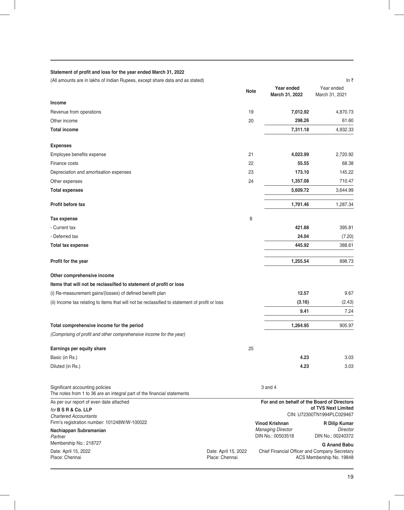# Statement of profit and loss for the year ended March 31, 2022

(All amounts are in lakhs of Indian Rupees, except share data and as stated) In  $\bar{\tau}$ 

|                                                                                                            |                                        | <b>Note</b>                                       | Year ended<br>March 31, 2022 | Year ended<br>March 31, 2021                                                                     |
|------------------------------------------------------------------------------------------------------------|----------------------------------------|---------------------------------------------------|------------------------------|--------------------------------------------------------------------------------------------------|
| Income                                                                                                     |                                        |                                                   |                              |                                                                                                  |
| Revenue from operations                                                                                    |                                        | 19                                                | 7,012.92                     | 4,870.73                                                                                         |
| Other income                                                                                               |                                        | 20                                                | 298.26                       | 61.60                                                                                            |
| <b>Total income</b>                                                                                        |                                        |                                                   | 7,311.18                     | 4,932.33                                                                                         |
| <b>Expenses</b>                                                                                            |                                        |                                                   |                              |                                                                                                  |
| Employee benefits expense                                                                                  |                                        | 21                                                | 4,023.99                     | 2,720.92                                                                                         |
| Finance costs                                                                                              |                                        | 22                                                | 55.55                        | 68.38                                                                                            |
| Depreciation and amortisation expenses                                                                     |                                        | 23                                                | 173.10                       | 145.22                                                                                           |
| Other expenses                                                                                             |                                        | 24                                                | 1,357.08                     | 710.47                                                                                           |
| <b>Total expenses</b>                                                                                      |                                        |                                                   | 5,609.72                     | 3,644.99                                                                                         |
| Profit before tax                                                                                          |                                        |                                                   | 1,701.46                     | 1,287.34                                                                                         |
| Tax expense                                                                                                |                                        | 8                                                 |                              |                                                                                                  |
| - Current tax                                                                                              |                                        |                                                   | 421.88                       | 395.81                                                                                           |
| - Deferred tax                                                                                             |                                        |                                                   | 24.04                        | (7.20)                                                                                           |
| <b>Total tax expense</b>                                                                                   |                                        |                                                   | 445.92                       | 388.61                                                                                           |
| Profit for the year                                                                                        |                                        |                                                   | 1,255.54                     | 898.73                                                                                           |
| Other comprehensive income                                                                                 |                                        |                                                   |                              |                                                                                                  |
| Items that will not be reclassified to statement of profit or loss                                         |                                        |                                                   |                              |                                                                                                  |
| (i) Re-measurement gains/(losses) of defined benefit plan                                                  |                                        |                                                   | 12.57                        | 9.67                                                                                             |
| (ii) Income tax relating to items that will not be reclassified to statement of profit or loss             |                                        |                                                   | (3.16)                       | (2.43)                                                                                           |
|                                                                                                            |                                        |                                                   | 9.41                         | 7.24                                                                                             |
| Total comprehensive income for the period                                                                  |                                        |                                                   | 1,264.95                     | 905.97                                                                                           |
| (Comprising of profit and other comprehensive income for the year)                                         |                                        |                                                   |                              |                                                                                                  |
| Earnings per equity share                                                                                  |                                        | 25                                                |                              |                                                                                                  |
| Basic (in Rs.)                                                                                             |                                        |                                                   | 4.23                         | 3.03                                                                                             |
| Diluted (in Rs.)                                                                                           |                                        |                                                   | 4.23                         | 3.03                                                                                             |
| Significant accounting policies<br>The notes from 1 to 36 are an integral part of the financial statements |                                        | 3 and 4                                           |                              |                                                                                                  |
| As per our report of even date attached                                                                    |                                        |                                                   |                              | For and on behalf of the Board of Directors<br>of TVS Next Limited                               |
| for B S R & Co. LLP<br><b>Chartered Accountants</b>                                                        |                                        |                                                   |                              | CIN: U72300TN1994PLC029467                                                                       |
| Firm's registration number: 101248W/W-100022                                                               |                                        | <b>Vinod Krishnan</b><br><b>Managing Director</b> |                              | <b>R Dilip Kumar</b><br>Director                                                                 |
| Nachiappan Subramanian<br>Partner                                                                          |                                        | DIN No.: 00503518                                 |                              | DIN No.: 00240372                                                                                |
| Membership No.: 218727<br>Date: April 15, 2022<br>Place: Chennai                                           | Date: April 15, 2022<br>Place: Chennai |                                                   |                              | <b>G Anand Babu</b><br>Chief Financial Officer and Company Secretary<br>ACS Membership No. 19848 |
|                                                                                                            |                                        |                                                   |                              |                                                                                                  |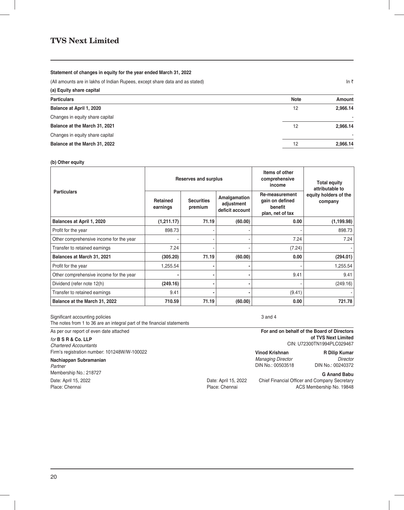# **Statement of changes in equity for the year ended March 31, 2022**

(All amounts are in lakhs of Indian Rupees, except share data and as stated) In  $\bar{\tau}$ 

| (a) Equity share capital        |             |          |  |
|---------------------------------|-------------|----------|--|
| <b>Particulars</b>              | <b>Note</b> | Amount   |  |
| Balance at April 1, 2020        | 12          | 2,966.14 |  |
| Changes in equity share capital |             | -        |  |
| Balance at the March 31, 2021   | 12          | 2,966.14 |  |
| Changes in equity share capital |             | ۰        |  |
| Balance at the March 31, 2022   | 12          | 2.966.14 |  |

# **(b) Other equity**

| <b>Particulars</b>                      |                      | Reserves and surplus         |                                               | Items of other<br>comprehensive<br>income                        | <b>Total equity</b><br>attributable to |  |
|-----------------------------------------|----------------------|------------------------------|-----------------------------------------------|------------------------------------------------------------------|----------------------------------------|--|
|                                         | Retained<br>earnings | <b>Securities</b><br>premium | Amalgamation<br>adjustment<br>deficit account | Re-measurement<br>gain on defined<br>benefit<br>plan, net of tax | equity holders of the<br>company       |  |
| Balances at April 1, 2020               | (1,211.17)           | 71.19                        | (60.00)                                       | 0.00                                                             | (1, 199.98)                            |  |
| Profit for the year                     | 898.73               |                              |                                               |                                                                  | 898.73                                 |  |
| Other comprehensive income for the year |                      |                              |                                               | 7.24                                                             | 7.24                                   |  |
| Transfer to retained earnings           | 7.24                 |                              |                                               | (7.24)                                                           |                                        |  |
| Balances at March 31, 2021              | (305.20)             | 71.19                        | (60.00)                                       | 0.00                                                             | (294.01)                               |  |
| Profit for the year                     | 1,255.54             |                              |                                               |                                                                  | 1,255.54                               |  |
| Other comprehensive income for the year |                      |                              |                                               | 9.41                                                             | 9.41                                   |  |
| Dividend (refer note 12(h)              | (249.16)             |                              |                                               |                                                                  | (249.16)                               |  |
| Transfer to retained earnings           | 9.41                 |                              |                                               | (9.41)                                                           |                                        |  |
| Balance at the March 31, 2022           | 710.59               | 71.19                        | (60.00)                                       | 0.00                                                             | 721.78                                 |  |

Significant accounting policies 3 and 4

The notes from 1 to 36 are an integral part of the financial statements

As per our report of even date attached *for* **B S R & Co. LLP** *Chartered Accountants*

Firm's registration number: 101248W/W-100022

#### **Nachiappan Subramanian**  *Partner*

Membership No.: 218727

Date: April 15, 2022 Place: Chennai

#### **For and on behalf of the Board of Directors of TVS Next Limited** CIN: U72300TN1994PLC029467

**Vinod Krishnan R Dilip Kumar**<br> *Manaqing Director Director Managing Director*<br>DIN No.: 00503518 DIN No.: 00240372

# **G Anand Babu**

Date: April 15, 2022 Chief Financial Officer and Company Secretary<br>Place: Chennai ACS Membership No. 19848 ACS Membership No. 19848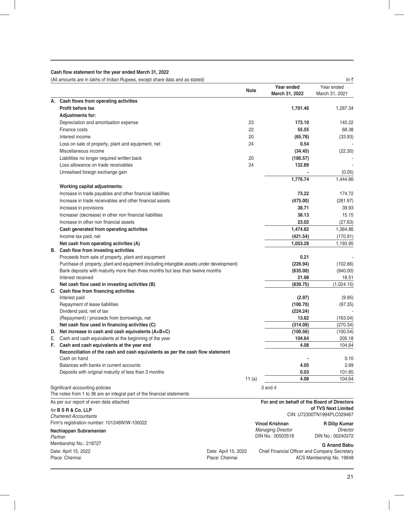# Cash flow statement for the year ended March 31, 2022

(All amounts are in lakhs of Indian Rupees, except share data and as stated) In  $\bar{x}$ 

|    |                                                                                                            | Note                 | Year ended<br>March 31, 2022                  |          | Year ended<br>March 31, 2021                      |
|----|------------------------------------------------------------------------------------------------------------|----------------------|-----------------------------------------------|----------|---------------------------------------------------|
|    | A. Cash flows from operating activities                                                                    |                      |                                               |          |                                                   |
|    | Profit before tax                                                                                          |                      | 1,701.46                                      |          | 1,287.34                                          |
|    | <b>Adjustments for:</b>                                                                                    |                      |                                               |          |                                                   |
|    | Depreciation and amortisation expense                                                                      | 23                   |                                               | 173.10   | 145.22                                            |
|    | Finance costs                                                                                              | 22                   |                                               | 55.55    | 68.38                                             |
|    | Interest income                                                                                            | 20                   |                                               | (65.78)  | (33.93)                                           |
|    | Loss on sale of property, plant and equipment, net                                                         | 24                   |                                               | 0.54     |                                                   |
|    | Miscellaneous income                                                                                       |                      |                                               | (34.45)  | (22.30)                                           |
|    | Liabilities no longer required written back                                                                | 20                   |                                               | (186.57) |                                                   |
|    | Loss allowance on trade receivables                                                                        | 24                   |                                               | 132.89   |                                                   |
|    |                                                                                                            |                      |                                               |          |                                                   |
|    | Unrealised foreign exchange gain                                                                           |                      |                                               |          | (0.05)                                            |
|    |                                                                                                            |                      | 1,776.74                                      |          | 1,444.66                                          |
|    | Working capital adjustments:                                                                               |                      |                                               |          |                                                   |
|    | Increase in trade payables and other financial liabilities                                                 |                      |                                               | 73.22    | 174.72                                            |
|    | Increase in trade receivables and other financial assets                                                   |                      |                                               | (475.00) | (281.97)                                          |
|    | Increase in provisions                                                                                     |                      |                                               | 38.71    | 39.93                                             |
|    | Increase/ (decrease) in other non financial liabilities                                                    |                      |                                               | 38.13    | 15.15                                             |
|    | Increase in other non financial assets                                                                     |                      |                                               | 23.02    | (27.63)                                           |
|    | Cash generated from operating activities                                                                   |                      | 1,474.82                                      |          | 1,364.86                                          |
|    | Income tax paid, net                                                                                       |                      |                                               | (421.54) | (170.91)                                          |
|    | Net cash from operating activities (A)                                                                     |                      | 1,053.28                                      |          | 1,193.95                                          |
| В. | Cash flow from investing activities                                                                        |                      |                                               |          |                                                   |
|    | Proceeds from sale of property, plant and equipment                                                        |                      |                                               | 0.21     |                                                   |
|    | Purchase of property, plant and equipment (including intangible assets under development)                  |                      |                                               | (226.94) | (102.66)                                          |
|    | Bank deposits with maturity more than three months but less than twelve months                             |                      |                                               | (635.00) | (940.00)                                          |
|    | Interest received                                                                                          |                      |                                               | 21.98    | 18.51                                             |
|    | Net cash flow used in investing activities (B)                                                             |                      |                                               | (839.75) | (1,024.15)                                        |
|    | C. Cash flow from financing activities                                                                     |                      |                                               |          |                                                   |
|    | Interest paid                                                                                              |                      |                                               | (2.97)   | (9.95)                                            |
|    | Repayment of lease liabilities                                                                             |                      |                                               | (100.70) | (97.35)                                           |
|    | Dividend paid, net of tax                                                                                  |                      |                                               | (224.24) |                                                   |
|    | (Repayment) / proceeds from borrowings, net                                                                |                      |                                               | 13.82    | (163.04)                                          |
|    | Net cash flow used in financing activities (C)                                                             |                      |                                               | (314.09) | (270.34)                                          |
|    | D. Net increase in cash and cash equivalents (A+B+C)                                                       |                      |                                               | (100.56) | (100.54)                                          |
|    | E. Cash and cash equivalents at the beginning of the year                                                  |                      |                                               | 104.64   | 205.18                                            |
| F. | Cash and cash equivalents at the year end                                                                  |                      |                                               | 4.08     | 104.64                                            |
|    | Reconciliation of the cash and cash equivalents as per the cash flow statement                             |                      |                                               |          |                                                   |
|    | Cash on hand                                                                                               |                      |                                               |          | 0.10                                              |
|    | Balances with banks in current accounts                                                                    |                      |                                               | 4.05     | 2.69                                              |
|    | Deposits with original maturity of less than 3 months                                                      |                      |                                               | 0.03     | 101.85                                            |
|    |                                                                                                            | 11 $(a)$             |                                               | 4.08     | 104.64                                            |
|    |                                                                                                            |                      |                                               |          |                                                   |
|    | Significant accounting policies<br>The notes from 1 to 36 are an integral part of the financial statements |                      | 3 and 4                                       |          |                                                   |
|    | As per our report of even date attached                                                                    |                      |                                               |          | For and on behalf of the Board of Directors       |
|    | for <b>B S R &amp; Co. LLP</b>                                                                             |                      |                                               |          | of TVS Next Limited<br>CIN: U72300TN1994PLC029467 |
|    | <b>Chartered Accountants</b>                                                                               |                      |                                               |          |                                                   |
|    | Firm's registration number: 101248W/W-100022                                                               |                      | <b>Vinod Krishnan</b>                         |          | R Dilip Kumar                                     |
|    | Nachiappan Subramanian                                                                                     |                      | <b>Managing Director</b><br>DIN No.: 00503518 |          | <b>Director</b>                                   |
|    | Partner                                                                                                    |                      |                                               |          | DIN No.: 00240372                                 |
|    | Membership No.: 218727                                                                                     |                      |                                               |          | <b>G Anand Babu</b>                               |
|    | Date: April 15, 2022                                                                                       | Date: April 15, 2022 | Chief Financial Officer and Company Secretary |          |                                                   |
|    | Place: Chennai                                                                                             | Place: Chennai       |                                               |          | ACS Membership No. 19848                          |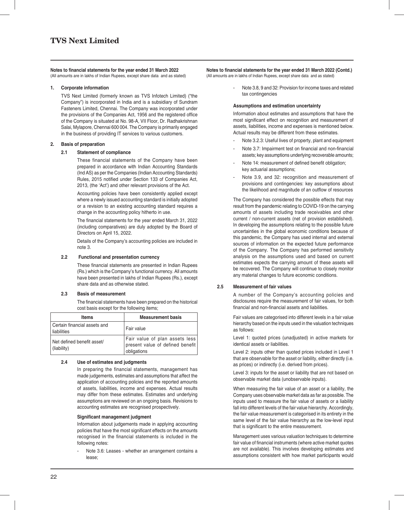#### **1. Corporate information**

 TVS Next Limited (formerly known as TVS Infotech Limited) ("the Company") is incorporated in India and is a subsidiary of Sundram Fasteners Limited, Chennai. The Company was incorporated under the provisions of the Companies Act, 1956 and the registered office of the Company is situated at No. 98-A, VII Floor, Dr. Radhakrishnan Salai, Mylapore, Chennai 600 004. The Company is primarily engaged in the business of providing IT services to various customers.

#### **2. Basis of preparation**

# **2.1 Statement of compliance**

 These financial statements of the Company have been prepared in accordance with Indian Accounting Standards (Ind AS) as per the Companies (Indian Accounting Standards) Rules, 2015 notified under Section 133 of Companies Act, 2013, (the 'Act') and other relevant provisions of the Act.

 Accounting policies have been consistently applied except where a newly issued accounting standard is initially adopted or a revision to an existing accounting standard requires a change in the accounting policy hitherto in use.

The financial statements for the year ended March 31, 2022 (including comparatives) are duly adopted by the Board of Directors on April 15, 2022.

 Details of the Company's accounting policies are included in note 3.

#### **2.2 Functional and presentation currency**

These financial statements are presented in Indian Rupees (Rs.) which is the Company's functional currency. All amounts have been presented in lakhs of Indian Rupees (Rs.), except share data and as otherwise stated.

#### **2.3 Basis of measurement**

The financial statements have been prepared on the historical cost basis except for the following items;

| <b>Items</b>                                    | <b>Measurement basis</b>                                                            |
|-------------------------------------------------|-------------------------------------------------------------------------------------|
| l Certain financial assets and<br>l liabilities | Fair value                                                                          |
| Net defined benefit asset/<br>(liability)       | Fair value of plan assets less  <br>present value of defined benefit<br>obligations |

#### **2.4 Use of estimates and judgments**

 In preparing the financial statements, management has made judgements, estimates and assumptions that affect the application of accounting policies and the reported amounts of assets, liabilities, income and expenses. Actual results may differ from these estimates. Estimates and underlying assumptions are reviewed on an ongoing basis. Revisions to accounting estimates are recognised prospectively.

# **Significant management judgment**

Information about judgements made in applying accounting policies that have the most significant effects on the amounts recognised in the financial statements is included in the following notes:

Note 3.6: Leases - whether an arrangement contains a lease;

#### Notes to financial statements for the year ended 31 March 2022 (Contd.) (All amounts are in lakhs of Indian Rupees, except share data and as stated)

 - Note 3.8, 9 and 32: Provision for income taxes and related tax contingencies

#### **Assumptions and estimation uncertainty**

 Information about estimates and assumptions that have the most significant effect on recognition and measurement of assets, liabilities, income and expenses is mentioned below. Actual results may be different from these estimates.

- Note 3.2.3: Useful lives of property, plant and equipment
- Note 3.7: Impairment test on financial and non-financial assets; key assumptions underlying recoverable amounts;
- Note 14: measurement of defined benefit obligation; key actuarial assumptions;
- Note 3.9, and 32: recognition and measurement of provisions and contingencies: key assumptions about the likelihood and magnitude of an outflow of resources

 The Company has considered the possible effects that may result from the pandemic relating to COVID-19 on the carrying amounts of assets including trade receivables and other current / non-current assets (net of provision established). In developing the assumptions relating to the possible future uncertainties in the global economic conditions because of this pandemic, the Company has used internal and external sources of information on the expected future performance of the Company. The Company has performed sensitivity analysis on the assumptions used and based on current estimates expects the carrying amount of these assets will be recovered. The Company will continue to closely monitor any material changes to future economic conditions.

#### **2.5 Measurement of fair values**

 A number of the Company's accounting policies and disclosures require the measurement of fair values, for both financial and non-financial assets and liabilities.

 Fair values are categorised into different levels in a fair value hierarchy based on the inputs used in the valuation techniques as follows:

 Level 1: quoted prices (unadjusted) in active markets for identical assets or liabilities.

 Level 2: inputs other than quoted prices included in Level 1 that are observable for the asset or liability, either directly (i.e. as prices) or indirectly (i.e. derived from prices).

 Level 3: inputs for the asset or liability that are not based on observable market data (unobservable inputs).

 When measuring the fair value of an asset or a liability, the Company uses observable market data as far as possible. The inputs used to measure the fair value of assets or a liability fall into different levels of the fair value hierarchy. Accordingly, the fair value measurement is categorised in its entirety in the same level of the fair value hierarchy as the low-level input that is significant to the entire measurement.

 Management uses various valuation techniques to determine fair value of financial instruments (where active market quotes are not available). This involves developing estimates and assumptions consistent with how market participants would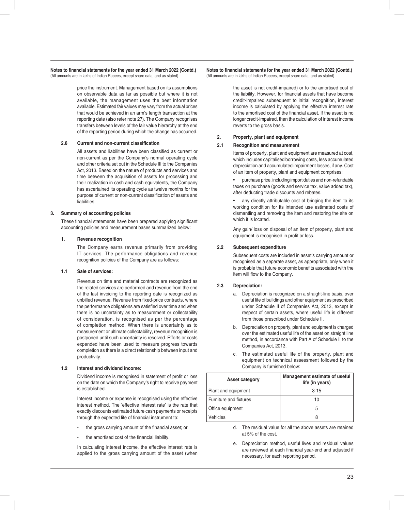price the instrument. Management based on its assumptions on observable data as far as possible but where it is not available, the management uses the best information available. Estimated fair values may vary from the actual prices that would be achieved in an arm's length transaction at the reporting date (also refer note 27). The Company recognises transfers between levels of the fair value hierarchy at the end of the reporting period during which the change has occurred.

### **2.6** Current and non-current classification

All assets and liabilities have been classified as current or non-current as per the Company's normal operating cycle and other criteria set out in the Schedule III to the Companies Act, 2013. Based on the nature of products and services and time between the acquisition of assets for processing and their realization in cash and cash equivalents, the Company has ascertained its operating cycle as twelve months for the purpose of current or non-current classification of assets and liabilities.

#### **3. Summary of accounting policies**

These financial statements have been prepared applying significant accounting policies and measurement bases summarized below:

### **1. Revenue recognition**

 The Company earns revenue primarily from providing IT services. The performance obligations and revenue recognition policies of the Company are as follows:

#### **1.1 Sale of services:**

 Revenue on time and material contracts are recognized as the related services are performed and revenue from the end of the last invoicing to the reporting date is recognized as unbilled revenue. Revenue from fixed-price contracts, where the performance obligations are satisfied over time and when there is no uncertainty as to measurement or collectability of consideration, is recognised as per the percentage of completion method. When there is uncertainty as to measurement or ultimate collectability, revenue recognition is postponed until such uncertainty is resolved. Efforts or costs expended have been used to measure progress towards completion as there is a direct relationship between input and productivity.

# **1.2 Interest and dividend income:**

Dividend income is recognised in statement of profit or loss on the date on which the Company's right to receive payment is established.

 Interest income or expense is recognised using the effective interest method. The 'effective interest rate' is the rate that exactly discounts estimated future cash payments or receipts through the expected life of financial instrument to:

- the gross carrying amount of the financial asset; or
- the amortised cost of the financial liability.

In calculating interest income, the effective interest rate is applied to the gross carrying amount of the asset (when

#### Notes to financial statements for the year ended 31 March 2022 (Contd.) (All amounts are in lakhs of Indian Rupees, except share data and as stated)

the asset is not credit-impaired) or to the amortised cost of the liability. However, for financial assets that have become credit-impaired subsequent to initial recognition, interest income is calculated by applying the effective interest rate to the amortised cost of the financial asset. If the asset is no longer credit-impaired, then the calculation of interest income reverts to the gross basis.

# **2. Property, plant and equipment**

# **2.1 Recognition and measurement**

 Items of property, plant and equipment are measured at cost, which includes capitalised borrowing costs, less accumulated depreciation and accumulated impairment losses, if any. Cost of an item of property, plant and equipment comprises:

 • purchase price, including import duties and non-refundable taxes on purchase (goods and service tax, value added tax), after deducting trade discounts and rebates.

any directly attributable cost of bringing the item to its working condition for its intended use estimated costs of dismantling and removing the item and restoring the site on which it is located.

 Any gain/ loss on disposal of an item of property, plant and equipment is recognised in profit or loss.

#### **2.2 Subsequent expenditure**

 Subsequent costs are included in asset's carrying amount or recognised as a separate asset, as appropriate, only when it is probable that future economic benefits associated with the item will flow to the Company.

# **2.3 Depreciation:**

- a. Depreciation is recognized on a straight-line basis, over useful life of buildings and other equipment as prescribed under Schedule II of Companies Act, 2013, except in respect of certain assets, where useful life is different from those prescribed under Schedule II.
- b. Depreciation on property, plant and equipment is charged over the estimated useful life of the asset on straight line method, in accordance with Part A of Schedule II to the Companies Act, 2013.
- c. The estimated useful life of the property, plant and equipment on technical assessment followed by the Company is furnished below:

| <b>Asset category</b>  | Management estimate of useful<br>life (in years) |
|------------------------|--------------------------------------------------|
| Plant and equipment    | $3 - 15$                                         |
| Furniture and fixtures | 10                                               |
| Office equipment       | 5                                                |
| Vehicles               |                                                  |

- d. The residual value for all the above assets are retained at 5% of the cost.
- e. Depreciation method, useful lives and residual values are reviewed at each financial year-end and adjusted if necessary, for each reporting period.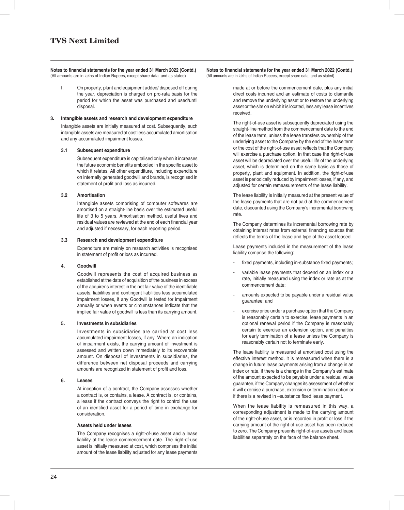f. On property, plant and equipment added/ disposed off during the year, depreciation is charged on pro-rata basis for the period for which the asset was purchased and used/until disposal.

#### **3. Intangible assets and research and development expenditure**

 Intangible assets are initially measured at cost. Subsequently, such intangible assets are measured at cost less accumulated amortisation and any accumulated impairment losses.

### **3.1 Subsequent expenditure**

 Subsequent expenditure is capitalised only when it increases the future economic benefits embodied in the specific asset to which it relates. All other expenditure, including expenditure on internally generated goodwill and brands, is recognised in statement of profit and loss as incurred.

# **3.2 Amortisation**

 Intangible assets comprising of computer softwares are amortised on a straight-line basis over the estimated useful life of 3 to 5 years. Amortisation method, useful lives and residual values are reviewed at the end of each financial year and adjusted if necessary, for each reporting period.

# **3.3 Research and development expenditure**

 Expenditure are mainly on research activities is recognised in statement of profit or loss as incurred.

#### **4. Goodwill**

 Goodwill represents the cost of acquired business as established at the date of acquisition of the business in excess of the acquirer's interest in the net fair value of the identifiable assets, liabilities and contingent liabilities less accumulated impairment losses, if any Goodwill is tested for impairment annually or when events or circumstances indicate that the implied fair value of goodwill is less than its carrying amount.

# **5. Investments in subsidiaries**

 Investments in subsidiaries are carried at cost less accumulated impairment losses, if any. Where an indication of impairment exists, the carrying amount of investment is assessed and written down immediately to its recoverable amount. On disposal of investments in subsidiaries, the difference between net disposal proceeds and carrying amounts are recognized in statement of profit and loss.

# **6. Leases**

 At inception of a contract, the Company assesses whether a contract is, or contains, a lease. A contract is, or contains, a lease if the contract conveys the right to control the use of an identified asset for a period of time in exchange for consideration.

## **Assets held under leases**

 The Company recognises a right-of-use asset and a lease liability at the lease commencement date. The right-of-use asset is initially measured at cost, which comprises the initial amount of the lease liability adjusted for any lease payments

#### Notes to financial statements for the year ended 31 March 2022 (Contd.) (All amounts are in lakhs of Indian Rupees, except share data and as stated)

made at or before the commencement date, plus any initial direct costs incurred and an estimate of costs to dismantle and remove the underlying asset or to restore the underlying asset or the site on which it is located, less any lease incentives received.

 The right-of-use asset is subsequently depreciated using the straight-line method from the commencement date to the end of the lease term, unless the lease transfers ownership of the underlying asset to the Company by the end of the lease term or the cost of the right-of-use asset reflects that the Company will exercise a purchase option. In that case the right-of-use asset will be depreciated over the useful life of the underlying asset, which is determined on the same basis as those of property, plant and equipment. In addition, the right-of-use asset is periodically reduced by impairment losses, if any, and adjusted for certain remeasurements of the lease liability.

 The lease liability is initially measured at the present value of the lease payments that are not paid at the commencement date, discounted using the Company's incremental borrowing rate.

 The Company determines its incremental borrowing rate by obtaining interest rates from external financing sources that reflects the terms of the lease and type of the asset leased.

 Lease payments included in the measurement of the lease liability comprise the following:

- fixed payments, including in-substance fixed payments;
- variable lease payments that depend on an index or a rate, initially measured using the index or rate as at the commencement date;
- amounts expected to be payable under a residual value guarantee; and
- exercise price under a purchase option that the Company is reasonably certain to exercise, lease payments in an optional renewal period if the Company is reasonably certain to exercise an extension option, and penalties for early termination of a lease unless the Company is reasonably certain not to terminate early.

 The lease liability is measured at amortised cost using the effective interest method. It is remeasured when there is a change in future lease payments arising from a change in an index or rate, if there is a change in the Company's estimate of the amount expected to be payable under a residual value guarantee, if the Company changes its assessment of whether it will exercise a purchase, extension or termination option or if there is a revised in –substance fixed lease payment.

 When the lease liability is remeasured in this way, a corresponding adjustment is made to the carrying amount of the right-of-use asset, or is recorded in profit or loss if the carrying amount of the right-of-use asset has been reduced to zero. The Company presents right-of-use assets and lease liabilities separately on the face of the balance sheet.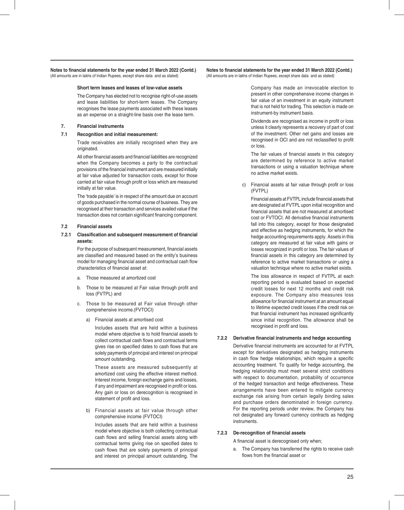#### **Short term leases and leases of low-value assets**

 The Company has elected not to recognise right-of-use assets and lease liabilities for short-term leases. The Company recognises the lease payments associated with these leases as an expense on a straight-line basis over the lease term.

# **7. Financial instruments**

#### **7.1 Recognition and initial measurement:**

 Trade receivables are initially recognised when they are originated.

All other financial assets and financial liabilities are recognized when the Company becomes a party to the contractual provisions of the financial instrument and are measured initially at fair value adjusted for transaction costs, except for those carried at fair value through profit or loss which are measured initially at fair value.

 The 'trade payable' is in respect of the amount due on account of goods purchased in the normal course of business. They are recognised at their transaction and services availed value if the transaction does not contain significant financing component.

# **7.2 Financial assets**

### **7.2.1** Classification and subsequent measurement of financial **assets:**

For the purpose of subsequent measurement, financial assets are classified and measured based on the entity's business model for managing financial asset and contractual cash flow characteristics of financial asset at:

- Those measured at amortized cost
- b. Those to be measured at Fair value through profit and loss (FVTPL) and
- c. Those to be measured at Fair value through other comprehensive income.(FVTOCI)
	- a) Financial assets at amortised cost

 Includes assets that are held within a business model where objective is to hold financial assets to collect contractual cash flows and contractual terms gives rise on specified dates to cash flows that are solely payments of principal and interest on principal amount outstanding.

 These assets are measured subsequently at amortized cost using the effective interest method. Interest income, foreign exchange gains and losses, if any and impairment are recognised in profit or loss. Any gain or loss on derecognition is recognised in statement of profit and loss.

 b) Financial assets at fair value through other comprehensive income (FVTOCI)

 Includes assets that are held within a business model where objective is both collecting contractual cash flows and selling financial assets along with contractual terms giving rise on specified dates to cash flows that are solely payments of principal and interest on principal amount outstanding. The

Notes to financial statements for the year ended 31 March 2022 (Contd.) (All amounts are in lakhs of Indian Rupees, except share data and as stated)

> Company has made an irrevocable election to present in other comprehensive income changes in fair value of an investment in an equity instrument that is not held for trading. This selection is made on instrument-by instrument basis.

> Dividends are recognised as income in profit or loss unless it clearly represents a recovery of part of cost of the investment. Other net gains and losses are recognised in OCI and are not reclassified to profit or loss.

> The fair values of financial assets in this category are determined by reference to active market transactions or using a valuation technique where no active market exists.

c) Financial assets at fair value through profit or loss (FVTPL)

Financial assets at FVTPL include financial assets that are designated at FVTPL upon initial recognition and financial assets that are not measured at amortised cost or FVTOCI. All derivative financial instruments fall into this category, except for those designated and effective as hedging instruments, for which the hedge accounting requirements apply. Assets in this category are measured at fair value with gains or losses recognized in profit or loss. The fair values of financial assets in this category are determined by reference to active market transactions or using a valuation technique where no active market exists.

 The loss allowance in respect of FVTPL at each reporting period is evaluated based on expected credit losses for next 12 months and credit risk exposure. The Company also measures loss allowance for financial instrument at an amount equal to lifetime expected credit losses if the credit risk on that financial instrument has increased significantly since initial recognition. The allowance shall be recognised in profit and loss.

#### **7.2.2** Derivative financial instruments and hedge accounting

Derivative financial instruments are accounted for at FVTPL except for derivatives designated as hedging instruments in cash flow hedge relationships, which require a specific accounting treatment. To qualify for hedge accounting, the hedging relationship must meet several strict conditions with respect to documentation, probability of occurrence of the hedged transaction and hedge effectiveness. These arrangements have been entered to mitigate currency exchange risk arising from certain legally binding sales and purchase orders denominated in foreign currency. For the reporting periods under review, the Company has not designated any forward currency contracts as hedging instruments.

# **7.2.3** De-recognition of financial assets

A financial asset is derecognised only when;

 a. The Company has transferred the rights to receive cash flows from the financial asset or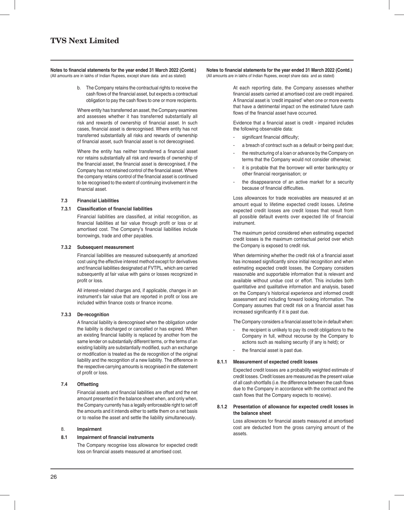> b. The Company retains the contractual rights to receive the cash flows of the financial asset, but expects a contractual obligation to pay the cash flows to one or more recipients.

> Where entity has transferred an asset, the Company examines and assesses whether it has transferred substantially all risk and rewards of ownership of financial asset. In such cases, financial asset is derecognised. Where entity has not transferred substantially all risks and rewards of ownership of financial asset, such financial asset is not derecognised.

> Where the entity has neither transferred a financial asset nor retains substantially all risk and rewards of ownership of the financial asset, the financial asset is derecognised, if the Company has not retained control of the financial asset. Where the company retains control of the financial asset is continued to be recognised to the extent of continuing involvement in the financial asset.

# **7.3 Financial Liabilities**

### **7.3.1 Classification of financial liabilities**

Financial liabilities are classified, at initial recognition, as financial liabilities at fair value through profit or loss or at amortised cost. The Company's financial liabilities include borrowings, trade and other payables.

### **7.3.2 Subsequent measurement**

 Financial liabilities are measured subsequently at amortized cost using the effective interest method except for derivatives and financial liabilities designated at FVTPL, which are carried subsequently at fair value with gains or losses recognized in profit or loss.

 All interest-related charges and, if applicable, changes in an instrument's fair value that are reported in profit or loss are included within finance costs or finance income.

# **7.3.3 De-recognition**

A financial liability is derecognised when the obligation under the liability is discharged or cancelled or has expired. When an existing financial liability is replaced by another from the same lender on substantially different terms, or the terms of an existing liability are substantially modified, such an exchange or modification is treated as the de recognition of the original liability and the recognition of a new liability. The difference in the respective carrying amounts is recognised in the statement of profit or loss.

#### **7.4 Offsetting**

Financial assets and financial liabilities are offset and the net amount presented in the balance sheet when, and only when, the Company currently has a legally enforceable right to set off the amounts and it intends either to settle them on a net basis or to realise the asset and settle the liability simultaneously.

# 8. **Impairment**

#### 8.1 Impairment of financial instruments

 The Company recognise loss allowance for expected credit loss on financial assets measured at amortised cost.

Notes to financial statements for the year ended 31 March 2022 (Contd.) (All amounts are in lakhs of Indian Rupees, except share data and as stated)

> At each reporting date, the Company assesses whether financial assets carried at amortised cost are credit impaired. A financial asset is 'credit impaired' when one or more events that have a detrimental impact on the estimated future cash flows of the financial asset have occurred.

> Evidence that a financial asset is credit - impaired includes the following observable data:

- significant financial difficulty;
- a breach of contract such as a default or being past due;
- the restructuring of a loan or advance by the Company on terms that the Company would not consider otherwise;
- it is probable that the borrower will enter bankruptcy or other financial reorganisation; or
- the disappearance of an active market for a security because of financial difficulties.

 Loss allowances for trade receivables are measured at an amount equal to lifetime expected credit losses. Lifetime expected credit losses are credit losses that result from all possible default events over expected life of financial instrument.

 The maximum period considered when estimating expected credit losses is the maximum contractual period over which the Company is exposed to credit risk.

When determining whether the credit risk of a financial asset has increased significantly since initial recognition and when estimating expected credit losses, the Company considers reasonable and supportable information that is relevant and available without undue cost or effort. This includes both quantitative and qualitative information and analysis, based on the Company's historical experience and informed credit assessment and including forward looking information. The Company assumes that credit risk on a financial asset has increased significantly if it is past due.

The Company considers a financial asset to be in default when:

- the recipient is unlikely to pay its credit obligations to the Company in full, without recourse by the Company to actions such as realising security (if any is held); or
- the financial asset is past due.

#### **8.1.1 Measurement of expected credit losses**

 Expected credit losses are a probability weighted estimate of credit losses. Credit losses are measured as the present value of all cash shortfalls (i.e. the difference between the cash flows due to the Company in accordance with the contract and the cash flows that the Company expects to receive).

### **8.1.2 Presentation of allowance for expected credit losses in the balance sheet**

Loss allowances for financial assets measured at amortised cost are deducted from the gross carrying amount of the assets.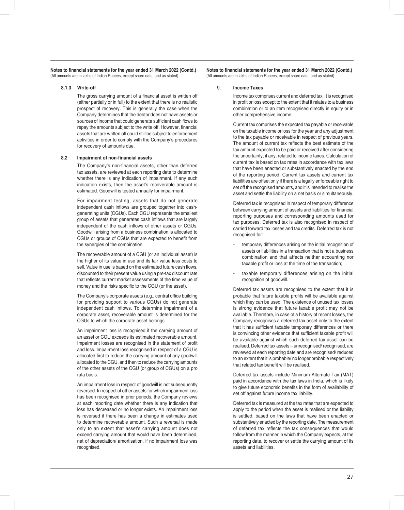#### **8.1.3 Write-off**

The gross carrying amount of a financial asset is written off (either partially or in full) to the extent that there is no realistic prospect of recovery. This is generally the case when the Company determines that the debtor does not have assets or sources of income that could generate sufficient cash flows to repay the amounts subject to the write off. However, financial assets that are written off could still be subject to enforcement activities in order to comply with the Company's procedures for recovery of amounts due.

#### 8.2 **Impairment of non-financial assets**

The Company's non-financial assets, other than deferred tax assets, are reviewed at each reporting date to determine whether there is any indication of impairment. If any such indication exists, then the asset's recoverable amount is estimated. Goodwill is tested annually for impairment.

 For impairment testing, assets that do not generate independent cash inflows are grouped together into cashgenerating units (CGUs). Each CGU represents the smallest group of assets that generates cash inflows that are largely independent of the cash inflows of other assets or CGUs. Goodwill arising from a business combination is allocated to CGUs or groups of CGUs that are expected to benefit from the synergies of the combination.

 The recoverable amount of a CGU (or an individual asset) is the higher of its value in use and its fair value less costs to sell. Value in use is based on the estimated future cash flows, discounted to their present value using a pre-tax discount rate that reflects current market assessments of the time value of money and the risks specific to the CGU (or the asset).

The Company's corporate assets (e.g., central office building for providing support to various CGUs) do not generate independent cash inflows. To determine impairment of a corporate asset, recoverable amount is determined for the CGUs to which the corporate asset belongs.

 An impairment loss is recognised if the carrying amount of an asset or CGU exceeds its estimated recoverable amount. Impairment losses are recognised in the statement of profit and loss. Impairment loss recognised in respect of a CGU is allocated first to reduce the carrying amount of any goodwill allocated to the CGU, and then to reduce the carrying amounts of the other assets of the CGU (or group of CGUs) on a pro rata basis.

 An impairment loss in respect of goodwill is not subsequently reversed. In respect of other assets for which impairment loss has been recognised in prior periods, the Company reviews at each reporting date whether there is any indication that loss has decreased or no longer exists. An impairment loss is reversed if there has been a change in estimates used to determine recoverable amount. Such a reversal is made only to an extent that asset's carrying amount does not exceed carrying amount that would have been determined, net of depreciation/ amortisation, if no impairment loss was recognised.

Notes to financial statements for the year ended 31 March 2022 (Contd.) (All amounts are in lakhs of Indian Rupees, except share data and as stated)

#### 9. **Income Taxes**

 Income tax comprises current and deferred tax. It is recognised in profit or loss except to the extent that it relates to a business combination or to an item recognised directly in equity or in other comprehensive income.

 Current tax comprises the expected tax payable or receivable on the taxable income or loss for the year and any adjustment to the tax payable or receivable in respect of previous years. The amount of current tax reflects the best estimate of the tax amount expected to be paid or received after considering the uncertainty, if any, related to income taxes. Calculation of current tax is based on tax rates in accordance with tax laws that have been enacted or substantively enacted by the end of the reporting period. Current tax assets and current tax liabilities are offset only if there is a legally enforceable right to set off the recognised amounts, and it is intended to realise the asset and settle the liability on a net basis or simultaneously.

 Deferred tax is recognised in respect of temporary difference between carrying amount of assets and liabilities for financial reporting purposes and corresponding amounts used for tax purposes. Deferred tax is also recognised in respect of carried forward tax losses and tax credits. Deferred tax is not recognised for:

- temporary differences arising on the initial recognition of assets or liabilities in a transaction that is not a business combination and that affects neither accounting nor taxable profit or loss at the time of the transaction;
- taxable temporary differences arising on the initial recognition of goodwill.

 Deferred tax assets are recognised to the extent that it is probable that future taxable profits will be available against which they can be used. The existence of unused tax losses is strong evidence that future taxable profit may not be available. Therefore, in case of a history of recent losses, the Company recognises a deferred tax asset only to the extent that it has sufficient taxable temporary differences or there is convincing other evidence that sufficient taxable profit will be available against which such deferred tax asset can be realised. Deferred tax assets – unrecognised/ recognised, are reviewed at each reporting date and are recognised/ reduced to an extent that it is probable/ no longer probable respectively that related tax benefit will be realised.

 Deferred tax assets include Minimum Alternate Tax (MAT) paid in accordance with the tax laws in India, which is likely to give future economic benefits in the form of availability of set off against future income tax liability.

 Deferred tax is measured at the tax rates that are expected to apply to the period when the asset is realised or the liability is settled, based on the laws that have been enacted or substantively enacted by the reporting date. The measurement of deferred tax reflects the tax consequences that would follow from the manner in which the Company expects, at the reporting date, to recover or settle the carrying amount of its assets and liabilities.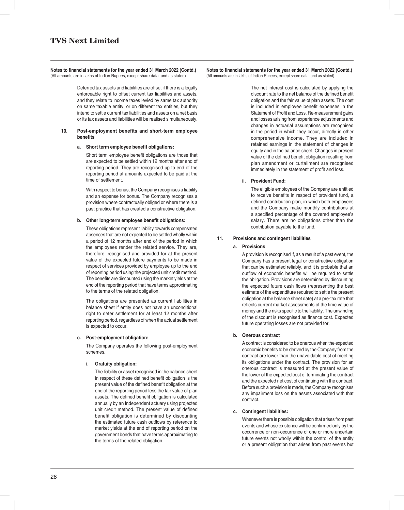> Deferred tax assets and liabilities are offset if there is a legally enforceable right to offset current tax liabilities and assets, and they relate to income taxes levied by same tax authority on same taxable entity, or on different tax entities, but they intend to settle current tax liabilities and assets on a net basis or its tax assets and liabilities will be realised simultaneously.

#### **10. Post-employment benefits and short-term employee benefits**

### a. Short term employee benefit obligations:

Short term employee benefit obligations are those that are expected to be settled within 12 months after end of reporting period. They are recognised up to end of the reporting period at amounts expected to be paid at the time of settlement.

 With respect to bonus, the Company recognises a liability and an expense for bonus. The Company recognises a provision where contractually obliged or where there is a past practice that has created a constructive obligation.

# **b.** Other long-term employee benefit obligations:

 These obligations represent liability towards compensated absences that are not expected to be settled wholly within a period of 12 months after end of the period in which the employees render the related service. They are, therefore, recognised and provided for at the present value of the expected future payments to be made in respect of services provided by employee up to the end of reporting period using the projected unit credit method. The benefits are discounted using the market yields at the end of the reporting period that have terms approximating to the terms of the related obligation.

 The obligations are presented as current liabilities in balance sheet if entity does not have an unconditional right to defer settlement for at least 12 months after reporting period, regardless of when the actual settlement is expected to occur.

#### **c. Post-employment obligation:**

 The Company operates the following post-employment schemes.

# **i. Gratuity obligation:**

 The liability or asset recognised in the balance sheet in respect of these defined benefit obligation is the present value of the defined benefit obligation at the end of the reporting period less the fair value of plan assets. The defined benefit obligation is calculated annually by an Independent actuary using projected unit credit method. The present value of defined benefit obligation is determined by discounting the estimated future cash outflows by reference to market yields at the end of reporting period on the government bonds that have terms approximating to the terms of the related obligation.

#### Notes to financial statements for the year ended 31 March 2022 (Contd.) (All amounts are in lakhs of Indian Rupees, except share data and as stated)

 The net interest cost is calculated by applying the discount rate to the net balance of the defined benefit obligation and the fair value of plan assets. The cost is included in employee benefit expenses in the Statement of Profit and Loss. Re-measurement gains and losses arising from experience adjustments and changes in actuarial assumptions are recognised in the period in which they occur, directly in other comprehensive income. They are included in retained earnings in the statement of changes in equity and in the balance sheet. Changes in present value of the defined benefit obligation resulting from plan amendment or curtailment are recognised immediately in the statement of profit and loss.

### **ii. Provident Fund:**

 The eligible employees of the Company are entitled to receive benefits in respect of provident fund, a defined contribution plan, in which both employees and the Company make monthly contributions at a specified percentage of the covered employee's salary. There are no obligations other than the contribution payable to the fund.

# **11. Provisions and contingent liabilities**

### **a. Provisions**

 A provision is recognised if, as a result of a past event, the Company has a present legal or constructive obligation that can be estimated reliably, and it is probable that an outflow of economic benefits will be required to settle the obligation. Provisions are determined by discounting the expected future cash flows (representing the best estimate of the expenditure required to settle the present obligation at the balance sheet date) at a pre-tax rate that reflects current market assessments of the time value of money and the risks specific to the liability. The unwinding of the discount is recognised as finance cost. Expected future operating losses are not provided for.

# **b. Onerous contract**

 A contract is considered to be onerous when the expected economic benefits to be derived by the Company from the contract are lower than the unavoidable cost of meeting its obligations under the contract. The provision for an onerous contract is measured at the present value of the lower of the expected cost of terminating the contract and the expected net cost of continuing with the contract. Before such a provision is made, the Company recognises any impairment loss on the assets associated with that contract.

# **c. Contingent liabilities:**

 Whenever there is possible obligation that arises from past events and whose existence will be confirmed only by the occurrence or non-occurrence of one or more uncertain future events not wholly within the control of the entity or a present obligation that arises from past events but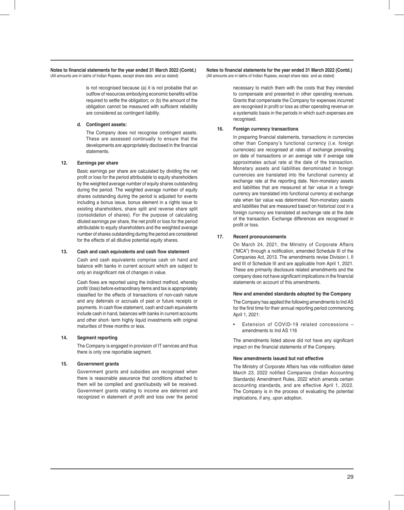is not recognised because (a) it is not probable that an outflow of resources embodying economic benefits will be required to settle the obligation; or (b) the amount of the obligation cannot be measured with sufficient reliability are considered as contingent liability.

# **d. Contingent assets:**

 The Company does not recognise contingent assets. These are assessed continually to ensure that the developments are appropriately disclosed in the financial statements.

### **12. Earnings per share**

 Basic earnings per share are calculated by dividing the net profit or loss for the period attributable to equity shareholders by the weighted average number of equity shares outstanding during the period. The weighted average number of equity shares outstanding during the period is adjusted for events including a bonus issue, bonus element in a rights issue to existing shareholders, share split and reverse share split (consolidation of shares). For the purpose of calculating diluted earnings per share, the net profit or loss for the period attributable to equity shareholders and the weighted average number of shares outstanding during the period are considered for the effects of all dilutive potential equity shares.

### 13. Cash and cash equivalents and cash flow statement

 Cash and cash equivalents comprise cash on hand and balance with banks in current account which are subject to only an insignificant risk of changes in value.

Cash flows are reported using the indirect method, whereby profit/ (loss) before extraordinary items and tax is appropriately classified for the effects of transactions of non-cash nature and any deferrals or accruals of past or future receipts or payments. In cash flow statement, cash and cash equivalents include cash in hand, balances with banks in current accounts and other short- term highly liquid investments with original maturities of three months or less.

#### **14. Segment reporting**

 The Company is engaged in provision of IT services and thus there is only one reportable segment.

### **15. Government grants**

 Government grants and subsidies are recognised when there is reasonable assurance that conditions attached to them will be complied and grant/subsidy will be received. Government grants relating to income are deferred and recognized in statement of profit and loss over the period

#### Notes to financial statements for the year ended 31 March 2022 (Contd.) (All amounts are in lakhs of Indian Rupees, except share data and as stated)

necessary to match them with the costs that they intended to compensate and presented in other operating revenues. Grants that compensate the Company for expenses incurred are recognised in profit or loss as other operating revenue on a systematic basis in the periods in which such expenses are recognised.

# **16. Foreign currency transactions**

In preparing financial statements, transactions in currencies other than Company's functional currency (i.e. foreign currencies) are recognised at rates of exchange prevailing on date of transactions or an average rate if average rate approximates actual rate at the date of the transaction. Monetary assets and liabilities denominated in foreign currencies are translated into the functional currency at exchange rate at the reporting date. Non-monetary assets and liabilities that are measured at fair value in a foreign currency are translated into functional currency at exchange rate when fair value was determined. Non-monetary assets and liabilities that are measured based on historical cost in a foreign currency are translated at exchange rate at the date of the transaction. Exchange differences are recognised in profit or loss.

# **17. Recent pronouncements**

 On March 24, 2021, the Ministry of Corporate Affairs ("MCA") through a notification, amended Schedule III of the Companies Act, 2013. The amendments revise Division I, II and III of Schedule III and are applicable from April 1, 2021. These are primarily disclosure related amendments and the company does not have significant implications in the financial statements on account of this amendments.

#### **New and amended standards adopted by the Company**

 The Company has applied the following amendments to Ind AS for the first time for their annual reporting period commencing April 1, 2021:

 • Extension of COVID-19 related concessions – amendments to Ind AS 116

The amendments listed above did not have any significant impact on the financial statements of the Company.

#### **New amendments issued but not effective**

The Ministry of Corporate Affairs has vide notification dated March 23, 2022 notified Companies (Indian Accounting Standards) Amendment Rules, 2022 which amends certain accounting standards, and are effective April 1, 2022. The Company is in the process of evaluating the potential implications, if any, upon adoption.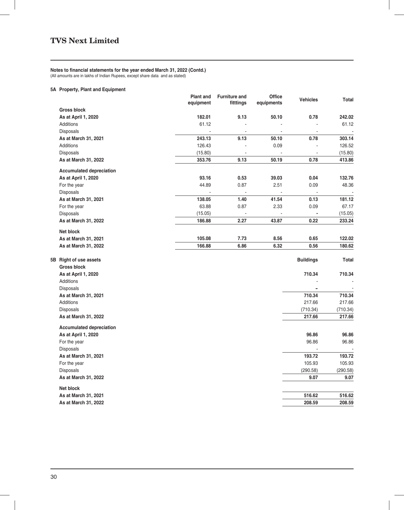(All amounts are in lakhs of Indian Rupees, except share data and as stated)

# **5A Property, Plant and Equipment**

|                                 | <b>Plant and</b><br>equipment | <b>Furniture and</b><br>fitttings | Office<br>equipments | <b>Vehicles</b>          | <b>Total</b> |
|---------------------------------|-------------------------------|-----------------------------------|----------------------|--------------------------|--------------|
| <b>Gross block</b>              |                               |                                   |                      |                          |              |
| As at April 1, 2020             | 182.01                        | 9.13                              | 50.10                | 0.78                     | 242.02       |
| Additions                       | 61.12                         |                                   |                      |                          | 61.12        |
| <b>Disposals</b>                | $\blacksquare$                | ä,                                |                      | $\overline{\phantom{a}}$ |              |
| As at March 31, 2021            | 243.13                        | 9.13                              | 50.10                | 0.78                     | 303.14       |
| Additions                       | 126.43                        |                                   | 0.09                 | $\blacksquare$           | 126.52       |
| <b>Disposals</b>                | (15.80)                       |                                   |                      |                          | (15.80)      |
| As at March 31, 2022            | 353.76                        | 9.13                              | 50.19                | 0.78                     | 413.86       |
| <b>Accumulated depreciation</b> |                               |                                   |                      |                          |              |
| As at April 1, 2020             | 93.16                         | 0.53                              | 39.03                | 0.04                     | 132.76       |
| For the year                    | 44.89                         | 0.87                              | 2.51                 | 0.09                     | 48.36        |
| <b>Disposals</b>                |                               |                                   |                      |                          |              |
| As at March 31, 2021            | 138.05                        | 1.40                              | 41.54                | 0.13                     | 181.12       |
| For the year                    | 63.88                         | 0.87                              | 2.33                 | 0.09                     | 67.17        |
| <b>Disposals</b>                | (15.05)                       |                                   |                      | $\overline{\phantom{a}}$ | (15.05)      |
| As at March 31, 2022            | 186.88                        | 2.27                              | 43.87                | 0.22                     | 233.24       |
| <b>Net block</b>                |                               |                                   |                      |                          |              |
| As at March 31, 2021            | 105.08                        | 7.73                              | 8.56                 | 0.65                     | 122.02       |
| As at March 31, 2022            | 166.88                        | 6.86                              | 6.32                 | 0.56                     | 180.62       |
| 5B Right of use assets          |                               |                                   |                      | <b>Buildings</b>         | Total        |
| <b>Gross block</b>              |                               |                                   |                      |                          |              |
| As at April 1, 2020             |                               |                                   |                      | 710.34                   | 710.34       |
| <b>Additions</b>                |                               |                                   |                      |                          |              |
| <b>Disposals</b>                |                               |                                   |                      |                          |              |
| As at March 31, 2021            |                               |                                   |                      | 710.34                   | 710.34       |
| Additions                       |                               |                                   |                      | 217.66                   | 217.66       |
| <b>Disposals</b>                |                               |                                   |                      | (710.34)                 | (710.34)     |
| As at March 31, 2022            |                               |                                   |                      | 217.66                   | 217.66       |
| <b>Accumulated depreciation</b> |                               |                                   |                      |                          |              |
| As at April 1, 2020             |                               |                                   |                      | 96.86                    | 96.86        |
| For the year                    |                               |                                   |                      | 96.86                    | 96.86        |
| <b>Disposals</b>                |                               |                                   |                      |                          |              |
| As at March 31, 2021            |                               |                                   |                      | 193.72                   | 193.72       |
| For the year                    |                               |                                   |                      | 105.93                   | 105.93       |
| <b>Disposals</b>                |                               |                                   |                      | (290.58)                 | (290.58)     |
| As at March 31, 2022            |                               |                                   |                      | 9.07                     | 9.07         |
| Net block                       |                               |                                   |                      |                          |              |
| As at March 31, 2021            |                               |                                   |                      | 516.62                   | 516.62       |
| As at March 31, 2022            |                               |                                   |                      | 208.59                   | 208.59       |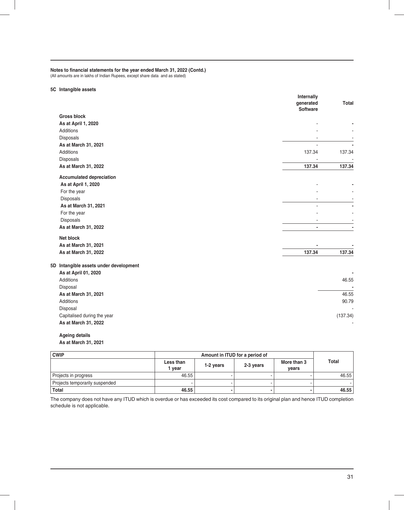# **5C Intangible assets**

|                                        | Internally<br>generated<br><b>Software</b> | Total    |
|----------------------------------------|--------------------------------------------|----------|
| <b>Gross block</b>                     |                                            |          |
| As at April 1, 2020                    |                                            |          |
| <b>Additions</b>                       |                                            |          |
| <b>Disposals</b>                       |                                            |          |
| As at March 31, 2021                   | ä,                                         |          |
| Additions                              | 137.34                                     | 137.34   |
| Disposals                              |                                            |          |
| As at March 31, 2022                   | 137.34                                     | 137.34   |
| <b>Accumulated depreciation</b>        |                                            |          |
| As at April 1, 2020                    |                                            |          |
| For the year                           |                                            |          |
| <b>Disposals</b>                       |                                            |          |
| As at March 31, 2021                   | L.                                         |          |
| For the year                           |                                            |          |
| Disposals                              |                                            |          |
| As at March 31, 2022                   | $\blacksquare$                             |          |
| <b>Net block</b>                       |                                            |          |
| As at March 31, 2021                   |                                            |          |
| As at March 31, 2022                   | 137.34                                     | 137.34   |
| 5D Intangible assets under development |                                            |          |
| As at April 01, 2020                   |                                            |          |
| <b>Additions</b>                       |                                            | 46.55    |
| Disposal                               |                                            |          |
| As at March 31, 2021                   |                                            | 46.55    |
| Additions                              |                                            | 90.79    |
| Disposal                               |                                            |          |
| Capitalised during the year            |                                            | (137.34) |
| As at March 31, 2022                   |                                            |          |
|                                        |                                            |          |

# **Ageing details**

**As at March 31, 2021**

| <b>CWIP</b>                    |                     | Amount in ITUD for a period of |           |                      |              |  |
|--------------------------------|---------------------|--------------------------------|-----------|----------------------|--------------|--|
|                                | Less than<br>l vear | 1-2 vears                      | 2-3 years | More than 3<br>vears | <b>Total</b> |  |
| Projects in progress           | 46.55               |                                |           |                      | 46.55        |  |
| Projects temporarily suspended |                     |                                |           |                      |              |  |
| Total                          | 46.55               |                                |           |                      | 46.55        |  |

The company does not have any ITUD which is overdue or has exceeded its cost compared to its original plan and hence ITUD completion schedule is not applicable.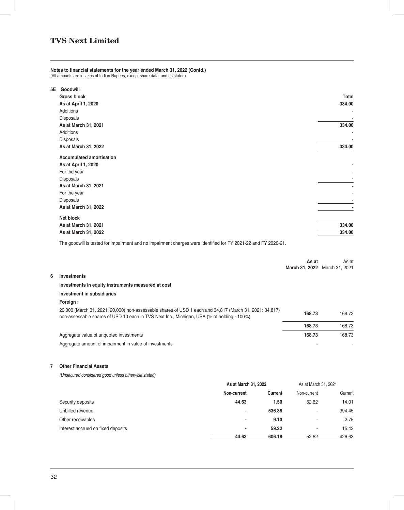#### **Notes to fi nancial statements for the year ended March 31, 2022 (Contd.)**

(All amounts are in lakhs of Indian Rupees, except share data and as stated)

| <b>Gross block</b><br>As at April 1, 2020<br>Additions<br>Disposals<br>As at March 31, 2021 |                              |
|---------------------------------------------------------------------------------------------|------------------------------|
|                                                                                             | <b>Total</b>                 |
|                                                                                             | 334.00                       |
|                                                                                             | $\qquad \qquad \blacksquare$ |
|                                                                                             |                              |
|                                                                                             | 334.00                       |
| Additions                                                                                   | ۰                            |
| Disposals                                                                                   |                              |
| As at March 31, 2022                                                                        | 334.00                       |
| <b>Accumulated amortisation</b>                                                             |                              |
| As at April 1, 2020                                                                         |                              |
| For the year                                                                                |                              |
| <b>Disposals</b>                                                                            |                              |
| As at March 31, 2021                                                                        | ۰                            |
| For the year                                                                                |                              |
| Disposals                                                                                   |                              |
| As at March 31, 2022                                                                        | ٠                            |
| Net block                                                                                   |                              |
| As at March 31, 2021                                                                        | 334.00                       |
| As at March 31, 2022                                                                        | 334.00                       |

The goodwill is tested for impairment and no impairment charges were identified for FY 2021-22 and FY 2020-21.

|   |                                                                                                                                                                                                       | As at<br>March 31, 2022 | As at<br>March 31, 2021 |
|---|-------------------------------------------------------------------------------------------------------------------------------------------------------------------------------------------------------|-------------------------|-------------------------|
| 6 | <b>Investments</b>                                                                                                                                                                                    |                         |                         |
|   | Investments in equity instruments measured at cost                                                                                                                                                    |                         |                         |
|   | Investment in subsidiaries                                                                                                                                                                            |                         |                         |
|   | Foreign:                                                                                                                                                                                              |                         |                         |
|   | 20,000 (March 31, 2021: 20,000) non-assessable shares of USD 1 each and 34,817 (March 31, 2021: 34,817)<br>non-assessable shares of USD 10 each in TVS Next Inc., Michigan, USA (% of holding - 100%) | 168.73                  | 168.73                  |
|   |                                                                                                                                                                                                       | 168.73                  | 168.73                  |
|   | Aggregate value of unguoted investments                                                                                                                                                               | 168.73                  | 168.73                  |
|   | Aggregate amount of impairment in value of investments                                                                                                                                                |                         |                         |
|   |                                                                                                                                                                                                       |                         |                         |
|   |                                                                                                                                                                                                       |                         |                         |

# **7 Other Financial Assets**

*(Unsecured considered good unless otherwise stated)*

|                                    |             | As at March 31, 2022 |             | As at March 31, 2021 |
|------------------------------------|-------------|----------------------|-------------|----------------------|
|                                    | Non-current | Current              | Non-current | Current              |
| Security deposits                  | 44.63       | 1.50                 | 52.62       | 14.01                |
| Unbilled revenue                   | ٠           | 536.36               | ۰           | 394.45               |
| Other receivables                  | ۰           | 9.10                 | ۰           | 2.75                 |
| Interest accrued on fixed deposits | -           | 59.22                | -           | 15.42                |
|                                    | 44.63       | 606.18               | 52.62       | 426.63               |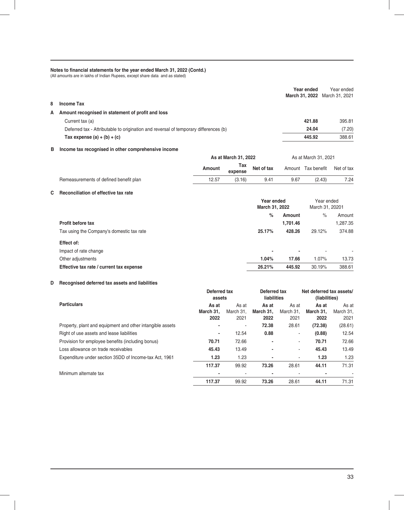(All amounts are in lakhs of Indian Rupees, except share data and as stated)

|   |                                                                                      |        |                      |                              |          | Year ended<br>March 31, 2022 |            | Year ended<br>March 31, 2021 |
|---|--------------------------------------------------------------------------------------|--------|----------------------|------------------------------|----------|------------------------------|------------|------------------------------|
| 8 | <b>Income Tax</b>                                                                    |        |                      |                              |          |                              |            |                              |
| А | Amount recognised in statement of profit and loss                                    |        |                      |                              |          |                              |            |                              |
|   | Current tax (a)                                                                      |        |                      |                              |          | 421.88                       |            | 395.81                       |
|   | Deferred tax - Attributable to origination and reversal of temporary differences (b) |        |                      |                              |          | 24.04                        |            | (7.20)                       |
|   | Tax expense $(a) + (b) + (c)$                                                        |        |                      |                              |          | 445.92                       |            | 388.61                       |
| в | Income tax recognised in other comprehensive income                                  |        |                      |                              |          |                              |            |                              |
|   |                                                                                      |        | As at March 31, 2022 |                              |          | As at March 31, 2021         |            |                              |
|   |                                                                                      | Amount | Tax<br>expense       | Net of tax                   | Amount   | Tax benefit                  |            | Net of tax                   |
|   | Remeasurements of defined benefit plan                                               | 12.57  | (3.16)               | 9.41                         | 9.67     | (2.43)                       |            | 7.24                         |
| c | Reconciliation of effective tax rate                                                 |        |                      |                              |          |                              |            |                              |
|   |                                                                                      |        |                      | Year ended<br>March 31, 2022 |          | March 31, 20201              | Year ended |                              |
|   |                                                                                      |        |                      | $\%$                         | Amount   |                              | $\%$       | Amount                       |
|   | Profit before tax                                                                    |        |                      |                              | 1,701.46 |                              |            | 1,287.35                     |

Tax using the Company's domestic tax rate **25.17% 428.26** 29.12% 374.88

| Effect of:                               |                          |        |                          |        |
|------------------------------------------|--------------------------|--------|--------------------------|--------|
| Impact of rate change                    | $\overline{\phantom{a}}$ |        | $\overline{\phantom{0}}$ |        |
| Other adjustments                        | $1.04\%$                 | 17.66  | 1.07%                    | 13.73  |
| Effective tax rate / current tax expense | 26.21%                   | 445.92 | 30.19%                   | 388.61 |

# **D Recognised deferred tax assets and liabilities**

|                                                           | Deferred tax<br>assets |           | Deferred tax<br>liabilities |                          | Net deferred tax assets/<br>(liabilities) |           |  |
|-----------------------------------------------------------|------------------------|-----------|-----------------------------|--------------------------|-------------------------------------------|-----------|--|
| <b>Particulars</b>                                        | As at                  | As at     | As at                       | As at                    | As at                                     | As at     |  |
|                                                           | March 31.              | March 31. | March 31.                   | March 31.                | March 31.                                 | March 31, |  |
|                                                           | 2022                   | 2021      | 2022                        | 2021                     | 2022                                      | 2021      |  |
| Property, plant and equipment and other intangible assets | ٠                      | ۰         | 72.38                       | 28.61                    | (72.38)                                   | (28.61)   |  |
| Right of use assets and lease liabilities                 | ۰                      | 12.54     | 0.88                        | ۰                        | (0.88)                                    | 12.54     |  |
| Provision for employee benefits (including bonus)         | 70.71                  | 72.66     |                             | ۰                        | 70.71                                     | 72.66     |  |
| Loss allowance on trade receivables                       | 45.43                  | 13.49     | -                           | $\overline{\phantom{a}}$ | 45.43                                     | 13.49     |  |
| Expenditure under section 35DD of Income-tax Act, 1961    | 1.23                   | 1.23      |                             | ۰                        | 1.23                                      | 1.23      |  |
|                                                           | 117.37                 | 99.92     | 73.26                       | 28.61                    | 44.11                                     | 71.31     |  |
| Minimum alternate tax                                     | $\blacksquare$         |           |                             |                          |                                           |           |  |
|                                                           | 117.37                 | 99.92     | 73.26                       | 28.61                    | 44.11                                     | 71.31     |  |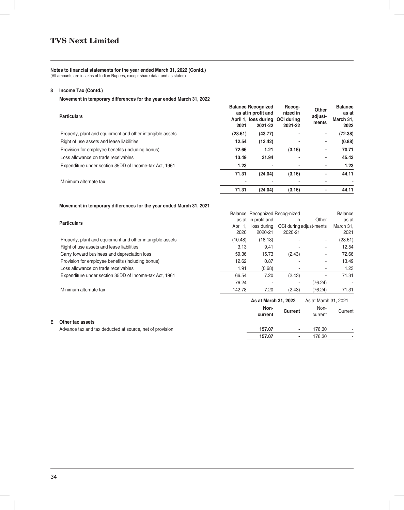#### **Notes to fi nancial statements for the year ended March 31, 2022 (Contd.)** (All amounts are in lakhs of Indian Rupees, except share data and as stated)

# **8 Income Tax (Contd.)**

**Movement in temporary differences for the year ended March 31, 2022**

| <b>Particulars</b>                                        | 2021    | <b>Balance Recognized</b><br>as at in profit and<br>April 1, loss during OCI during<br>2021-22 | Recog-<br>nized in<br>2021-22 | Other<br>adjust-<br>ments | <b>Balance</b><br>as at<br>March 31,<br>2022 |
|-----------------------------------------------------------|---------|------------------------------------------------------------------------------------------------|-------------------------------|---------------------------|----------------------------------------------|
| Property, plant and equipment and other intangible assets | (28.61) | (43.77)                                                                                        |                               | $\blacksquare$            | (72.38)                                      |
| Right of use assets and lease liabilities                 | 12.54   | (13.42)                                                                                        |                               | ٠                         | (0.88)                                       |
| Provision for employee benefits (including bonus)         | 72.66   | 1.21                                                                                           | (3.16)                        | ٠                         | 70.71                                        |
| Loss allowance on trade receivables                       | 13.49   | 31.94                                                                                          |                               | ٠                         | 45.43                                        |
| Expenditure under section 35DD of Income-tax Act, 1961    | 1.23    | ٠                                                                                              |                               | $\overline{\phantom{0}}$  | 1.23                                         |
|                                                           | 71.31   | (24.04)                                                                                        | (3.16)                        | $\overline{\phantom{0}}$  | 44.11                                        |
| Minimum alternate tax                                     | ٠       |                                                                                                |                               | $\overline{\phantom{0}}$  | ٠                                            |
|                                                           | 71.31   | (24.04)                                                                                        | (3.16)                        | ٠                         | 44.11                                        |

# **Movement in temporary differences for the year ended March 31, 2021**

|                                                           |         | Non-<br>current                                       | Current                            | Non-<br>current      | Current           |
|-----------------------------------------------------------|---------|-------------------------------------------------------|------------------------------------|----------------------|-------------------|
|                                                           |         | As at March 31, 2022                                  |                                    | As at March 31, 2021 |                   |
| Minimum alternate tax                                     | 142.78  | 7.20                                                  | (2.43)                             | (76.24)              | 71.31             |
|                                                           | 76.24   |                                                       |                                    | (76.24)              |                   |
| Expenditure under section 35DD of Income-tax Act, 1961    | 66.54   | 7.20                                                  | (2.43)                             | ۰                    | 71.31             |
| Loss allowance on trade receivables                       | 1.91    | (0.68)                                                |                                    | $\sim$               | 1.23              |
| Provision for employee benefits (including bonus)         | 12.62   | 0.87                                                  |                                    | ٠                    | 13.49             |
| Carry forward business and depreciation loss              | 59.36   | 15.73                                                 | (2.43)                             | ٠                    | 72.66             |
| Right of use assets and lease liabilities                 | 3.13    | 9.41                                                  |                                    | ٠                    | 12.54             |
| Property, plant and equipment and other intangible assets | (10.48) | (18.13)                                               |                                    | $\sim$               | (28.61)           |
| <b>Particulars</b>                                        |         | loss during<br>April 1,<br>2020-21                    | OCI during adjust-ments<br>2020-21 |                      | March 31,<br>2021 |
|                                                           |         | Balance Recognized Recog-nized<br>as at in profit and | in                                 | Other                | as at             |
|                                                           |         |                                                       |                                    |                      | <b>Balance</b>    |

 **157.07 -** 176.30 -

# **E Other tax assets**

Advance tax and tax deducted at source, net of provision **157.07** 157.07 - 176.30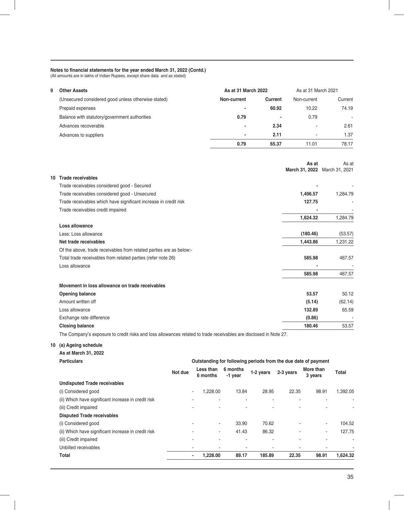(All amounts are in lakhs of Indian Rupees, except share data and as stated)

| <b>Other Assets</b>                                 | As at 31 March 2022 |                | As at 31 March 2021 |         |  |
|-----------------------------------------------------|---------------------|----------------|---------------------|---------|--|
| (Unsecured considered good unless otherwise stated) | Non-current         | Current        | Non-current         | Current |  |
| Prepaid expenses                                    |                     | 60.92          | 10.22               | 74.19   |  |
| Balance with statutory/government authorities       | 0.79                | $\blacksquare$ | 0.79                | ۰       |  |
| Advances recoverable                                |                     | 2.34           | $\blacksquare$      | 2.61    |  |
| Advances to suppliers                               | -                   | 2.11           | $\blacksquare$      | 1.37    |  |
|                                                     | 0.79                | 65.37          | 11.01               | 78.17   |  |

|    |                                                                     | As at<br>March 31, 2022 | As at<br>March 31, 2021 |
|----|---------------------------------------------------------------------|-------------------------|-------------------------|
| 10 | <b>Trade receivables</b>                                            |                         |                         |
|    | Trade receivables considered good - Secured                         |                         |                         |
|    | Trade receivables considered good - Unsecured                       | 1,496.57                | 1,284.79                |
|    | Trade receivables which have significant increase in credit risk    | 127.75                  |                         |
|    | Trade receivables credit impaired                                   |                         |                         |
|    |                                                                     | 1,624.32                | 1,284.79                |
|    | Loss allowance                                                      |                         |                         |
|    | Less: Loss allowance                                                | (180.46)                | (53.57)                 |
|    | Net trade receivables                                               | 1,443.86                | 1,231.22                |
|    | Of the above, trade receivables from related parties are as below:- |                         |                         |
|    | Total trade receivables from related parties (refer note 26)        | 585.98                  | 467.57                  |
|    | Loss allowance                                                      |                         |                         |
|    |                                                                     | 585.98                  | 467.57                  |
|    | Movement in loss allowance on trade receivables                     |                         |                         |
|    | <b>Opening balance</b>                                              | 53.57                   | 50.12                   |
|    | Amount written off                                                  | (5.14)                  | (62.14)                 |
|    | Loss allowance                                                      | 132.89                  | 65.59                   |
|    | Exchange rate difference                                            | (0.86)                  |                         |
|    | <b>Closing balance</b>                                              | 180.46                  | 53.57                   |

The Company's exposure to credit risks and loss allowances related to trade receivables are disclosed in Note 27.

# **10 (a) Ageing schedule**

**As at March 31, 2022**

| <b>Particulars</b>                                  | Outstanding for following periods from the due date of payment |                       |                     |           |           |                          |          |
|-----------------------------------------------------|----------------------------------------------------------------|-----------------------|---------------------|-----------|-----------|--------------------------|----------|
|                                                     | Not due                                                        | Less than<br>6 months | 6 months<br>-1 year | 1-2 years | 2-3 years | More than<br>3 years     | Total    |
| <b>Undisputed Trade receivables</b>                 |                                                                |                       |                     |           |           |                          |          |
| (i) Considered good                                 |                                                                | 1,228.00              | 13.84               | 28.95     | 22.35     | 98.91                    | 1,392.05 |
| (ii) Which have significant increase in credit risk |                                                                |                       | ٠                   | -         | ۰         |                          |          |
| (iii) Credit impaired                               |                                                                |                       |                     |           |           |                          |          |
| <b>Disputed Trade receivables</b>                   |                                                                |                       |                     |           |           |                          |          |
| (i) Considered good                                 |                                                                | ۰                     | 33.90               | 70.62     |           | $\overline{\phantom{a}}$ | 104.52   |
| (ii) Which have significant increase in credit risk |                                                                | ۰                     | 41.43               | 86.32     |           | ٠                        | 127.75   |
| (iii) Credit impaired                               |                                                                |                       | ٠                   | ۰         | ٠         |                          | ۰        |
| Unbilled receivables                                | -                                                              |                       | ٠                   |           |           |                          |          |
| <b>Total</b>                                        | ٠                                                              | 1,228.00              | 89.17               | 185.89    | 22.35     | 98.91                    | 1.624.32 |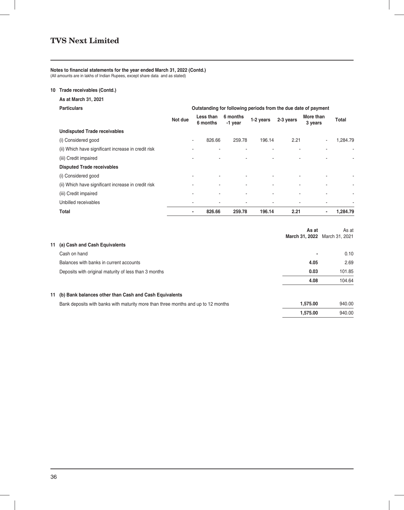**10 Trade receivables (Contd.)**

**As at March 31, 2021**

| <b>Particulars</b>                                  | Outstanding for following periods from the due date of payment |                       |                     |           |           |                          |          |
|-----------------------------------------------------|----------------------------------------------------------------|-----------------------|---------------------|-----------|-----------|--------------------------|----------|
|                                                     | Not due                                                        | Less than<br>6 months | 6 months<br>-1 year | 1-2 years | 2-3 years | More than<br>3 years     | Total    |
| <b>Undisputed Trade receivables</b>                 |                                                                |                       |                     |           |           |                          |          |
| (i) Considered good                                 | ۰                                                              | 826.66                | 259.78              | 196.14    | 2.21      | $\overline{\phantom{a}}$ | 1,284.79 |
| (ii) Which have significant increase in credit risk |                                                                |                       |                     |           |           |                          |          |
| (iii) Credit impaired                               |                                                                |                       |                     |           |           |                          |          |
| <b>Disputed Trade receivables</b>                   |                                                                |                       |                     |           |           |                          |          |
| (i) Considered good                                 |                                                                |                       |                     |           |           |                          |          |
| (ii) Which have significant increase in credit risk |                                                                | ٠                     | ٠                   | ۰         |           |                          |          |
| (iii) Credit impaired                               |                                                                |                       |                     |           |           |                          |          |
| Unbilled receivables                                |                                                                |                       |                     |           |           |                          |          |
| <b>Total</b>                                        | ٠                                                              | 826.66                | 259.78              | 196.14    | 2.21      | ٠                        | 1.284.79 |

|                                                                                   | As at          | As at          |
|-----------------------------------------------------------------------------------|----------------|----------------|
|                                                                                   | March 31, 2022 | March 31, 2021 |
| 11 (a) Cash and Cash Equivalents                                                  |                |                |
| Cash on hand                                                                      | $\blacksquare$ | 0.10           |
| Balances with banks in current accounts                                           | 4.05           | 2.69           |
| Deposits with original maturity of less than 3 months                             | 0.03           | 101.85         |
|                                                                                   | 4.08           | 104.64         |
| 11 (b) Bank balances other than Cash and Cash Equivalents                         |                |                |
| Bank deposits with banks with maturity more than three months and up to 12 months | 1.575.00       | 940.00         |
|                                                                                   | 1.575.00       | 940.00         |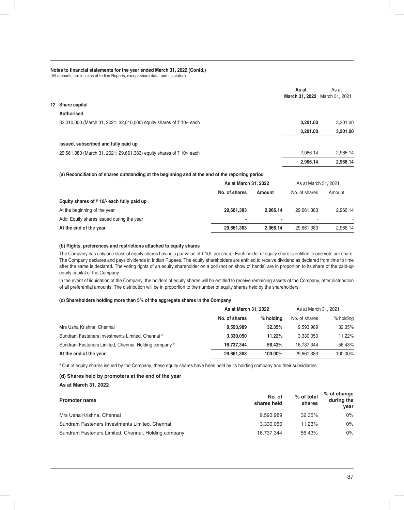(All amounts are in lakhs of Indian Rupees, except share data and as stated)

|    |                                                                                                  |                      |          | As at<br>March 31, 2022 | As at<br>March 31, 2021 |
|----|--------------------------------------------------------------------------------------------------|----------------------|----------|-------------------------|-------------------------|
| 12 | Share capital                                                                                    |                      |          |                         |                         |
|    | <b>Authorised</b>                                                                                |                      |          |                         |                         |
|    | 32,010,000 (March 31, 2021: 32,010,000) equity shares of ₹10/- each                              |                      |          | 3,201.00                | 3,201.00                |
|    |                                                                                                  |                      |          | 3,201.00                | 3,201.00                |
|    | Issued, subscribed and fully paid up                                                             |                      |          |                         |                         |
|    | 29,661,383 (March 31, 2021: 29,661,383) equity shares of ₹10/- each                              |                      |          | 2,966.14                | 2,966.14                |
|    |                                                                                                  |                      |          | 2,966.14                | 2,966.14                |
|    | (a) Reconciliation of shares outstanding at the beginning and at the end of the reporting period |                      |          |                         |                         |
|    |                                                                                                  | As at March 31, 2022 |          | As at March 31, 2021    |                         |
|    |                                                                                                  | No. of shares        | Amount   | No. of shares           | Amount                  |
|    | Equity shares of $\bar{z}$ 10/- each fully paid up                                               |                      |          |                         |                         |
|    | At the beginning of the year                                                                     | 29,661,383           | 2,966.14 | 29,661,383              | 2,966.14                |
|    | Add: Equity shares issued during the year                                                        |                      |          |                         |                         |
|    | At the end of the year                                                                           | 29,661,383           | 2,966.14 | 29,661,383              | 2,966.14                |

# **(b) Rights, preferences and restrictions attached to equity shares**

The Company has only one class of equity shares having a par value of  $\bar{\tau}$  10/- per share. Each holder of equity share is entitled to one vote per share. The Company declares and pays dividends in Indian Rupees. The equity shareholders are entitled to receive dividend as declared from time to time after the same is declared. The voting rights of an equity shareholder on a poll (not on show of hands) are in proportion to its share of the paid-up equity capital of the Company.

In the event of liquidation of the Company, the holders of equity shares will be entitled to receive remaining assets of the Company, after distribution of all preferential amounts. The distribution will be in proportion to the number of equity shares held by the shareholders.

# **(c) Shareholders holding more than 5% of the aggregate shares in the Company**

|                                                       | As at March 31, 2022 |           | As at March 31, 2021 |           |
|-------------------------------------------------------|----------------------|-----------|----------------------|-----------|
|                                                       | No. of shares        | % holding | No. of shares        | % holding |
| Mrs Usha Krishna, Chennai                             | 9,593,989            | 32.35%    | 9.593.989            | 32.35%    |
| Sundram Fasteners Investments Limited, Chennai #      | 3,330,050            | 11.22%    | 3.330.050            | 11.22%    |
| Sundram Fasteners Limited, Chennai, Holding company # | 16.737.344           | 56.43%    | 16.737.344           | 56.43%    |
| At the end of the year                                | 29,661,383           | 100.00%   | 29,661,383           | 100.00%   |

# Out of equity shares issued by the Company, these equity shares have been held by its holding company and their subsidiaries.

### **(d) Shares held by promoters at the end of the year**

### **As at March 31, 2022**

| <b>Promoter name</b>                                | No. of<br>shares held | % of total<br>shares | $%$ of change<br>during the<br>year |
|-----------------------------------------------------|-----------------------|----------------------|-------------------------------------|
| Mrs Usha Krishna, Chennai                           | 9.593.989             | 32.35%               | $0\%$                               |
| Sundram Fasteners Investments Limited, Chennai      | 3.330.050             | 11.23%               | $0\%$                               |
| Sundram Fasteners Limited, Chennai, Holding company | 16.737.344            | 56.43%               | 0%                                  |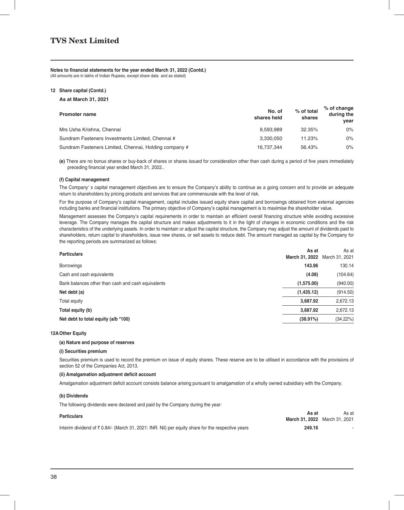#### Notes to financial statements for the year ended March 31, 2022 (Contd.) (All amounts are in lakhs of Indian Rupees, except share data and as stated)

#### **12 Share capital (Contd.)**

**As at March 31, 2021**

| <b>Promoter name</b>                                  | No. of<br>shares held | % of total<br>shares | % of change<br>during the<br>vear |
|-------------------------------------------------------|-----------------------|----------------------|-----------------------------------|
| Mrs Usha Krishna, Chennai                             | 9.593.989             | 32.35%               | $0\%$                             |
| Sundram Fasteners Investments Limited, Chennai #      | 3.330.050             | 11.23%               | $0\%$                             |
| Sundram Fasteners Limited, Chennai, Holding company # | 16.737.344            | 56.43%               | $0\%$                             |

(e) There are no bonus shares or buy-back of shares or shares issued for consideration other than cash during a period of five years immediately preceding financial year ended March 31, 2022..

#### **(f) Capital management**

The Company' s capital management objectives are to ensure the Company's ability to continue as a going concern and to provide an adequate return to shareholders by pricing products and services that are commensurate with the level of risk.

For the purpose of Company's capital management, capital includes issued equity share capital and borrowings obtained from external agencies including banks and financial institutions. The primary objective of Company's capital management is to maximise the shareholder value.

Management assesses the Company's capital requirements in order to maintain an efficient overall financing structure while avoiding excessive leverage. The Company manages the capital structure and makes adjustments to it in the light of changes in economic conditions and the risk characteristics of the underlying assets. In order to maintain or adjust the capital structure, the Company may adjust the amount of dividends paid to shareholders, return capital to shareholders, issue new shares, or sell assets to reduce debt. The amount managed as capital by the Company for the reporting periods are summarized as follows:

| <b>Particulars</b>                                 | As at       | As at                         |
|----------------------------------------------------|-------------|-------------------------------|
|                                                    |             | March 31, 2022 March 31, 2021 |
| Borrowings                                         | 143.96      | 130.14                        |
| Cash and cash equivalents                          | (4.08)      | (104.64)                      |
| Bank balances other than cash and cash equivalents | (1,575.00)  | (940.00)                      |
| Net debt (a)                                       | (1,435.12)  | (914.50)                      |
| Total equity                                       | 3.687.92    | 2,672.13                      |
| Total equity (b)                                   | 3.687.92    | 2,672.13                      |
| Net debt to total equity (a/b *100)                | $(38.91\%)$ | (34.22%)                      |
|                                                    |             |                               |

### **12AOther Equity**

### **(a) Nature and purpose of reserves**

#### **(i) Securities premium**

Securities premium is used to record the premium on issue of equity shares. These reserve are to be utilised in accordance with the provisions of section 52 of the Companies Act, 2013.

#### (ii) Amalgamation adjustment deficit account

Amalgamation adjustment deficit account consists balance arising pursuant to amalgamation of a wholly owned subsidiary with the Company.

#### **(b) Dividends**

The following dividends were declared and paid by the Company during the year:

| <b>Particulars</b>                                                                                | As at                                | As at |
|---------------------------------------------------------------------------------------------------|--------------------------------------|-------|
|                                                                                                   | <b>March 31, 2022</b> March 31, 2021 |       |
| Interim dividend of ₹ 0.84/- (March 31, 2021: INR. Nil) per equity share for the respective years | 249.16                               |       |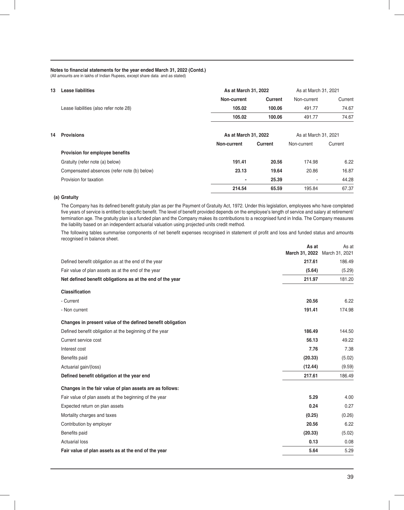(All amounts are in lakhs of Indian Rupees, except share data and as stated)

| 13 | Lease liabilities                           |                      | As at March 31, 2022 |                          | As at March 31, 2021 |
|----|---------------------------------------------|----------------------|----------------------|--------------------------|----------------------|
|    |                                             | Non-current          | Current              | Non-current              | Current              |
|    | Lease liabilities (also refer note 28)      | 105.02               | 100.06               | 491.77                   | 74.67                |
|    |                                             | 105.02               | 100.06               | 491.77                   | 74.67                |
| 14 | <b>Provisions</b>                           | As at March 31, 2022 |                      | As at March 31, 2021     |                      |
|    |                                             | Non-current          | Current              | Non-current              | Current              |
|    | Provision for employee benefits             |                      |                      |                          |                      |
|    | Gratuity (refer note (a) below)             | 191.41               | 20.56                | 174.98                   | 6.22                 |
|    | Compensated absences (refer note (b) below) | 23.13                | 19.64                | 20.86                    | 16.87                |
|    | Provision for taxation                      |                      | 25.39                | $\overline{\phantom{a}}$ | 44.28                |
|    |                                             | 214.54               | 65.59                | 195.84                   | 67.37                |

# **(a) Gratuity**

The Company has its defined benefit gratuity plan as per the Payment of Gratuity Act, 1972. Under this legislation, employees who have completed five years of service is entitled to specific benefit. The level of benefit provided depends on the employee's length of service and salary at retirement/ termination age. The gratuity plan is a funded plan and the Company makes its contributions to a recognised fund in India. The Company measures the liability based on an independent actuarial valuation using projected units credit method.

The following tables summarise components of net benefit expenses recognised in statement of profit and loss and funded status and amounts recognised in balance sheet.

|                                                            | As at<br>March 31, 2022 | As at<br>March 31, 2021 |
|------------------------------------------------------------|-------------------------|-------------------------|
| Defined benefit obligation as at the end of the year       | 217.61                  | 186.49                  |
| Fair value of plan assets as at the end of the year        | (5.64)                  | (5.29)                  |
| Net defined benefit obligations as at the end of the year  | 211.97                  | 181.20                  |
| <b>Classification</b>                                      |                         |                         |
| - Current                                                  | 20.56                   | 6.22                    |
| - Non current                                              | 191.41                  | 174.98                  |
| Changes in present value of the defined benefit obligation |                         |                         |
| Defined benefit obligation at the beginning of the year    | 186.49                  | 144.50                  |
| Current service cost                                       | 56.13                   | 49.22                   |
| Interest cost                                              | 7.76                    | 7.38                    |
| Benefits paid                                              | (20.33)                 | (5.02)                  |
| Actuarial gain/(loss)                                      | (12.44)                 | (9.59)                  |
| Defined benefit obligation at the year end                 | 217.61                  | 186.49                  |
| Changes in the fair value of plan assets are as follows:   |                         |                         |
| Fair value of plan assets at the beginning of the year     | 5.29                    | 4.00                    |
| Expected return on plan assets                             | 0.24                    | 0.27                    |
| Mortality charges and taxes                                | (0.25)                  | (0.26)                  |
| Contribution by employer                                   | 20.56                   | 6.22                    |
| Benefits paid                                              | (20.33)                 | (5.02)                  |
| <b>Actuarial loss</b>                                      | 0.13                    | 0.08                    |
| Fair value of plan assets as at the end of the year        | 5.64                    | 5.29                    |
|                                                            |                         |                         |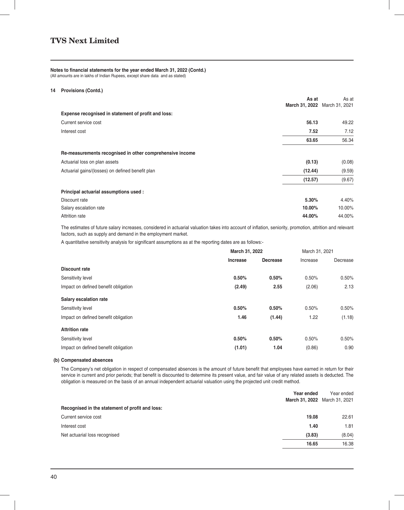#### **Notes to fi nancial statements for the year ended March 31, 2022 (Contd.)** (All amounts are in lakhs of Indian Rupees, except share data and as stated)

**14 Provisions (Contd.)**

|                                                          | As at          | As at          |
|----------------------------------------------------------|----------------|----------------|
|                                                          | March 31, 2022 | March 31, 2021 |
| Expense recognised in statement of profit and loss:      |                |                |
| Current service cost                                     | 56.13          | 49.22          |
| Interest cost                                            | 7.52           | 7.12           |
|                                                          | 63.65          | 56.34          |
| Re-measurements recognised in other comprehensive income |                |                |
| Actuarial loss on plan assets                            | (0.13)         | (0.08)         |
| Actuarial gains/(losses) on defined benefit plan         | (12.44)        | (9.59)         |
|                                                          | (12.57)        | (9.67)         |
| Principal actuarial assumptions used :                   |                |                |
| Discount rate                                            | 5.30%          | 4.40%          |
| Salary escalation rate                                   | 10.00%         | 10.00%         |
| Attrition rate                                           | 44.00%         | 44.00%         |

The estimates of future salary increases, considered in actuarial valuation takes into account of inflation, seniority, promotion, attrition and relevant factors, such as supply and demand in the employment market.

A quantitative sensitivity analysis for significant assumptions as at the reporting dates are as follows:-

|                                      | March 31, 2022  |                 | March 31, 2021 |          |
|--------------------------------------|-----------------|-----------------|----------------|----------|
|                                      | <b>Increase</b> | <b>Decrease</b> | Increase       | Decrease |
| Discount rate                        |                 |                 |                |          |
| Sensitivity level                    | 0.50%           | 0.50%           | 0.50%          | 0.50%    |
| Impact on defined benefit obligation | (2.49)          | 2.55            | (2.06)         | 2.13     |
| Salary escalation rate               |                 |                 |                |          |
| Sensitivity level                    | 0.50%           | 0.50%           | 0.50%          | 0.50%    |
| Impact on defined benefit obligation | 1.46            | (1.44)          | 1.22           | (1.18)   |
| <b>Attrition rate</b>                |                 |                 |                |          |
| Sensitivity level                    | 0.50%           | 0.50%           | 0.50%          | 0.50%    |
| Impact on defined benefit obligation | (1.01)          | 1.04            | (0.86)         | 0.90     |

# **(b) Compensated absences**

The Company's net obligation in respect of compensated absences is the amount of future benefit that employees have earned in return for their service in current and prior periods; that benefit is discounted to determine its present value, and fair value of any related assets is deducted. The obligation is measured on the basis of an annual independent actuarial valuation using the projected unit credit method.

|                                                 | Year ended | Year ended                    |
|-------------------------------------------------|------------|-------------------------------|
|                                                 |            | March 31, 2022 March 31, 2021 |
| Recognised in the statement of profit and loss: |            |                               |
| Current service cost                            | 19.08      | 22.61                         |
| Interest cost                                   | 1.40       | 1.81                          |
| Net actuarial loss recognised                   | (3.83)     | (8.04)                        |
|                                                 | 16.65      | 16.38                         |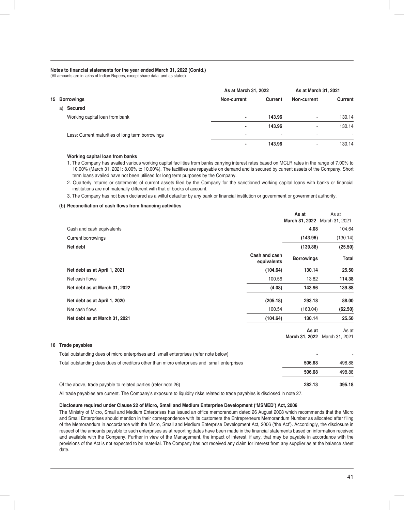(All amounts are in lakhs of Indian Rupees, except share data and as stated)

|                                                  | As at March 31, 2022 | As at March 31, 2021     |                          |         |
|--------------------------------------------------|----------------------|--------------------------|--------------------------|---------|
| 15 Borrowings                                    | Non-current          | Current                  | Non-current              | Current |
| Secured<br>a)                                    |                      |                          |                          |         |
| Working capital loan from bank                   |                      | 143.96                   | $\overline{\phantom{a}}$ | 130.14  |
|                                                  | ۰                    | 143.96                   | $\overline{\phantom{a}}$ | 130.14  |
| Less: Current maturities of long term borrowings | ۰                    | $\overline{\phantom{a}}$ | $\overline{\phantom{a}}$ | ۰       |
|                                                  | ٠                    | 143.96                   | $\overline{\phantom{a}}$ | 130.14  |

#### **Working capital loan from banks**

1. The Company has availed various working capital facilities from banks carrying interest rates based on MCLR rates in the range of 7.00% to 10.00% (March 31, 2021: 8.00% to 10.00%). The facilities are repayable on demand and is secured by current assets of the Company. Short term loans availed have not been utilised for long term purposes by the Company.

2. Quarterly returns or statements of current assets filed by the Company for the sanctioned working capital loans with banks or financial institutions are not materially different with that of books of account.

3. The Company has not been declared as a wilful defaulter by any bank or financial institution or government or government authority.

# (b) Reconciliation of cash flows from financing activities

|                               |                              | As at<br>March 31, 2022 | As at<br>March 31, 2021 |
|-------------------------------|------------------------------|-------------------------|-------------------------|
| Cash and cash equivalents     |                              | 4.08                    | 104.64                  |
| Current borrowings            |                              | (143.96)                | (130.14)                |
| Net debt                      |                              | (139.88)                | (25.50)                 |
|                               | Cash and cash<br>equivalents | <b>Borrowings</b>       | Total                   |
| Net debt as at April 1, 2021  | (104.64)                     | 130.14                  | 25.50                   |
| Net cash flows                | 100.56                       | 13.82                   | 114.38                  |
| Net debt as at March 31, 2022 | (4.08)                       | 143.96                  | 139.88                  |
| Net debt as at April 1, 2020  | (205.18)                     | 293.18                  | 88.00                   |
| Net cash flows                | 100.54                       | (163.04)                | (62.50)                 |
| Net debt as at March 31, 2021 | (104.64)                     | 130.14                  | 25.50                   |
|                               |                              | $\Delta$ s at           | $\Delta$ s at           |

**March 31, 2022** March 31, 2021

| 16 Trade payables                                                                           |                          |        |
|---------------------------------------------------------------------------------------------|--------------------------|--------|
| Total outstanding dues of micro enterprises and small enterprises (refer note below)        | $\overline{\phantom{a}}$ |        |
| Total outstanding dues dues of creditors other than micro enterprises and small enterprises | 506.68                   | 498.88 |
|                                                                                             | 506.68                   | 498.88 |
| Of the above, trade payable to related parties (refer note 26)                              | 282.13                   | 395.18 |

All trade payables are current. The Company's exposure to liquidity risks related to trade payables is disclosed in note 27.

# **Disclosure required under Clause 22 of Micro, Small and Medium Enterprise Development ('MSMED') Act, 2006**

The Ministry of Micro, Small and Medium Enterprises has issued an office memorandum dated 26 August 2008 which recommends that the Micro and Small Enterprises should mention in their correspondence with its customers the Entrepreneurs Memorandum Number as allocated after filing of the Memorandum in accordance with the Micro, Small and Medium Enterprise Development Act, 2006 ('the Act'). Accordingly, the disclosure in respect of the amounts payable to such enterprises as at reporting dates have been made in the financial statements based on information received and available with the Company. Further in view of the Management, the impact of interest, if any, that may be payable in accordance with the provisions of the Act is not expected to be material. The Company has not received any claim for interest from any supplier as at the balance sheet date.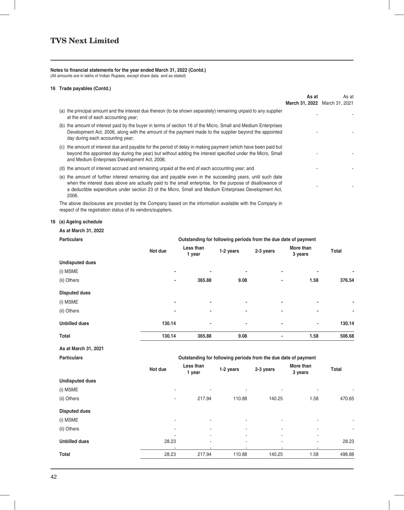# **16 Trade payables (Contd.)**

|     |                                                                                                                                                                                                                                                                                                                                            | As at                         | As at |
|-----|--------------------------------------------------------------------------------------------------------------------------------------------------------------------------------------------------------------------------------------------------------------------------------------------------------------------------------------------|-------------------------------|-------|
|     |                                                                                                                                                                                                                                                                                                                                            | March 31, 2022 March 31, 2021 |       |
|     | (a) the principal amount and the interest due thereon (to be shown separately) remaining unpaid to any supplier<br>at the end of each accounting year;                                                                                                                                                                                     |                               |       |
| (b) | the amount of interest paid by the buyer in terms of section 16 of the Micro, Small and Medium Enterprises<br>Development Act, 2006, along with the amount of the payment made to the supplier beyond the appointed<br>day during each accounting year;                                                                                    |                               |       |
|     | (c) the amount of interest due and payable for the period of delay in making payment (which have been paid but<br>beyond the appointed day during the year) but without adding the interest specified under the Micro, Small<br>and Medium Enterprises Development Act, 2006;                                                              |                               |       |
|     | (d) the amount of interest accrued and remaining unpaid at the end of each accounting year; and                                                                                                                                                                                                                                            |                               |       |
|     | (e) the amount of further interest remaining due and payable even in the succeeding years, until such date<br>when the interest dues above are actually paid to the small enterprise, for the purpose of disallowance of<br>a deductible expenditure under section 23 of the Micro, Small and Medium Enterprises Development Act,<br>2006. |                               |       |

The above disclosures are provided by the Company based on the information available with the Company in respect of the registration status of its vendors/suppliers.

# **16 (a) Ageing schedule**

**As at March 31, 2022**

| <b>Particulars</b>     | Outstanding for following periods from the due date of payment |                          |                |           |                      |              |  |
|------------------------|----------------------------------------------------------------|--------------------------|----------------|-----------|----------------------|--------------|--|
|                        | Not due                                                        | Less than<br>1 year      | 1-2 years      | 2-3 years | More than<br>3 years | <b>Total</b> |  |
| <b>Undisputed dues</b> |                                                                |                          |                |           |                      |              |  |
| (i) MSME               | ٠                                                              | $\overline{\phantom{a}}$ | $\blacksquare$ | ٠         | ٠                    |              |  |
| (ii) Others            | ٠                                                              | 365.88                   | 9.08           | ٠         | 1.58                 | 376.54       |  |
| <b>Disputed dues</b>   |                                                                |                          |                |           |                      |              |  |
| (i) MSME               | ٠                                                              | ٠                        | $\blacksquare$ | ٠         | ٠                    | ٠            |  |
| (ii) Others            | ٠                                                              | ٠                        | $\blacksquare$ | ٠         | ٠                    | ٠            |  |
| <b>Unbilled dues</b>   | 130.14                                                         | ٠                        | $\blacksquare$ | ٠         | ٠                    | 130.14       |  |
| Total                  | 130.14                                                         | 365.88                   | 9.08           | -         | 1.58                 | 506.68       |  |

## **As at March 31, 2021**

**Particulars Outstanding for following periods from the due date of payment**

|                        | Not due                  | Less than<br>1 year      | 1-2 years | 2-3 years                | More than<br>3 years     | Total  |
|------------------------|--------------------------|--------------------------|-----------|--------------------------|--------------------------|--------|
| <b>Undisputed dues</b> |                          |                          |           |                          |                          |        |
| (i) MSME               | $\overline{\phantom{a}}$ | $\overline{\phantom{a}}$ | -         |                          | $\overline{\phantom{0}}$ | ۰      |
| (ii) Others            | $\tilde{\phantom{a}}$    | 217.94                   | 110.88    | 140.25                   | 1.58                     | 470.65 |
| <b>Disputed dues</b>   |                          |                          |           |                          |                          |        |
| (i) MSME               | ۰                        | ٠                        | ٠         | ۰                        | $\overline{\phantom{a}}$ | ۰      |
| (ii) Others            | $\overline{\phantom{a}}$ | $\overline{\phantom{a}}$ | ۰         | ۰                        | $\overline{\phantom{a}}$ | ۰      |
|                        |                          | $\sim$                   | ۰         | ۰                        | ۰                        |        |
| <b>Unbilled dues</b>   | 28.23                    | $\sim$                   | ٠         | $\overline{\phantom{a}}$ | ۰                        | 28.23  |
|                        |                          | -                        |           |                          | -                        |        |
| <b>Total</b>           | 28.23                    | 217.94                   | 110.88    | 140.25                   | 1.58                     | 498.88 |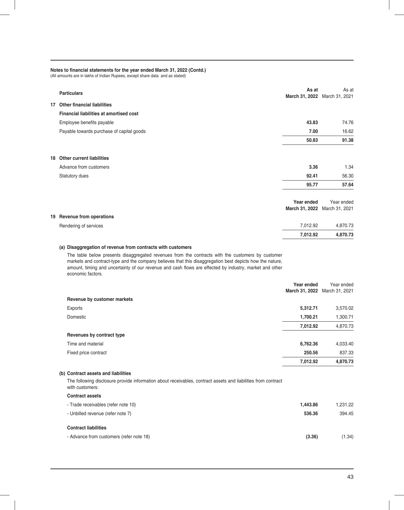(All amounts are in lakhs of Indian Rupees, except share data and as stated)

|    | <b>Particulars</b>                             | As at<br>March 31, 2022      | As at<br>March 31, 2021      |
|----|------------------------------------------------|------------------------------|------------------------------|
| 17 | <b>Other financial liabilities</b>             |                              |                              |
|    | <b>Financial liabilities at amortised cost</b> |                              |                              |
|    | Employee benefits payable                      | 43.83                        | 74.76                        |
|    | Payable towards purchase of capital goods      | 7.00                         | 16.62                        |
|    |                                                | 50.83                        | 91.38                        |
| 18 | Other current liabilities                      |                              |                              |
|    | Advance from customers                         | 3.36                         | 1.34                         |
|    | Statutory dues                                 | 92.41                        | 56.30                        |
|    |                                                | 95.77                        | 57.64                        |
|    |                                                | Year ended<br>March 31, 2022 | Year ended<br>March 31, 2021 |
| 19 | Revenue from operations                        |                              |                              |
|    | Rendering of services                          | 7,012.92                     | 4,870.73                     |
|    |                                                | 7,012.92                     | 4,870.73                     |

# **(a) Disaggregation of revenue from contracts with customers**

The table below presents disaggregated revenues from the contracts with the customers by customer markets and contract-type and the company believes that this disaggregation best depicts how the nature, amount, timing and uncertainty of our revenue and cash flows are effected by industry, market and other economic factors.

| Year ended | Year ended                    |
|------------|-------------------------------|
|            | March 31, 2022 March 31, 2021 |
|            |                               |
| 5,312.71   | 3,570.02                      |
| 1,700.21   | 1,300.71                      |
| 7,012.92   | 4,870.73                      |
|            |                               |
| 6,762.36   | 4,033.40                      |
| 250.56     | 837.33                        |
| 7,012.92   | 4,870.73                      |
|            |                               |

## **(b) Contract assets and liabilities**

The following disclosure provide information about receivables, contract assets and liabilities from contract with customers:

# **Contract assets** - Trade receivables (refer note 10) **1,443.86** 1,231.22

| - Unbilled revenue (refer note 7)        | 536.36 | 394.45 |
|------------------------------------------|--------|--------|
| <b>Contract liabilities</b>              |        |        |
| - Advance from customers (refer note 18) | (3.36) | (1.34) |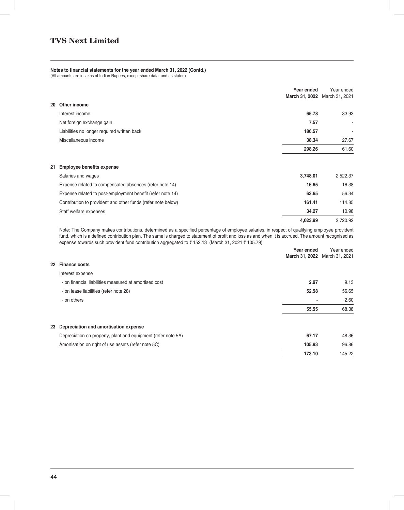(All amounts are in lakhs of Indian Rupees, except share data and as stated)

|    |                                                              | Year ended<br>March 31, 2022 | Year ended<br>March 31, 2021 |
|----|--------------------------------------------------------------|------------------------------|------------------------------|
| 20 | Other income                                                 |                              |                              |
|    | Interest income                                              | 65.78                        | 33.93                        |
|    | Net foreign exchange gain                                    | 7.57                         | ٠                            |
|    | Liabilities no longer required written back                  | 186.57                       | $\overline{\phantom{a}}$     |
|    | Miscellaneous income                                         | 38.34                        | 27.67                        |
|    |                                                              | 298.26                       | 61.60                        |
|    |                                                              |                              |                              |
| 21 | <b>Employee benefits expense</b>                             |                              |                              |
|    | Salaries and wages                                           | 3,748.01                     | 2,522.37                     |
|    | Expense related to compensated absences (refer note 14)      | 16.65                        | 16.38                        |
|    | Expense related to post-employment benefit (refer note 14)   | 63.65                        | 56.34                        |
|    | Contribution to provident and other funds (refer note below) | 161.41                       | 114.85                       |
|    | Staff welfare expenses                                       | 34.27                        | 10.98                        |
|    |                                                              | 4,023.99                     | 2,720.92                     |

Note: The Company makes contributions, determined as a specified percentage of employee salaries, in respect of qualifying employee provident fund, which is a defined contribution plan. The same is charged to statement of profit and loss as and when it is accrued. The amount recognised as expense towards such provident fund contribution aggregated to ₹ 152.13 (March 31, 2021 ₹ 105.79)

|                                                               | Year ended     | Year ended     |
|---------------------------------------------------------------|----------------|----------------|
|                                                               | March 31, 2022 | March 31, 2021 |
| 22 Finance costs                                              |                |                |
| Interest expense                                              |                |                |
| - on financial liabilities measured at amortised cost         | 2.97           | 9.13           |
| - on lease liabilities (refer note 28)                        | 52.58          | 56.65          |
| - on others                                                   | $\blacksquare$ | 2.60           |
|                                                               | 55.55          | 68.38          |
| 23 Depreciation and amortisation expense                      |                |                |
| Depreciation on property, plant and equipment (refer note 5A) | 67.17          | 48.36          |
| Amortisation on right of use assets (refer note 5C)           | 105.93         | 96.86          |
|                                                               | 173.10         | 145.22         |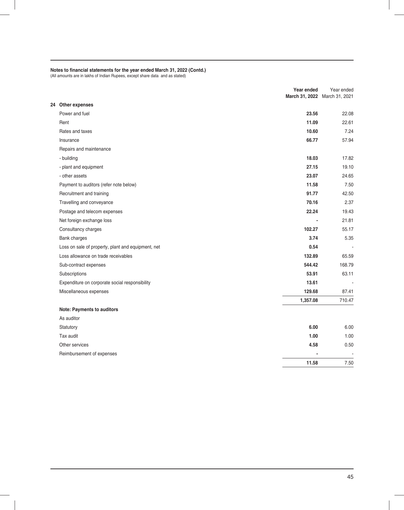(All amounts are in lakhs of Indian Rupees, except share data and as stated)

|                                                    | Year ended<br>March 31, 2022 March 31, 2021 | Year ended     |
|----------------------------------------------------|---------------------------------------------|----------------|
| 24 Other expenses                                  |                                             |                |
| Power and fuel                                     | 23.56                                       | 22.08          |
| Rent                                               | 11.09                                       | 22.61          |
| Rates and taxes                                    | 10.60                                       | 7.24           |
| Insurance                                          | 66.77                                       | 57.94          |
| Repairs and maintenance                            |                                             |                |
| - building                                         | 18.03                                       | 17.82          |
| - plant and equipment                              | 27.15                                       | 19.10          |
| - other assets                                     | 23.07                                       | 24.65          |
| Payment to auditors (refer note below)             | 11.58                                       | 7.50           |
| Recruitment and training                           | 91.77                                       | 42.50          |
| Travelling and conveyance                          | 70.16                                       | 2.37           |
| Postage and telecom expenses                       | 22.24                                       | 19.43          |
| Net foreign exchange loss                          |                                             | 21.81          |
| Consultancy charges                                | 102.27                                      | 55.17          |
| Bank charges                                       | 3.74                                        | 5.35           |
| Loss on sale of property, plant and equipment, net | 0.54                                        | $\blacksquare$ |
| Loss allowance on trade receivables                | 132.89                                      | 65.59          |
| Sub-contract expenses                              | 544.42                                      | 168.79         |
| Subscriptions                                      | 53.91                                       | 63.11          |
| Expenditure on corporate social responsibility     | 13.61                                       |                |
| Miscellaneous expenses                             | 129.68                                      | 87.41          |
|                                                    | 1,357.08                                    | 710.47         |
| <b>Note: Payments to auditors</b>                  |                                             |                |
| As auditor                                         |                                             |                |
| Statutory                                          | 6.00                                        | 6.00           |
| Tax audit                                          | 1.00                                        | 1.00           |
| Other services                                     | 4.58                                        | 0.50           |
| Reimbursement of expenses                          |                                             |                |

 **11.58** 7.50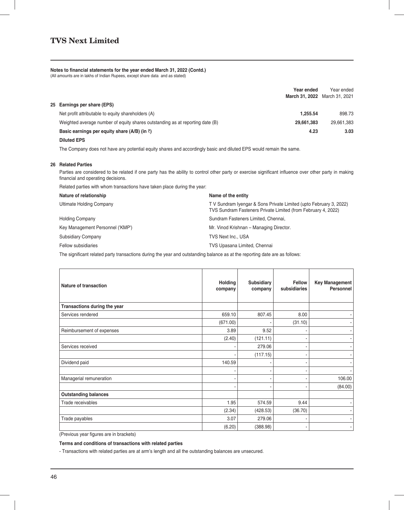(All amounts are in lakhs of Indian Rupees, except share data and as stated)

|                                                                               | Year ended<br>March 31, 2022 | Year ended<br>March 31, 2021 |
|-------------------------------------------------------------------------------|------------------------------|------------------------------|
| 25 Earnings per share (EPS)                                                   |                              |                              |
| Net profit attributable to equity shareholders (A)                            | 1.255.54                     | 898.73                       |
| Weighted average number of equity shares outstanding as at reporting date (B) | 29.661.383                   | 29.661.383                   |
| Basic earnings per equity share (A/B) (in $\bar{z}$ )                         | 4.23                         | 3.03                         |
| --- - - --                                                                    |                              |                              |

#### **Diluted EPS**

The Company does not have any potential equity shares and accordingly basic and diluted EPS would remain the same.

#### **26 Related Parties**

Parties are considered to be related if one party has the ability to control other party or exercise significant influence over other party in making financial and operating decisions.

Related parties with whom transactions have taken place during the year:

| Nature of relationship           | Name of the entity                                                                                                                 |  |  |
|----------------------------------|------------------------------------------------------------------------------------------------------------------------------------|--|--|
| Ultimate Holding Company         | TV Sundram Ivengar & Sons Private Limited (upto February 3, 2022)<br>TVS Sundram Fasteners Private Limited (from February 4, 2022) |  |  |
| <b>Holding Company</b>           | Sundram Fasteners Limited, Chennai,                                                                                                |  |  |
| Key Management Personnel ('KMP') | Mr. Vinod Krishnan - Managing Director.                                                                                            |  |  |
| <b>Subsidiary Company</b>        | TVS Next Inc., USA                                                                                                                 |  |  |
| <b>Fellow subsidiaries</b>       | TVS Upasana Limited, Chennai                                                                                                       |  |  |

The significant related party transactions during the year and outstanding balance as at the reporting date are as follows:

| <b>Nature of transaction</b> | <b>Holding</b><br>company | <b>Subsidiary</b><br>company | <b>Fellow</b><br>subsidiaries | Key Management<br>Personnel |
|------------------------------|---------------------------|------------------------------|-------------------------------|-----------------------------|
| Transactions during the year |                           |                              |                               |                             |
| Services rendered            | 659.10                    | 807.45                       | 8.00                          |                             |
|                              | (671.00)                  |                              | (31.10)                       |                             |
| Reimbursement of expenses    | 3.89                      | 9.52                         |                               |                             |
|                              | (2.40)                    | (121.11)                     |                               |                             |
| Services received            |                           | 279.06                       |                               |                             |
|                              |                           | (117.15)                     |                               |                             |
| Dividend paid                | 140.59                    |                              |                               |                             |
|                              |                           |                              |                               |                             |
| Managerial remuneration      |                           |                              |                               | 106.00                      |
|                              |                           |                              |                               | (84.00)                     |
| <b>Outstanding balances</b>  |                           |                              |                               |                             |
| Trade receivables            | 1.95                      | 574.59                       | 9.44                          |                             |
|                              | (2.34)                    | (428.53)                     | (36.70)                       |                             |
| Trade payables               | 3.07                      | 279.06                       |                               |                             |
|                              | (6.20)                    | (388.98)                     |                               |                             |

(Previous year figures are in brackets)

# **Terms and conditions of transactions with related parties**

- Transactions with related parties are at arm's length and all the outstanding balances are unsecured.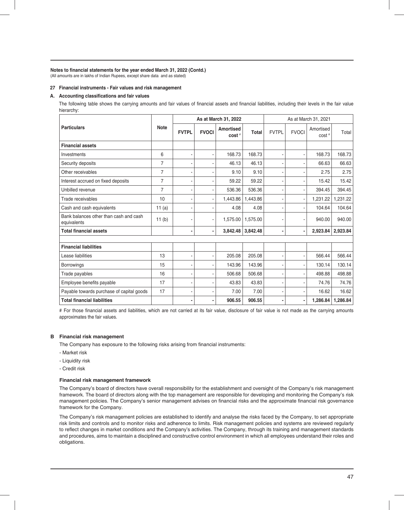(All amounts are in lakhs of Indian Rupees, except share data and as stated)

## **27 Financial instruments - Fair values and risk management**

### A. Accounting classifications and fair values

The following table shows the carrying amounts and fair values of financial assets and financial liabilities, including their levels in the fair value hierarchy:

|                                                       |                | As at March 31, 2022 |              |                     | As at March 31, 2021 |              |                          |                     |              |
|-------------------------------------------------------|----------------|----------------------|--------------|---------------------|----------------------|--------------|--------------------------|---------------------|--------------|
| <b>Particulars</b>                                    | <b>Note</b>    | <b>FVTPL</b>         | <b>FVOCI</b> | Amortised<br>cost # | <b>Total</b>         | <b>FVTPL</b> | <b>FVOCI</b>             | Amortised<br>cost # | <b>Total</b> |
| <b>Financial assets</b>                               |                |                      |              |                     |                      |              |                          |                     |              |
| Investments                                           | 6              |                      |              | 168.73              | 168.73               |              |                          | 168.73              | 168.73       |
| Security deposits                                     | $\overline{7}$ |                      |              | 46.13               | 46.13                |              | ۰                        | 66.63               | 66.63        |
| Other receivables                                     | 7              |                      |              | 9.10                | 9.10                 |              | ۰                        | 2.75                | 2.75         |
| Interest accrued on fixed deposits                    | $\overline{7}$ |                      |              | 59.22               | 59.22                |              |                          | 15.42               | 15.42        |
| Unbilled revenue                                      | 7              |                      |              | 536.36              | 536.36               |              |                          | 394.45              | 394.45       |
| Trade receivables                                     | 10             |                      |              | 1,443.86            | 1,443.86             |              |                          | 1,231.22            | 1,231.22     |
| Cash and cash equivalents                             | 11 $(a)$       |                      |              | 4.08                | 4.08                 |              |                          | 104.64              | 104.64       |
| Bank balances other than cash and cash<br>equivalents | 11 $(b)$       |                      |              | 1,575.00            | 1,575.00             |              |                          | 940.00              | 940.00       |
| <b>Total financial assets</b>                         |                |                      |              | 3.842.48            | 3,842.48             |              | $\overline{\phantom{0}}$ | 2,923.84            | 2,923.84     |
|                                                       |                |                      |              |                     |                      |              |                          |                     |              |
| <b>Financial liabilities</b>                          |                |                      |              |                     |                      |              |                          |                     |              |
| Lease liabilities                                     | 13             |                      |              | 205.08              | 205.08               |              | ۰                        | 566.44              | 566.44       |
| <b>Borrowings</b>                                     | 15             |                      |              | 143.96              | 143.96               |              |                          | 130.14              | 130.14       |
| Trade payables                                        | 16             |                      |              | 506.68              | 506.68               |              | ۰                        | 498.88              | 498.88       |
| Employee benefits payable                             | 17             |                      |              | 43.83               | 43.83                |              | ۰                        | 74.76               | 74.76        |
| Payable towards purchase of capital goods             | 17             |                      |              | 7.00                | 7.00                 |              | ۰                        | 16.62               | 16.62        |
| <b>Total financial liabilities</b>                    |                |                      |              | 906.55              | 906.55               |              | -                        | 1,286.84            | 1,286.84     |

# For those financial assets and liabilities, which are not carried at its fair value, disclosure of fair value is not made as the carrying amounts approximates the fair values.

# **B Financial risk management**

The Company has exposure to the following risks arising from financial instruments:

- Market risk
- Liquidity risk
- Credit risk

# **Financial risk management framework**

 The Company's board of directors have overall responsibility for the establishment and oversight of the Company's risk management framework. The board of directors along with the top management are responsible for developing and monitoring the Company's risk management policies. The Company's senior management advises on financial risks and the approximate financial risk governance framework for the Company.

 The Company's risk management policies are established to identify and analyse the risks faced by the Company, to set appropriate risk limits and controls and to monitor risks and adherence to limits. Risk management policies and systems are reviewed regularly to reflect changes in market conditions and the Company's activities. The Company, through its training and management standards and procedures, aims to maintain a disciplined and constructive control environment in which all employees understand their roles and obligations.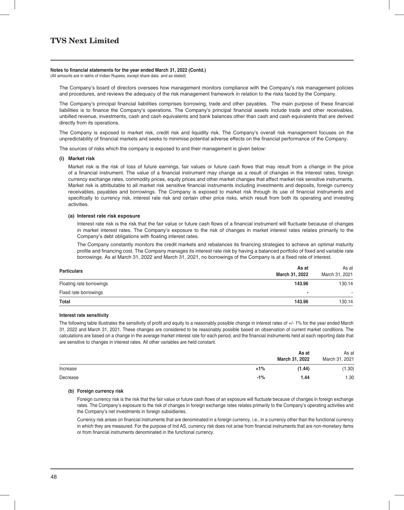(All amounts are in lakhs of Indian Rupees, except share data and as stated)

 The Company's board of directors oversees how management monitors compliance with the Company's risk management policies and procedures, and reviews the adequacy of the risk management framework in relation to the risks faced by the Company.

The Company's principal financial liabilities comprises borrowing, trade and other payables. The main purpose of these financial liabilities is to finance the Company's operations. The Company's principal financial assets include trade and other receivables, unbilled revenue, investments, cash and cash equivalents and bank balances other than cash and cash equivalents that are derived directly from its operations.

 The Company is exposed to market risk, credit risk and liquidity risk. The Company's overall risk management focuses on the unpredictability of financial markets and seeks to minimise potential adverse effects on the financial performance of the Company.

The sources of risks which the company is exposed to and their management is given below:

#### **(i) Market risk**

Market risk is the risk of loss of future earnings, fair values or future cash flows that may result from a change in the price of a financial instrument. The value of a financial instrument may change as a result of changes in the interest rates, foreign currency exchange rates, commodity prices, equity prices and other market changes that affect market risk sensitive instruments. Market risk is attributable to all market risk sensitive financial instruments including investments and deposits, foreign currency receivables, payables and borrowings. The Company is exposed to market risk through its use of financial instruments and specifically to currency risk, interest rate risk and certain other price risks, which result from both its operating and investing activities.

#### **(a) Interest rate risk exposure**

Interest rate risk is the risk that the fair value or future cash flows of a financial instrument will fluctuate because of changes in market interest rates. The Company's exposure to the risk of changes in market interest rates relates primarily to the Company's debt obligations with floating interest rates.

The Company constantly monitors the credit markets and rebalances its financing strategies to achieve an optimal maturity profile and financing cost. The Company manages its interest rate risk by having a balanced portfolio of fixed and variable rate borrowings. As at March 31, 2022 and March 31, 2021, no borrowings of the Company is at a fixed rate of interest.

| <b>Particulars</b>       | As at<br>March 31, 2022 | As at<br>March 31, 2021 |
|--------------------------|-------------------------|-------------------------|
| Floating rate borrowings | 143.96                  | 130.14                  |
| Fixed rate borrowings    |                         |                         |
| Total                    | 143.96                  | 130.14                  |

#### **Interest rate sensitivity**

The following table illustrates the sensitivity of profit and equity to a reasonably possible change in interest rates of  $+/-1\%$  for the year ended March 31, 2022 and March 31, 2021. These changes are considered to be reasonably possible based on observation of current market conditions. The calculations are based on a change in the average market interest rate for each period, and the financial instruments held at each reporting date that are sensitive to changes in interest rates. All other variables are held constant.

|          |       | As at          | As at          |
|----------|-------|----------------|----------------|
|          |       | March 31, 2022 | March 31, 2021 |
| Increase | $+1%$ | (1.44)         | (1.30)         |
| Decrease | $-1%$ | 1.44           | 1.30           |

## **(b) Foreign currency risk**

Foreign currency risk is the risk that the fair value or future cash flows of an exposure will fluctuate because of changes in foreign exchange rates. The Company's exposure to the risk of changes in foreign exchange rates relates primarily to the Company's operating activities and the Company's net investments in foreign subsidiaries.

Currency risk arises on financial instruments that are denominated in a foreign currency, i.e., in a currency other than the functional currency in which they are measured. For the purpose of Ind AS, currency risk does not arise from financial instruments that are non-monetary items or from financial instruments denominated in the functional currency.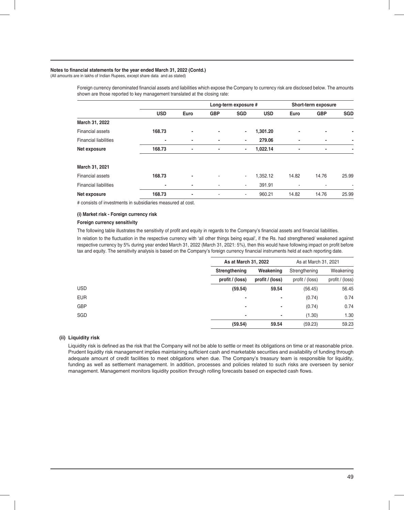(All amounts are in lakhs of Indian Rupees, except share data and as stated)

Foreign currency denominated financial assets and liabilities which expose the Company to currency risk are disclosed below. The amounts shown are those reported to key management translated at the closing rate:

|                              |            |                          |            | Long-term exposure #     |            | Short-term exposure |            |            |
|------------------------------|------------|--------------------------|------------|--------------------------|------------|---------------------|------------|------------|
|                              | <b>USD</b> | Euro                     | <b>GBP</b> | <b>SGD</b>               | <b>USD</b> | Euro                | <b>GBP</b> | <b>SGD</b> |
| March 31, 2022               |            |                          |            |                          |            |                     |            |            |
| Financial assets             | 168.73     | $\overline{\phantom{a}}$ | ٠          | ٠                        | 1,301.20   | ٠                   |            | ٠          |
| <b>Financial liabilities</b> | ٠          | $\blacksquare$           | ٠          | $\overline{\phantom{a}}$ | 279.06     | ٠                   | ٠          | ٠          |
| Net exposure                 | 168.73     | $\blacksquare$           | ٠          | ٠                        | 1,022.14   | ٠                   | ٠          | ٠          |
| March 31, 2021               |            |                          |            |                          |            |                     |            |            |
| Financial assets             | 168.73     | $\blacksquare$           | ۰          | $\blacksquare$           | 1,352.12   | 14.82               | 14.76      | 25.99      |
| <b>Financial liabilities</b> |            |                          |            | $\sim$                   | 391.91     |                     |            |            |
| Net exposure                 | 168.73     | ٠                        | ۰          | $\sim$                   | 960.21     | 14.82               | 14.76      | 25.99      |

# consists of investments in subsidiaries measured at cost.

# **(i) Market risk - Foreign currency risk**

# **Foreign currency sensitivity**

The following table illustrates the sensitivity of profit and equity in regards to the Company's financial assets and financial liabilities.

In relation to the fluctuation in the respective currency with 'all other things being equal', if the Rs. had strengthened/ weakened against respective currency by 5% during year ended March 31, 2022 (March 31, 2021: 5%), then this would have following impact on profi t before tax and equity. The sensitivity analysis is based on the Company's foreign currency financial instruments held at each reporting date.

|                          | As at March 31, 2022     |                 | As at March 31, 2021 |
|--------------------------|--------------------------|-----------------|----------------------|
| Strengthening            | Weakening                | Strengthening   | Weakening            |
| profit / (loss)          | profit / (loss)          | profit / (loss) | profit / (loss)      |
| (59.54)                  | 59.54                    | (56.45)         | 56.45                |
| $\,$                     | ٠                        | (0.74)          | 0.74                 |
| $\overline{\phantom{a}}$ | ٠                        | (0.74)          | 0.74                 |
| $\,$                     | $\overline{\phantom{a}}$ | (1.30)          | 1.30                 |
| (59.54)                  | 59.54                    | (59.23)         | 59.23                |

### **(ii) Liquidity risk**

Liquidity risk is defined as the risk that the Company will not be able to settle or meet its obligations on time or at reasonable price. Prudent liquidity risk management implies maintaining sufficient cash and marketable securities and availability of funding through adequate amount of credit facilities to meet obligations when due. The Company's treasury team is responsible for liquidity, funding as well as settlement management. In addition, processes and policies related to such risks are overseen by senior management. Management monitors liquidity position through rolling forecasts based on expected cash flows.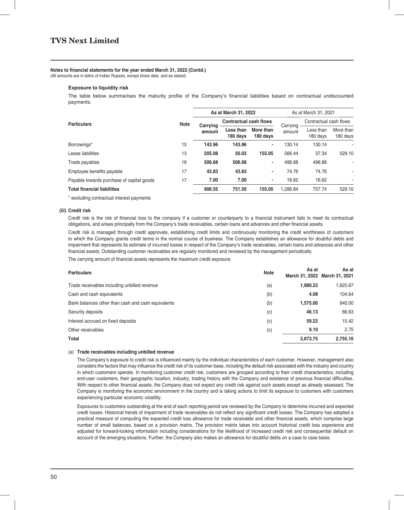(All amounts are in lakhs of Indian Rupees, except share data and as stated)

#### **Exposure to liquidity risk**

The table below summarises the maturity profile of the Company's financial liabilities based on contractual undiscounted payments.

|                                           |             | As at March 31, 2022 |                               |                          | As at March 31, 2021 |                        |                       |
|-------------------------------------------|-------------|----------------------|-------------------------------|--------------------------|----------------------|------------------------|-----------------------|
| <b>Particulars</b>                        | <b>Note</b> |                      | <b>Contractual cash flows</b> |                          |                      | Contractual cash flows |                       |
|                                           |             | Carrying<br>amount   | Less than<br>180 days         | More than<br>180 days    | Carrying<br>amount   | Less than<br>180 days  | More than<br>180 days |
| Borrowings*                               | 15          | 143.96               | 143.96                        | $\blacksquare$           | 130.14               | 130.14                 |                       |
| Lease liabilities                         | 13          | 205.08               | 50.03                         | 155.05                   | 566.44               | 37.34                  | 529.10                |
| Trade payables                            | 16          | 506.68               | 506.68                        | $\blacksquare$           | 498.88               | 498.88                 |                       |
| Employee benefits payable                 | 17          | 43.83                | 43.83                         | $\overline{\phantom{a}}$ | 74.76                | 74.76                  | ۰                     |
| Payable towards purchase of capital goods | 17          | 7.00                 | 7.00                          | $\overline{\phantom{a}}$ | 16.62                | 16.62                  |                       |
| <b>Total financial liabilities</b>        |             | 906.55               | 751.50                        | 155.05                   | 1.286.84             | 757.74                 | 529.10                |

\* excluding contractual interest payments

#### **(iii) Credit risk**

Credit risk is the risk of financial loss to the company if a customer or counterparty to a financial instrument fails to meet its contractual obligations, and arises principally from the Company's trade receivables, certain loans and advances and other financial assets.

Credit risk is managed through credit approvals, establishing credit limits and continuously monitoring the credit worthiness of customers to which the Company grants credit terms in the normal course of business. The Company establishes an allowance for doubtful debts and impairment that represents its estimate of incurred losses in respect of the Company's trade receivables, certain loans and advances and other financial assets. Outstanding customer receivables are regularly monitored and reviewed by the management periodically.

The carrying amount of financial assets represents the maximum credit exposure.

| <b>Particulars</b>                                 | <b>Note</b> | As at<br>March 31, 2022 March 31, 2021 | As at    |
|----------------------------------------------------|-------------|----------------------------------------|----------|
| Trade receivables including unbilled revenue       | (a)         | 1,980.22                               | 1,625.67 |
| Cash and cash equivalents                          | (b)         | 4.08                                   | 104.64   |
| Bank balances other than cash and cash equivalents | (b)         | 1,575.00                               | 940.00   |
| Security deposits                                  | (c)         | 46.13                                  | 66.63    |
| Interest accrued on fixed deposits                 | (c)         | 59.22                                  | 15.42    |
| Other receivables                                  | (c)         | 9.10                                   | 2.75     |
| Total                                              |             | 3,673.75                               | 2.755.10 |

#### (a) **Trade receivables including unbilled revenue**

The Company's exposure to credit risk is influenced mainly by the individual characteristics of each customer. However, management also considers the factors that may influence the credit risk of its customer base, including the default risk associated with the industry and country in which customers operate. In monitoring customer credit risk, customers are grouped according to their credit characteristics, including end-user customers, their geographic location, industry, trading history with the Company and existence of previous financial difficulties. With respect to other financial assets, the Company does not expect any credit risk against such assets except as already assessed. The Company is monitoring the economic environment in the country and is taking actions to limit its exposure to customers with customers experiencing particular economic volatility.

Exposures to customers outstanding at the end of each reporting period are reviewed by the Company to determine incurred and expected credit losses. Historical trends of impairment of trade receivables do not reflect any significant credit losses. The Company has adopted a practical measure of computing the expected credit loss allowance for trade receivable and other financial assets, which comprise large number of small balances, based on a provision matrix. The provision matrix takes into account historical credit loss experience and adjusted for forward-looking information including considerations for the likelihood of increased credit risk and consequential default on account of the emerging situations. Further, the Company also makes an allowance for doubtful debts on a case to case basis.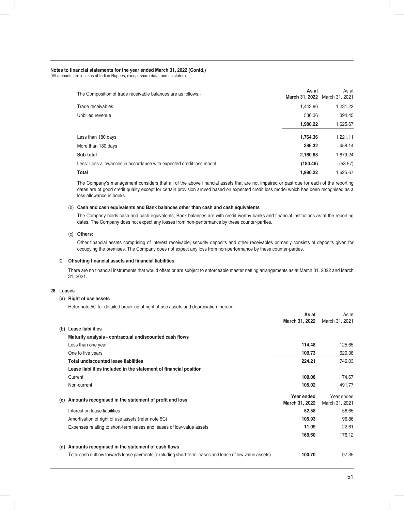(All amounts are in lakhs of Indian Rupees, except share data and as stated)

| The Composition of trade receivable balances are as follows:-       | As at<br>March 31, 2022 | As at<br>March 31, 2021 |
|---------------------------------------------------------------------|-------------------------|-------------------------|
| Trade receivables                                                   | 1,443.86                | 1,231.22                |
| Unbilled revenue                                                    | 536.36                  | 394.45                  |
|                                                                     | 1.980.22                | 1,625.67                |
| Less than 180 days                                                  | 1,764.36                | 1,221.11                |
| More than 180 days                                                  | 396.32                  | 458.14                  |
| Sub-total                                                           | 2,160.68                | 1,679.24                |
| Less: Loss allowances in accordance with expected credit loss model | (180.46)                | (53.57)                 |
| Total                                                               | 1.980.22                | 1.625.67                |

The Company's management considers that all of the above financial assets that are not impaired or past due for each of the reporting dates are of good credit quality except for certain provision arrived based on expected credit loss model which has been recognised as a loss allowance in books.

# (b) **Cash and cash equivalents and Bank balances other than cash and cash equivalents**

The Company holds cash and cash equivalents, Bank balances are with credit worthy banks and financial institutions as at the reporting dates. The Company does not expect any losses from non-performance by these counter-parties.

## (c) **Others:**

Other financial assets comprising of interest receivable, security deposits and other receivables primarily consists of deposits given for occupying the premises. The Company does not expect any loss from non-performance by these counter-parties.

#### **C** Offsetting financial assets and financial liabilities

There are no financial instruments that would offset or are subject to enforceable master netting arrangements as at March 31, 2022 and March 31, 2021.

### **28 Leases**

# **(a) Right of use assets**

Refer note 5C for detailed break-up of right of use assets and depreciation thereon.

|     |                                                                                                       | As at                        | As at                        |
|-----|-------------------------------------------------------------------------------------------------------|------------------------------|------------------------------|
|     |                                                                                                       | March 31, 2022               | March 31, 2021               |
| (b) | Lease liabilities                                                                                     |                              |                              |
|     | Maturity analysis - contractual undiscounted cash flows                                               |                              |                              |
|     | Less than one year                                                                                    | 114.48                       | 125.65                       |
|     | One to five years                                                                                     | 109.73                       | 620.38                       |
|     | <b>Total undiscounted lease liabilities</b>                                                           | 224.21                       | 746.03                       |
|     | Lease liabilities included in the statement of financial position                                     |                              |                              |
|     | Current                                                                                               | 100.06                       | 74.67                        |
|     | Non-current                                                                                           | 105.02                       | 491.77                       |
| (c) | Amounts recognised in the statement of profit and loss                                                | Year ended<br>March 31, 2022 | Year ended<br>March 31, 2021 |
|     | Interest on lease liabilities                                                                         | 52.58                        | 56.65                        |
|     | Amortisation of right of use assets (refer note 5C)                                                   | 105.93                       | 96.86                        |
|     | Expenses relating to short-term leases and leases of low-value assets                                 | 11.09                        | 22.61                        |
|     |                                                                                                       | 169.60                       | 176.12                       |
| (d) | Amounts recognised in the statement of cash flows                                                     |                              |                              |
|     | Total cash outflow towards lease payments (excluding short-term leases and lease of low value assets) | 100.70                       | 97.35                        |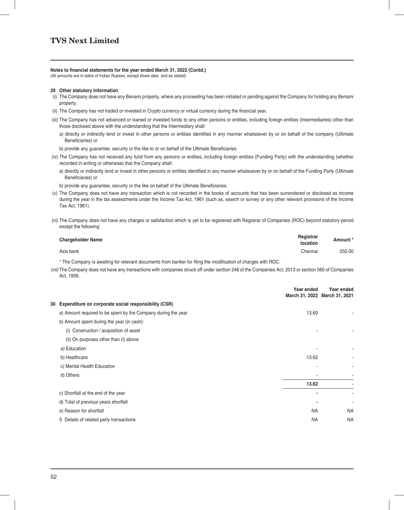(All amounts are in lakhs of Indian Rupees, except share data and as stated)

# **29 Other statutory information**

- (i) The Company does not have any Benami property, where any proceeding has been initiated or pending against the Company for holding any Benami property.
- (ii) The Company has not traded or invested in Crypto currency or virtual currency during the financial year.
- (iii) The Company has not advanced or loaned or invested funds to any other persons or entities, including foreign entities (Intermediaries) other than those disclosed above with the understanding that the Intermediary shall:
	- a) directly or indirectly lend or invest in other persons or entities identified in any manner whatsoever by or on behalf of the company (Ultimate Beneficiaries) or
	- b) provide any guarantee, security or the like to or on behalf of the Ultimate Beneficiaries
- (iv) The Company has not received any fund from any persons or entities, including foreign entities (Funding Party) with the understanding (whether recorded in writing or otherwise) that the Company shall:
	- a) directly or indirectly lend or invest in other persons or entities identified in any manner whatsoever by or on behalf of the Funding Party (Ultimate Beneficiaries) or
	- b) provide any guarantee, security or the like on behalf of the Ultimate Beneficiaries.
- (v) The Company does not have any transaction which is not recorded in the books of accounts that has been surrendered or disclosed as income during the year in the tax assessments under the Income Tax Act, 1961 (such as, search or survey or any other relevant provisions of the Income Tax Act, 1961).
- (vi) The Company does not have any charges or satisfaction which is yet to be registered with Registrar of Companies (ROC) beyond statutory period except the following:

| <b>Chargeholder Name</b> | Registrar<br>location | Amount * |
|--------------------------|-----------------------|----------|
| Axis bank                | Chennai               | 250.00   |

\* The Company is awaiting for relevant documents from banker for fi ling the modifi cation of charges with ROC.

(vii) The Company does not have any transactions with companies struck off under section 248 of the Companies Act, 2013 or section 560 of Companies Act, 1956.

|    |                                                               | Year ended | Year ended<br>March 31, 2022 March 31, 2021 |
|----|---------------------------------------------------------------|------------|---------------------------------------------|
| 30 | Expenditure on corporate social responsibility (CSR)          |            |                                             |
|    | a) Amount required to be spent by the Company during the year | 13.60      |                                             |
|    | b) Amount spent during the year (in cash):                    |            |                                             |
|    | (i) Construction / acquisition of asset                       |            |                                             |
|    | (ii) On purposes other than (i) above                         |            |                                             |
|    | a) Education                                                  |            | ٠                                           |
|    | b) Healthcare                                                 | 13.62      |                                             |
|    | c) Mental Health Education                                    |            |                                             |
|    | d) Others                                                     |            |                                             |
|    |                                                               | 13.62      |                                             |
|    | c) Shortfall at the end of the year                           |            |                                             |
|    | d) Total of previous years shortfall                          |            |                                             |
|    | e) Reason for shortfall                                       | <b>NA</b>  | <b>NA</b>                                   |
|    | f) Details of related party transactions                      | <b>NA</b>  | <b>NA</b>                                   |
|    |                                                               |            |                                             |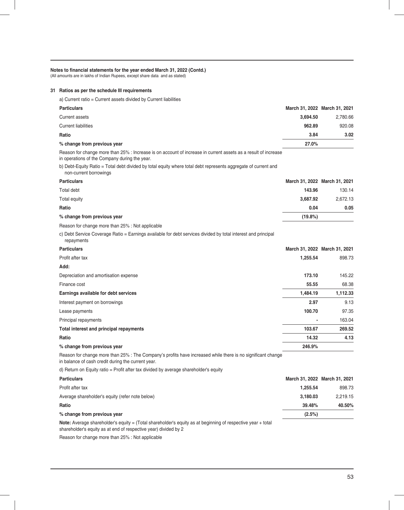(All amounts are in lakhs of Indian Rupees, except share data and as stated)

#### **31 Ratios as per the schedule III requirements**

a) Current ratio = Current assets divided by Current liabilities

| <b>Particulars</b>          | March 31, 2022 March 31, 2021 |          |
|-----------------------------|-------------------------------|----------|
| Current assets              | 3.694.50                      | 2,780.66 |
| <b>Current liabilities</b>  | 962.89                        | 920.08   |
| Ratio                       | 3.84                          | 3.02     |
| % change from previous year | 27.0%                         |          |

Reason for change more than 25% : Increase is on account of increase in current assets as a result of increase in operations of the Company during the year.

b) Debt-Equity Ratio = Total debt divided by total equity where total debt represents aggregate of current and

non-current borrowings

| <b>Particulars</b>          |          | March 31, 2022 March 31, 2021 |
|-----------------------------|----------|-------------------------------|
| Total debt                  | 143.96   | 130.14                        |
| Total equity                | 3.687.92 | 2,672.13                      |
| Ratio                       | 0.04     | 0.05                          |
| % change from previous year | (19.8%)  |                               |

Reason for change more than 25% : Not applicable

c) Debt Service Coverage Ratio = Earnings available for debt services divided by total interest and principal repayments

| <b>Particulars</b>                      |          | March 31, 2022 March 31, 2021 |
|-----------------------------------------|----------|-------------------------------|
| Profit after tax                        | 1,255.54 | 898.73                        |
| Add:                                    |          |                               |
| Depreciation and amortisation expense   | 173.10   | 145.22                        |
| Finance cost                            | 55.55    | 68.38                         |
| Earnings available for debt services    | 1,484.19 | 1,112.33                      |
| Interest payment on borrowings          | 2.97     | 9.13                          |
| Lease payments                          | 100.70   | 97.35                         |
| Principal repayments                    |          | 163.04                        |
| Total interest and principal repayments | 103.67   | 269.52                        |
| Ratio                                   | 14.32    | 4.13                          |
| % change from previous year             | 246.9%   |                               |
|                                         |          |                               |

Reason for change more than 25% : The Company's profits have increased while there is no significant change in balance of cash credit during the current year.

d) Return on Equity ratio = Profit after tax divided by average shareholder's equity

| <b>Particulars</b>                              | March 31, 2022 March 31, 2021 |          |
|-------------------------------------------------|-------------------------------|----------|
| Profit after tax                                | 1.255.54                      | 898.73   |
| Average shareholder's equity (refer note below) | 3.180.03                      | 2,219.15 |
| Ratio                                           | 39.48%                        | 40.50%   |
| % change from previous year                     | (2.5%)                        |          |

**Note:** Average shareholder's equity = (Total shareholder's equity as at beginning of respective year + total shareholder's equity as at end of respective year) divided by 2

Reason for change more than 25% : Not applicable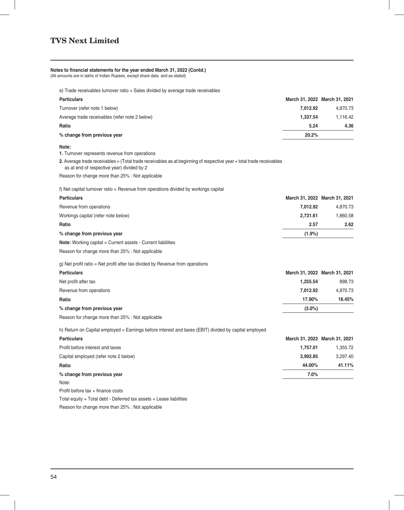# Notes to financial statements for the year ended March 31, 2022 (Contd.)

(All amounts are in lakhs of Indian Rupees, except share data and as stated)

e) Trade receivables turnover ratio = Sales divided by average trade receivables

| <b>Particulars</b>                             | March 31, 2022 March 31, 2021 |          |
|------------------------------------------------|-------------------------------|----------|
| Turnover (refer note 1 below)                  | 7.012.92                      | 4,870.73 |
| Average trade receivables (refer note 2 below) | 1.337.54                      | 1,116.42 |
| Ratio                                          | 5.24                          | 4.36     |
| % change from previous year                    | 20.2%                         |          |
|                                                |                               |          |

# **Note:**

**1.** Turnover represents revenue from operations

**2.** Average trade receivables = (Total trade receivables as at beginning of respective year + total trade receivables as at end of respective year) divided by 2

Reason for change more than 25% : Not applicable

f) Net capital turnover ratio = Revenue from operations divided by workings capital

| March 31, 2022 March 31, 2021 |          |
|-------------------------------|----------|
| 7.012.92                      | 4,870.73 |
| 2.731.61                      | 1,860.58 |
| 2.57                          | 2.62     |
| $(1.9\%)$                     |          |
|                               |          |

**Note:** Working capital = Current assets - Current liabilities

Reason for change more than 25% : Not applicable

g) Net profit ratio = Net profit after tax divided by Revenue from operations

| <b>Particulars</b>          | March 31, 2022 March 31, 2021 |          |
|-----------------------------|-------------------------------|----------|
| Net profit after tax        | 1.255.54                      | 898.73   |
| Revenue from operations     | 7.012.92                      | 4,870.73 |
| Ratio                       | 17.90%                        | 18.45%   |
| % change from previous year | $(3.0\%)$                     |          |

Reason for change more than 25% : Not applicable

h) Return on Capital employed = Earnings before interest and taxes (EBIT) divided by capital employed

| <b>Particulars</b>                    | March 31, 2022 March 31, 2021 |          |
|---------------------------------------|-------------------------------|----------|
| Profit before interest and taxes      | 1.757.01                      | 1,355.72 |
| Capital employed (refer note 2 below) | 3.992.85                      | 3.297.40 |
| Ratio                                 | 44.00%                        | 41.11%   |
| % change from previous year           | 7.0%                          |          |
| Note:                                 |                               |          |

Profit before tax + finance costs

Total equity + Total debt - Deferred tax assets + Lease liabilities

Reason for change more than 25% : Not applicable